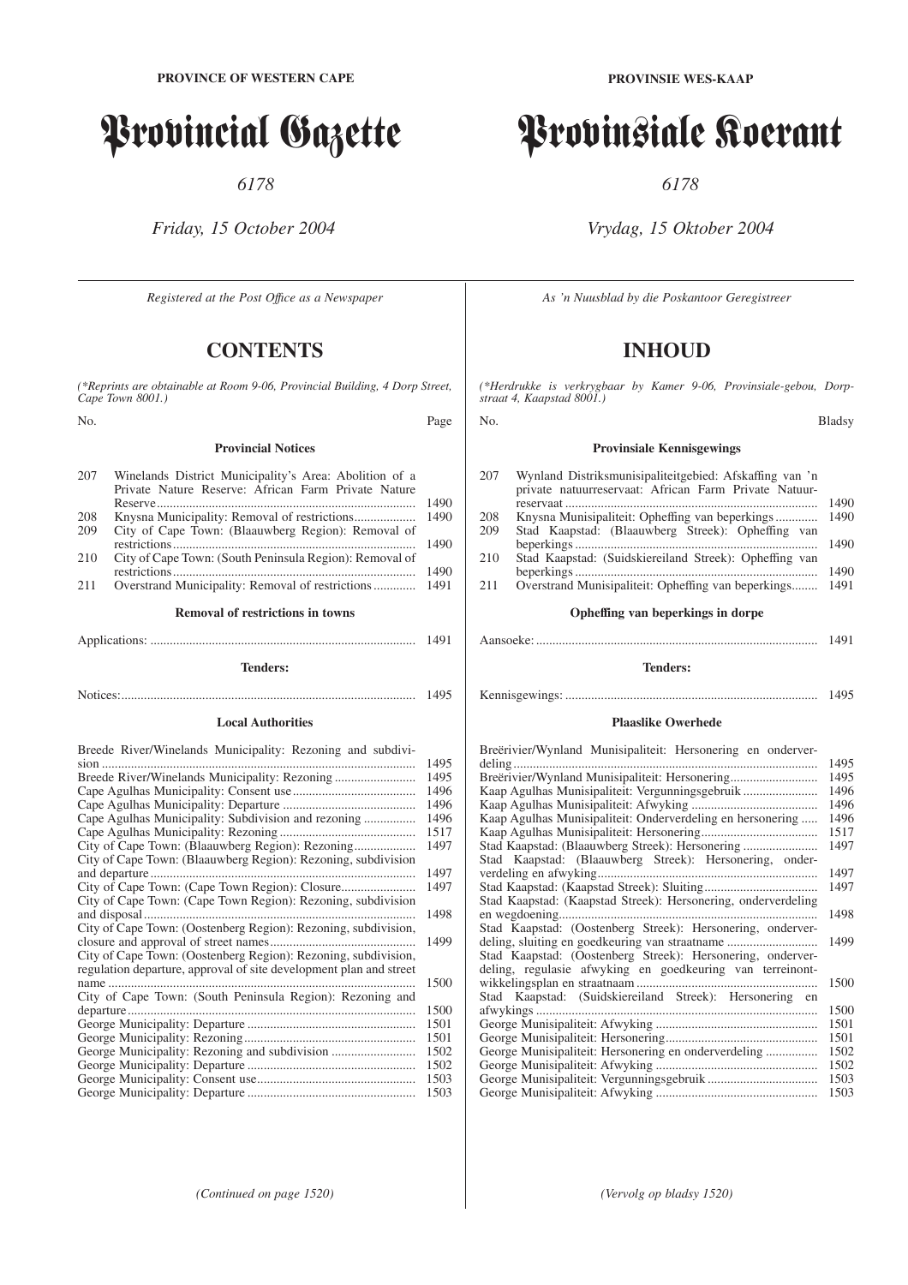# Provincial Gazette

*6178*

*Friday, 15 October 2004*

*Registered at the Post Offıce as a Newspaper*

# **CONTENTS**

*(\*Reprints are obtainable at Room 9-06, Provincial Building, 4 Dorp Street, Cape Town 8001.)*

No. Page

#### **Provincial Notices**

| 207 | Winelands District Municipality's Area: Abolition of a  |      |
|-----|---------------------------------------------------------|------|
|     | Private Nature Reserve: African Farm Private Nature     |      |
|     |                                                         | 1490 |
| 208 |                                                         | 1490 |
| 209 | City of Cape Town: (Blaauwberg Region): Removal of      |      |
|     |                                                         | 1490 |
| 210 | City of Cape Town: (South Peninsula Region): Removal of |      |
|     |                                                         | 1490 |
| 211 |                                                         |      |
|     |                                                         |      |

# **Removal of restrictions in towns** Applications: .................................................................................. 1491

**Tenders:**

Notices:........................................................................................... 1495

#### **Local Authorities**

Breede River/Winelands Municipality: Rezoning and subdivi-

|                                                                    | 1495 |
|--------------------------------------------------------------------|------|
|                                                                    | 1495 |
|                                                                    | 1496 |
|                                                                    | 1496 |
|                                                                    | 1496 |
|                                                                    | 1517 |
|                                                                    | 1497 |
| City of Cape Town: (Blaauwberg Region): Rezoning, subdivision      |      |
|                                                                    | 1497 |
|                                                                    | 1497 |
| City of Cape Town: (Cape Town Region): Rezoning, subdivision       |      |
|                                                                    | 1498 |
| City of Cape Town: (Oostenberg Region): Rezoning, subdivision,     |      |
|                                                                    | 1499 |
| City of Cape Town: (Oostenberg Region): Rezoning, subdivision,     |      |
| regulation departure, approval of site development plan and street |      |
|                                                                    | 1500 |
| City of Cape Town: (South Peninsula Region): Rezoning and          |      |
| departure                                                          | 1500 |
|                                                                    | 1501 |
|                                                                    | 1501 |
|                                                                    | 1502 |
|                                                                    | 1502 |
|                                                                    | 1503 |
|                                                                    | 1503 |

**PROVINSIE WES-KAAP**

# Provinsiale Koerant

*6178*

# *Vrydag, 15 Oktober 2004*

*As 'n Nuusblad by die Poskantoor Geregistreer*

# **INHOUD**

*(\*Herdrukke is verkrygbaar by Kamer 9-06, Provinsiale-gebou, Dorpstraat 4, Kaapstad 8001.)*

#### No. Bladsy

#### **Provinsiale Kennisgewings**

| 207  | Wynland Distriksmunisipaliteitgebied: Afskaffing van 'n<br>private natuurreservaat: African Farm Private Natuur- |      |
|------|------------------------------------------------------------------------------------------------------------------|------|
|      |                                                                                                                  | 1490 |
| 208  | Knysna Munisipaliteit: Opheffing van beperkings                                                                  | 1490 |
| 209  | Stad Kaapstad: (Blaauwberg Streek): Opheffing van                                                                |      |
|      |                                                                                                                  | 1490 |
| 210  | Stad Kaapstad: (Suidskiereiland Streek): Opheffing van                                                           |      |
|      |                                                                                                                  | 1490 |
| 2.11 | Overstrand Munisipaliteit: Opheffing van beperkings                                                              | 1491 |
|      | Opheffing van beperkings in dorpe                                                                                |      |
|      |                                                                                                                  |      |

**Tenders:**

# Kennisgewings: .............................................................................. 1495

#### **Plaaslike Owerhede**

| Breërivier/Wynland Munisipaliteit: Hersonering en onderver-   |      |
|---------------------------------------------------------------|------|
|                                                               | 1495 |
| Breerivier/Wynland Munisipaliteit: Hersonering                | 1495 |
|                                                               | 1496 |
|                                                               | 1496 |
| Kaap Agulhas Munisipaliteit: Onderverdeling en hersonering    | 1496 |
|                                                               | 1517 |
| Stad Kaapstad: (Blaauwberg Streek): Hersonering               | 1497 |
| Stad Kaapstad: (Blaauwberg Streek): Hersonering, onder-       |      |
|                                                               | 1497 |
|                                                               | 1497 |
| Stad Kaapstad: (Kaapstad Streek): Hersonering, onderverdeling |      |
|                                                               | 1498 |
| Stad Kaapstad: (Oostenberg Streek): Hersonering, onderver-    |      |
|                                                               | 1499 |
| Stad Kaapstad: (Oostenberg Streek): Hersonering, onderver-    |      |
| deling, regulasie afwyking en goedkeuring van terreinont-     |      |
|                                                               | 1500 |
| Stad Kaapstad: (Suidskiereiland Streek): Hersonering en       |      |
|                                                               | 1500 |
|                                                               | 1501 |
|                                                               | 1501 |
| George Munisipaliteit: Hersonering en onderverdeling          | 1502 |
|                                                               | 1502 |
|                                                               | 1503 |
|                                                               | 1503 |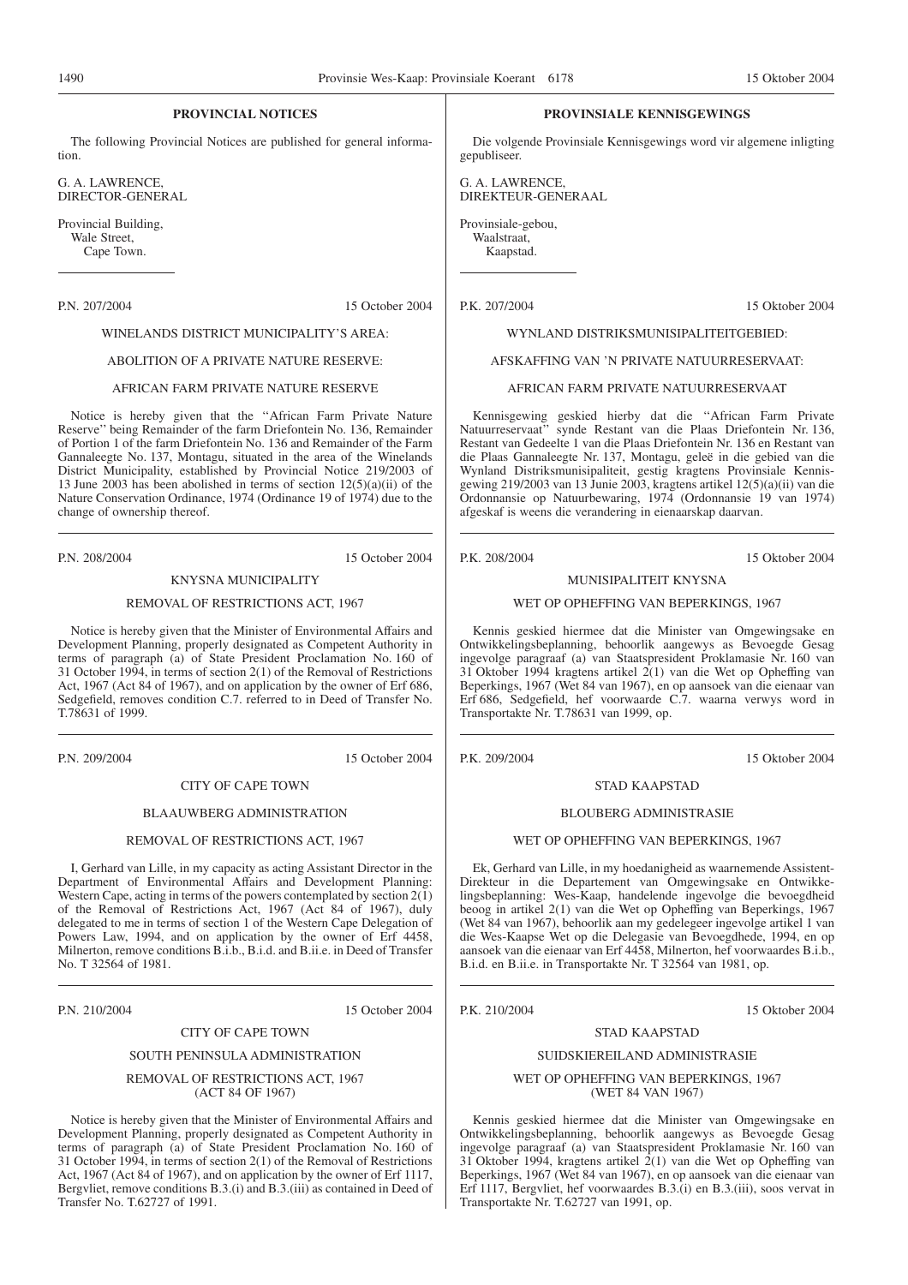#### **PROVINCIAL NOTICES**

The following Provincial Notices are published for general information.

G. A. LAWRENCE, DIRECTOR-GENERAL

Provincial Building, Wale Street, Cape Town.

P.N. 207/2004 15 October 2004

# WINELANDS DISTRICT MUNICIPALITY'S AREA:

#### ABOLITION OF A PRIVATE NATURE RESERVE:

#### AFRICAN FARM PRIVATE NATURE RESERVE

Notice is hereby given that the ''African Farm Private Nature Reserve'' being Remainder of the farm Driefontein No. 136, Remainder of Portion 1 of the farm Driefontein No. 136 and Remainder of the Farm Gannaleegte No. 137, Montagu, situated in the area of the Winelands District Municipality, established by Provincial Notice 219/2003 of 13 June 2003 has been abolished in terms of section 12(5)(a)(ii) of the Nature Conservation Ordinance, 1974 (Ordinance 19 of 1974) due to the change of ownership thereof.

P.N. 208/2004 15 October 2004

# KNYSNA MUNICIPALITY

#### REMOVAL OF RESTRICTIONS ACT, 1967

Notice is hereby given that the Minister of Environmental Affairs and Development Planning, properly designated as Competent Authority in terms of paragraph (a) of State President Proclamation No. 160 of 31 October 1994, in terms of section 2(1) of the Removal of Restrictions Act, 1967 (Act 84 of 1967), and on application by the owner of Erf 686, Sedgefield, removes condition C.7. referred to in Deed of Transfer No. T.78631 of 1999.

P.N. 209/2004 15 October 2004

#### CITY OF CAPE TOWN

#### BLAAUWBERG ADMINISTRATION

#### REMOVAL OF RESTRICTIONS ACT, 1967

I, Gerhard van Lille, in my capacity as acting Assistant Director in the Department of Environmental Affairs and Development Planning: Western Cape, acting in terms of the powers contemplated by section  $2(\tilde{1})$ of the Removal of Restrictions Act, 1967 (Act 84 of 1967), duly delegated to me in terms of section 1 of the Western Cape Delegation of Powers Law, 1994, and on application by the owner of Erf 4458, Milnerton, remove conditions B.i.b., B.i.d. and B.ii.e. in Deed of Transfer No. T 32564 of 1981.

P.N. 210/2004 15 October 2004

#### CITY OF CAPE TOWN

#### SOUTH PENINSULA ADMINISTRATION

#### REMOVAL OF RESTRICTIONS ACT, 1967 (ACT 84 OF 1967)

Notice is hereby given that the Minister of Environmental Affairs and Development Planning, properly designated as Competent Authority in terms of paragraph (a) of State President Proclamation No. 160 of 31 October 1994, in terms of section 2(1) of the Removal of Restrictions Act, 1967 (Act 84 of 1967), and on application by the owner of Erf 1117, Bergvliet, remove conditions B.3.(i) and B.3.(iii) as contained in Deed of Transfer No. T.62727 of 1991.

#### **PROVINSIALE KENNISGEWINGS**

Die volgende Provinsiale Kennisgewings word vir algemene inligting gepubliseer.

G. A. LAWRENCE, DIREKTEUR-GENERAAL

Provinsiale-gebou, Waalstraat, Kaapstad.

P.K. 207/2004 15 Oktober 2004

WYNLAND DISTRIKSMUNISIPALITEITGEBIED:

#### AFSKAFFING VAN 'N PRIVATE NATUURRESERVAAT:

#### AFRICAN FARM PRIVATE NATUURRESERVAAT

Kennisgewing geskied hierby dat die ''African Farm Private Natuurreservaat'' synde Restant van die Plaas Driefontein Nr. 136, Restant van Gedeelte 1 van die Plaas Driefontein Nr. 136 en Restant van die Plaas Gannaleegte Nr. 137, Montagu, geleë in die gebied van die Wynland Distriksmunisipaliteit, gestig kragtens Provinsiale Kennisgewing 219/2003 van 13 Junie 2003, kragtens artikel 12(5)(a)(ii) van die Ordonnansie op Natuurbewaring, 1974 (Ordonnansie 19 van 1974) afgeskaf is weens die verandering in eienaarskap daarvan.

P.K. 208/2004 15 Oktober 2004

#### MUNISIPALITEIT KNYSNA

#### WET OP OPHEFFING VAN BEPERKINGS, 1967

Kennis geskied hiermee dat die Minister van Omgewingsake en Ontwikkelingsbeplanning, behoorlik aangewys as Bevoegde Gesag ingevolge paragraaf (a) van Staatspresident Proklamasie Nr. 160 van 31 Oktober 1994 kragtens artikel 2(1) van die Wet op Opheffing van Beperkings, 1967 (Wet 84 van 1967), en op aansoek van die eienaar van Erf 686, Sedgefield, hef voorwaarde C.7. waarna verwys word in Transportakte Nr. T.78631 van 1999, op.

P.K. 209/2004 15 Oktober 2004

#### STAD KAAPSTAD

#### BLOUBERG ADMINISTRASIE

#### WET OP OPHEFFING VAN BEPERKINGS, 1967

Ek, Gerhard van Lille, in my hoedanigheid as waarnemende Assistent-Direkteur in die Departement van Omgewingsake en Ontwikkelingsbeplanning: Wes-Kaap, handelende ingevolge die bevoegdheid beoog in artikel 2(1) van die Wet op Opheffing van Beperkings, 1967 (Wet 84 van 1967), behoorlik aan my gedelegeer ingevolge artikel 1 van die Wes-Kaapse Wet op die Delegasie van Bevoegdhede, 1994, en op aansoek van die eienaar van Erf 4458, Milnerton, hef voorwaardes B.i.b., B.i.d. en B.ii.e. in Transportakte Nr. T 32564 van 1981, op.

P.K. 210/2004 15 Oktober 2004

#### STAD KAAPSTAD

#### SUIDSKIEREILAND ADMINISTRASIE

#### WET OP OPHEFFING VAN BEPERKINGS, 1967 (WET 84 VAN 1967)

Kennis geskied hiermee dat die Minister van Omgewingsake en Ontwikkelingsbeplanning, behoorlik aangewys as Bevoegde Gesag ingevolge paragraaf (a) van Staatspresident Proklamasie Nr. 160 van 31 Oktober 1994, kragtens artikel 2(1) van die Wet op Opheffing van Beperkings, 1967 (Wet 84 van 1967), en op aansoek van die eienaar van Erf 1117, Bergvliet, hef voorwaardes B.3.(i) en B.3.(iii), soos vervat in Transportakte Nr. T.62727 van 1991, op.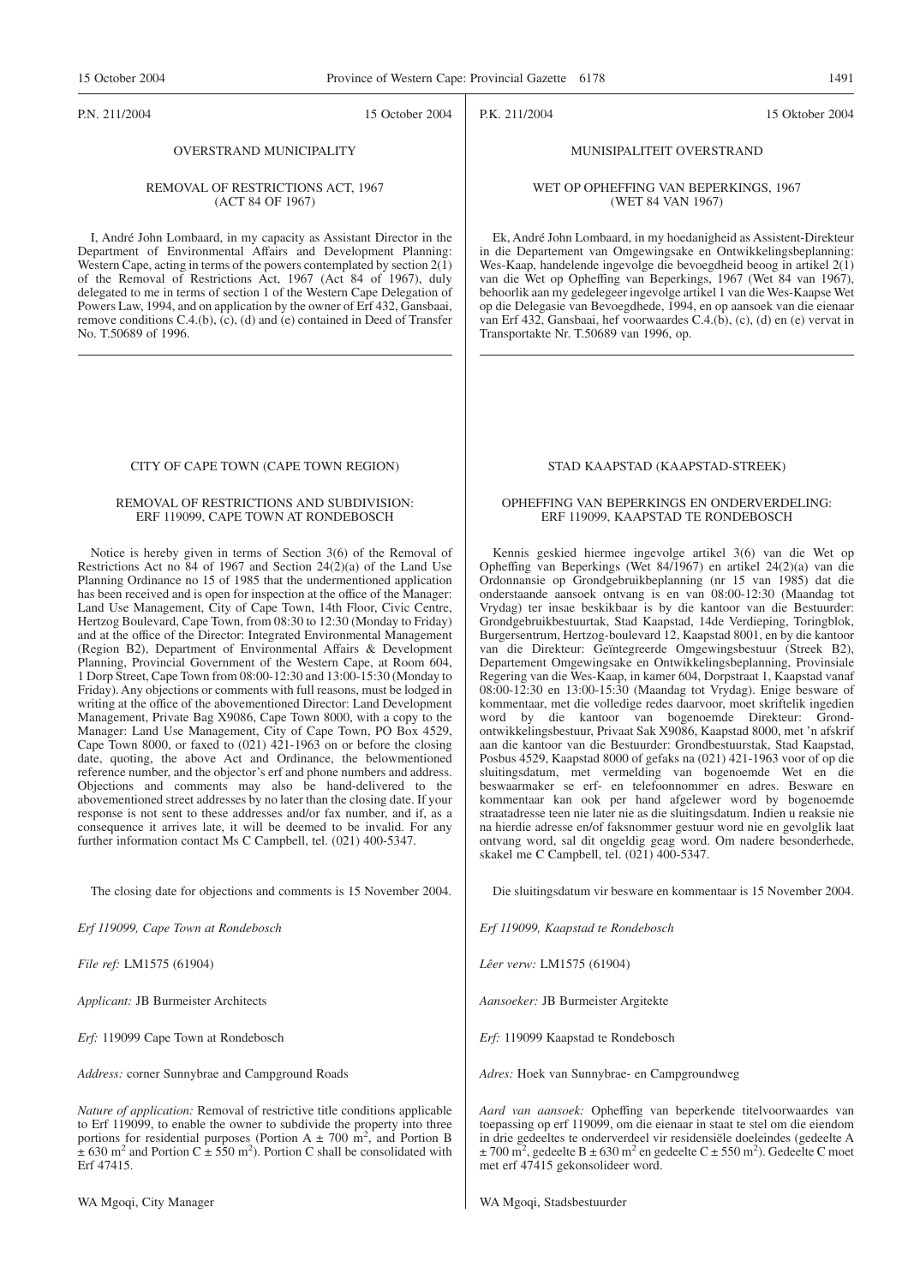#### P.N. 211/2004 15 October 2004

P.K. 211/2004 15 Oktober 2004

#### OVERSTRAND MUNICIPALITY

#### REMOVAL OF RESTRICTIONS ACT, 1967 (ACT 84 OF 1967)

I, André John Lombaard, in my capacity as Assistant Director in the Department of Environmental Affairs and Development Planning: Western Cape, acting in terms of the powers contemplated by section  $2(1)$ of the Removal of Restrictions Act, 1967 (Act 84 of 1967), duly delegated to me in terms of section 1 of the Western Cape Delegation of Powers Law, 1994, and on application by the owner of Erf 432, Gansbaai, remove conditions C.4.(b), (c), (d) and (e) contained in Deed of Transfer No. T.50689 of 1996.

#### CITY OF CAPE TOWN (CAPE TOWN REGION)

#### REMOVAL OF RESTRICTIONS AND SUBDIVISION: ERF 119099, CAPE TOWN AT RONDEBOSCH

Notice is hereby given in terms of Section 3(6) of the Removal of Restrictions Act no  $\overline{84}$  of 1967 and Section 24(2)(a) of the Land Use Planning Ordinance no 15 of 1985 that the undermentioned application has been received and is open for inspection at the office of the Manager: Land Use Management, City of Cape Town, 14th Floor, Civic Centre, Hertzog Boulevard, Cape Town, from 08:30 to 12:30 (Monday to Friday) and at the office of the Director: Integrated Environmental Management (Region B2), Department of Environmental Affairs & Development Planning, Provincial Government of the Western Cape, at Room 604, 1 Dorp Street, Cape Town from 08:00-12:30 and 13:00-15:30 (Monday to Friday). Any objections or comments with full reasons, must be lodged in writing at the office of the abovementioned Director: Land Development Management, Private Bag X9086, Cape Town 8000, with a copy to the Manager: Land Use Management, City of Cape Town, PO Box 4529, Cape Town 8000, or faxed to  $(021)$  421-1963 on or before the closing date, quoting, the above Act and Ordinance, the belowmentioned reference number, and the objector's erf and phone numbers and address. Objections and comments may also be hand-delivered to the abovementioned street addresses by no later than the closing date. If your response is not sent to these addresses and/or fax number, and if, as a consequence it arrives late, it will be deemed to be invalid. For any further information contact Ms C Campbell, tel. (021) 400-5347.

The closing date for objections and comments is 15 November 2004.

*Erf 119099, Cape Town at Rondebosch*

*File ref:* LM1575 (61904)

*Applicant:* JB Burmeister Architects

*Erf:* 119099 Cape Town at Rondebosch

*Address:* corner Sunnybrae and Campground Roads

*Nature of application:* Removal of restrictive title conditions applicable to Erf 119099, to enable the owner to subdivide the property into three portions for residential purposes (Portion A  $\pm$  700 m<sup>2</sup>, and Portion B  $\pm$  630 m<sup>2</sup> and Portion C  $\pm$  550 m<sup>2</sup>). Portion C shall be consolidated with Erf 47415.

WA Mgoqi, City Manager

# MUNISIPALITEIT OVERSTRAND

#### WET OP OPHEFFING VAN BEPERKINGS, 1967 (WET 84 VAN 1967)

Ek, André John Lombaard, in my hoedanigheid as Assistent-Direkteur in die Departement van Omgewingsake en Ontwikkelingsbeplanning: Wes-Kaap, handelende ingevolge die bevoegdheid beoog in artikel  $2(1)$ van die Wet op Opheffing van Beperkings, 1967 (Wet 84 van 1967), behoorlik aan my gedelegeer ingevolge artikel 1 van die Wes-Kaapse Wet op die Delegasie van Bevoegdhede, 1994, en op aansoek van die eienaar van Erf 432, Gansbaai, hef voorwaardes C.4.(b), (c), (d) en (e) vervat in Transportakte Nr. T.50689 van 1996, op.

#### STAD KAAPSTAD (KAAPSTAD-STREEK)

#### OPHEFFING VAN BEPERKINGS EN ONDERVERDELING: ERF 119099, KAAPSTAD TE RONDEBOSCH

Kennis geskied hiermee ingevolge artikel 3(6) van die Wet op Opheffing van Beperkings (Wet 84/1967) en artikel 24(2)(a) van die Ordonnansie op Grondgebruikbeplanning (nr 15 van 1985) dat die onderstaande aansoek ontvang is en van 08:00-12:30 (Maandag tot Vrydag) ter insae beskikbaar is by die kantoor van die Bestuurder: Grondgebruikbestuurtak, Stad Kaapstad, 14de Verdieping, Toringblok, Burgersentrum, Hertzog-boulevard 12, Kaapstad 8001, en by die kantoor van die Direkteur: Geïntegreerde Omgewingsbestuur (Streek B2), Departement Omgewingsake en Ontwikkelingsbeplanning, Provinsiale Regering van die Wes-Kaap, in kamer 604, Dorpstraat 1, Kaapstad vanaf 08:00-12:30 en 13:00-15:30 (Maandag tot Vrydag). Enige besware of kommentaar, met die volledige redes daarvoor, moet skriftelik ingedien word by die kantoor van bogenoemde Direkteur: Grondontwikkelingsbestuur, Privaat Sak X9086, Kaapstad 8000, met 'n afskrif aan die kantoor van die Bestuurder: Grondbestuurstak, Stad Kaapstad, Posbus 4529, Kaapstad 8000 of gefaks na (021) 421-1963 voor of op die sluitingsdatum, met vermelding van bogenoemde Wet en die beswaarmaker se erf- en telefoonnommer en adres. Besware en kommentaar kan ook per hand afgelewer word by bogenoemde straatadresse teen nie later nie as die sluitingsdatum. Indien u reaksie nie na hierdie adresse en/of faksnommer gestuur word nie en gevolglik laat ontvang word, sal dit ongeldig geag word. Om nadere besonderhede, skakel me C Campbell, tel. (021) 400-5347.

Die sluitingsdatum vir besware en kommentaar is 15 November 2004.

*Erf 119099, Kaapstad te Rondebosch*

*Lêer verw:* LM1575 (61904)

*Aansoeker:* JB Burmeister Argitekte

*Erf:* 119099 Kaapstad te Rondebosch

*Adres:* Hoek van Sunnybrae- en Campgroundweg

*Aard van aansoek:* Opheffing van beperkende titelvoorwaardes van toepassing op erf 119099, om die eienaar in staat te stel om die eiendom in drie gedeeltes te onderverdeel vir residensiële doeleindes (gedeelte A  $\pm$  700 m<sup>2</sup>, gedeelte B  $\pm$  630 m<sup>2</sup> en gedeelte C  $\pm$  550 m<sup>2</sup>). Gedeelte C moet met erf 47415 gekonsolideer word.

WA Mgoqi, Stadsbestuurder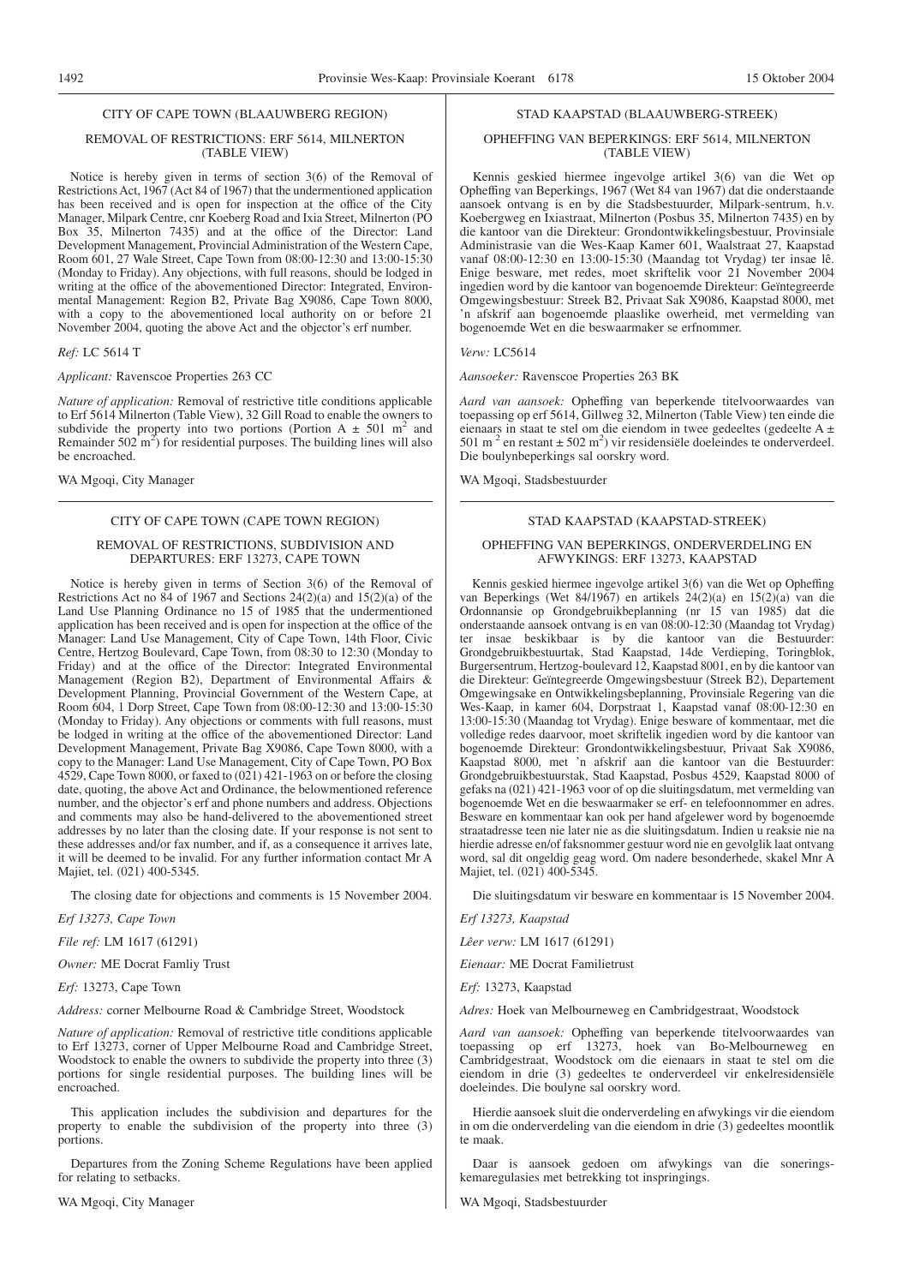#### CITY OF CAPE TOWN (BLAAUWBERG REGION)

#### REMOVAL OF RESTRICTIONS: ERF 5614, MILNERTON (TABLE VIEW)

Notice is hereby given in terms of section 3(6) of the Removal of Restrictions Act, 1967 (Act 84 of 1967) that the undermentioned application has been received and is open for inspection at the office of the City Manager, Milpark Centre, cnr Koeberg Road and Ixia Street, Milnerton (PO Box 35, Milnerton 7435) and at the office of the Director: Land Development Management, Provincial Administration of the Western Cape, Room 601, 27 Wale Street, Cape Town from 08:00-12:30 and 13:00-15:30 (Monday to Friday). Any objections, with full reasons, should be lodged in writing at the office of the abovementioned Director: Integrated, Environmental Management: Region B2, Private Bag X9086, Cape Town 8000, with a copy to the abovementioned local authority on or before 21 November 2004, quoting the above Act and the objector's erf number.

#### *Ref:* LC 5614 T

*Applicant:* Ravenscoe Properties 263 CC

*Nature of application:* Removal of restrictive title conditions applicable to Erf 5614 Milnerton (Table View), 32 Gill Road to enable the owners to subdivide the property into two portions (Portion A  $\pm$  501 m<sup>2</sup> and Remainder  $502 \text{ m}^2$ ) for residential purposes. The building lines will also be encroached.

WA Mgoqi, City Manager

#### CITY OF CAPE TOWN (CAPE TOWN REGION)

#### REMOVAL OF RESTRICTIONS, SUBDIVISION AND DEPARTURES: ERF 13273, CAPE TOWN

Notice is hereby given in terms of Section 3(6) of the Removal of Restrictions Act no 84 of 1967 and Sections 24(2)(a) and 15(2)(a) of the Land Use Planning Ordinance no 15 of 1985 that the undermentioned application has been received and is open for inspection at the office of the Manager: Land Use Management, City of Cape Town, 14th Floor, Civic Centre, Hertzog Boulevard, Cape Town, from 08:30 to 12:30 (Monday to Friday) and at the office of the Director: Integrated Environmental Management (Region B2), Department of Environmental Affairs & Development Planning, Provincial Government of the Western Cape, at Room 604, 1 Dorp Street, Cape Town from 08:00-12:30 and 13:00-15:30 (Monday to Friday). Any objections or comments with full reasons, must be lodged in writing at the office of the abovementioned Director: Land Development Management, Private Bag X9086, Cape Town 8000, with a copy to the Manager: Land Use Management, City of Cape Town, PO Box 4529, Cape Town 8000, or faxed to  $(021)$  421-1963 on or before the closing date, quoting, the above Act and Ordinance, the belowmentioned reference number, and the objector's erf and phone numbers and address. Objections and comments may also be hand-delivered to the abovementioned street addresses by no later than the closing date. If your response is not sent to these addresses and/or fax number, and if, as a consequence it arrives late, it will be deemed to be invalid. For any further information contact Mr A Majiet, tel. (021) 400-5345.

The closing date for objections and comments is 15 November 2004.

*Erf 13273, Cape Town*

*File ref:* LM 1617 (61291)

*Owner:* ME Docrat Famliy Trust

*Erf:* 13273, Cape Town

*Address:* corner Melbourne Road & Cambridge Street, Woodstock

*Nature of application:* Removal of restrictive title conditions applicable to Erf 13273, corner of Upper Melbourne Road and Cambridge Street, Woodstock to enable the owners to subdivide the property into three (3) portions for single residential purposes. The building lines will be encroached.

This application includes the subdivision and departures for the property to enable the subdivision of the property into three (3) portions.

Departures from the Zoning Scheme Regulations have been applied for relating to setbacks.

WA Mgoqi, City Manager

#### STAD KAAPSTAD (BLAAUWBERG-STREEK)

#### OPHEFFING VAN BEPERKINGS: ERF 5614, MILNERTON (TABLE VIEW)

Kennis geskied hiermee ingevolge artikel 3(6) van die Wet op Opheffing van Beperkings, 1967 (Wet 84 van 1967) dat die onderstaande aansoek ontvang is en by die Stadsbestuurder, Milpark-sentrum, h.v. Koebergweg en Ixiastraat, Milnerton (Posbus 35, Milnerton 7435) en by die kantoor van die Direkteur: Grondontwikkelingsbestuur, Provinsiale Administrasie van die Wes-Kaap Kamer 601, Waalstraat 27, Kaapstad vanaf 08:00-12:30 en 13:00-15:30 (Maandag tot Vrydag) ter insae lê. Enige besware, met redes, moet skriftelik voor 21 November 2004 ingedien word by die kantoor van bogenoemde Direkteur: Geïntegreerde Omgewingsbestuur: Streek B2, Privaat Sak X9086, Kaapstad 8000, met 'n afskrif aan bogenoemde plaaslike owerheid, met vermelding van bogenoemde Wet en die beswaarmaker se erfnommer.

#### *Verw:* LC5614

*Aansoeker:* Ravenscoe Properties 263 BK

*Aard van aansoek:* Opheffing van beperkende titelvoorwaardes van toepassing op erf 5614, Gillweg 32, Milnerton (Table View) ten einde die eienaars in staat te stel om die eiendom in twee gedeeltes (gedeelte A ± 501 m<sup>2</sup> en restant  $\pm$  502 m<sup>2</sup>) vir residensiële doeleindes te onderverdeel. Die boulynbeperkings sal oorskry word.

WA Mgoqi, Stadsbestuurder

#### STAD KAAPSTAD (KAAPSTAD-STREEK)

#### OPHEFFING VAN BEPERKINGS, ONDERVERDELING EN AFWYKINGS: ERF 13273, KAAPSTAD

Kennis geskied hiermee ingevolge artikel 3(6) van die Wet op Opheffing van Beperkings (Wet 84/1967) en artikels 24(2)(a) en 15(2)(a) van die Ordonnansie op Grondgebruikbeplanning (nr 15 van 1985) dat die onderstaande aansoek ontvang is en van 08:00-12:30 (Maandag tot Vrydag) ter insae beskikbaar is by die kantoor van die Bestuurder: Grondgebruikbestuurtak, Stad Kaapstad, 14de Verdieping, Toringblok, Burgersentrum, Hertzog-boulevard 12, Kaapstad 8001, en by die kantoor van die Direkteur: Geïntegreerde Omgewingsbestuur (Streek B2), Departement Omgewingsake en Ontwikkelingsbeplanning, Provinsiale Regering van die Wes-Kaap, in kamer 604, Dorpstraat 1, Kaapstad vanaf 08:00-12:30 en 13:00-15:30 (Maandag tot Vrydag). Enige besware of kommentaar, met die volledige redes daarvoor, moet skriftelik ingedien word by die kantoor van bogenoemde Direkteur: Grondontwikkelingsbestuur, Privaat Sak X9086, Kaapstad 8000, met 'n afskrif aan die kantoor van die Bestuurder: Grondgebruikbestuurstak, Stad Kaapstad, Posbus 4529, Kaapstad 8000 of gefaks na (021) 421-1963 voor of op die sluitingsdatum, met vermelding van bogenoemde Wet en die beswaarmaker se erf- en telefoonnommer en adres. Besware en kommentaar kan ook per hand afgelewer word by bogenoemde straatadresse teen nie later nie as die sluitingsdatum. Indien u reaksie nie na hierdie adresse en/of faksnommer gestuur word nie en gevolglik laat ontvang word, sal dit ongeldig geag word. Om nadere besonderhede, skakel Mnr A Majiet, tel. (021) 400-5345.

Die sluitingsdatum vir besware en kommentaar is 15 November 2004.

*Erf 13273, Kaapstad*

*Lêer verw:* LM 1617 (61291)

*Eienaar:* ME Docrat Familietrust

*Erf:* 13273, Kaapstad

*Adres:* Hoek van Melbourneweg en Cambridgestraat, Woodstock

*Aard van aansoek:* Opheffing van beperkende titelvoorwaardes van toepassing op erf 13273, hoek van Bo-Melbourneweg en Cambridgestraat, Woodstock om die eienaars in staat te stel om die eiendom in drie (3) gedeeltes te onderverdeel vir enkelresidensiële doeleindes. Die boulyne sal oorskry word.

Hierdie aansoek sluit die onderverdeling en afwykings vir die eiendom in om die onderverdeling van die eiendom in drie (3) gedeeltes moontlik te maak.

Daar is aansoek gedoen om afwykings van die soneringskemaregulasies met betrekking tot inspringings.

WA Mgoqi, Stadsbestuurder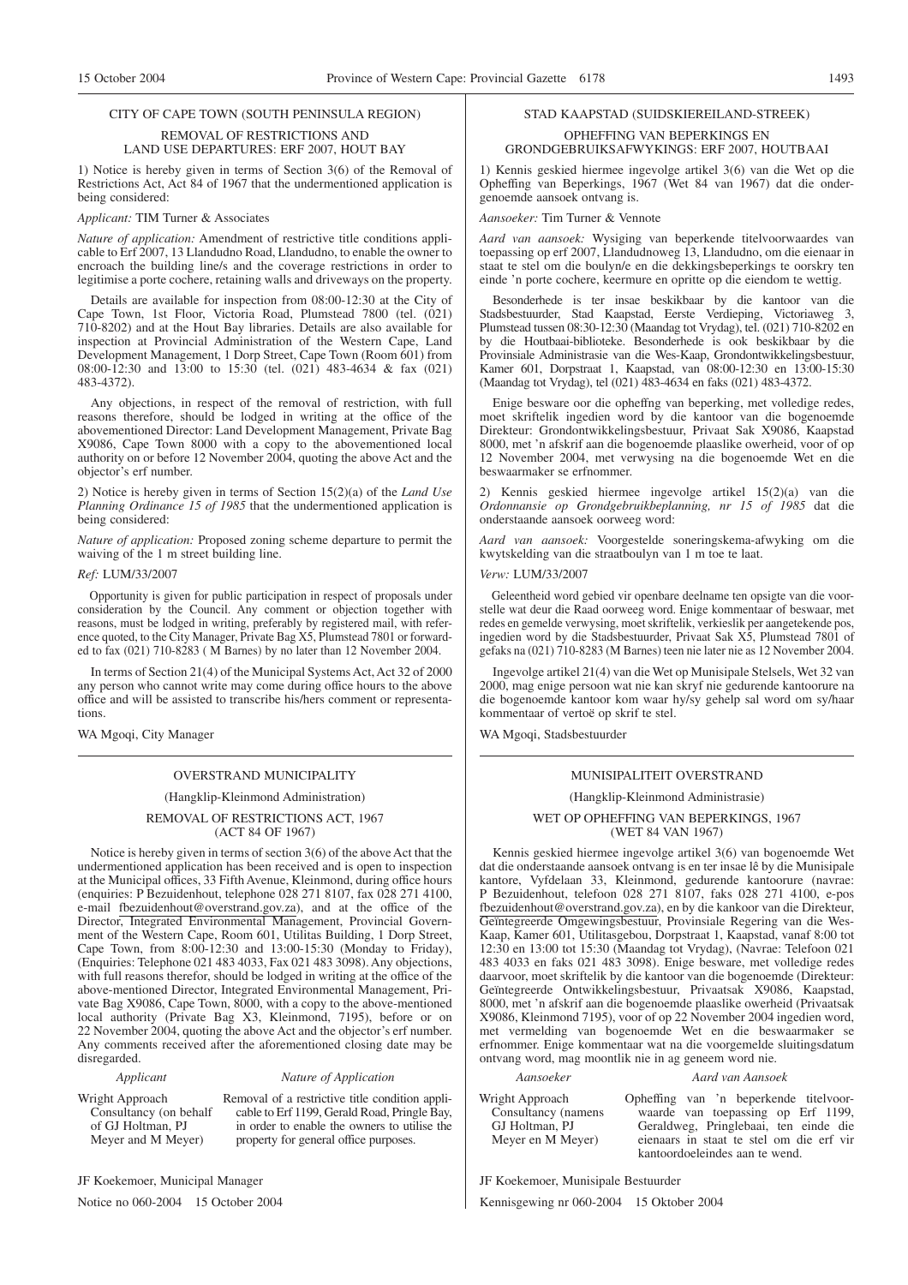#### CITY OF CAPE TOWN (SOUTH PENINSULA REGION)

#### REMOVAL OF RESTRICTIONS AND LAND USE DEPARTURES: ERF 2007, HOUT BAY

1) Notice is hereby given in terms of Section 3(6) of the Removal of Restrictions Act, Act 84 of 1967 that the undermentioned application is being considered:

#### *Applicant:* TIM Turner & Associates

*Nature of application:* Amendment of restrictive title conditions applicable to Erf 2007, 13 Llandudno Road, Llandudno, to enable the owner to encroach the building line/s and the coverage restrictions in order to legitimise a porte cochere, retaining walls and driveways on the property.

Details are available for inspection from 08:00-12:30 at the City of Cape Town, 1st Floor, Victoria Road, Plumstead 7800 (tel. (021) 710-8202) and at the Hout Bay libraries. Details are also available for inspection at Provincial Administration of the Western Cape, Land Development Management, 1 Dorp Street, Cape Town (Room 601) from 08:00-12:30 and 13:00 to 15:30 (tel. (021) 483-4634 & fax (021) 483-4372).

Any objections, in respect of the removal of restriction, with full reasons therefore, should be lodged in writing at the office of the abovementioned Director: Land Development Management, Private Bag X9086, Cape Town 8000 with a copy to the abovementioned local authority on or before 12 November 2004, quoting the above Act and the objector's erf number.

2) Notice is hereby given in terms of Section 15(2)(a) of the *Land Use Planning Ordinance 15 of 1985* that the undermentioned application is being considered:

*Nature of application:* Proposed zoning scheme departure to permit the waiving of the 1 m street building line.

#### *Ref:* LUM/33/2007

Opportunity is given for public participation in respect of proposals under consideration by the Council. Any comment or objection together with reasons, must be lodged in writing, preferably by registered mail, with reference quoted, to the City Manager, Private Bag X5, Plumstead 7801 or forwarded to fax (021) 710-8283 ( M Barnes) by no later than 12 November 2004.

In terms of Section 21(4) of the Municipal Systems Act, Act 32 of 2000 any person who cannot write may come during office hours to the above office and will be assisted to transcribe his/hers comment or representations.

WA Mgoqi, City Manager

#### OVERSTRAND MUNICIPALITY

#### (Hangklip-Kleinmond Administration)

REMOVAL OF RESTRICTIONS ACT, 1967 (ACT 84 OF 1967)

Notice is hereby given in terms of section 3(6) of the above Act that the undermentioned application has been received and is open to inspection at the Municipal offices, 33 Fifth Avenue, Kleinmond, during office hours (enquiries: P Bezuidenhout, telephone 028 271 8107, fax 028 271 4100, e-mail fbezuidenhout@overstrand.gov.za), and at the office of the Director, Integrated Environmental Management, Provincial Government of the Western Cape, Room 601, Utilitas Building, 1 Dorp Street, Cape Town, from 8:00-12:30 and 13:00-15:30 (Monday to Friday), (Enquiries: Telephone 021 483 4033, Fax 021 483 3098). Any objections, with full reasons therefor, should be lodged in writing at the office of the above-mentioned Director, Integrated Environmental Management, Private Bag X9086, Cape Town, 8000, with a copy to the above-mentioned local authority (Private Bag X3, Kleinmond, 7195), before or on 22 November 2004, quoting the above Act and the objector's erf number. Any comments received after the aforementioned closing date may be disregarded.

#### *Applicant Nature of Application*

Wright Approach Consultancy (on behalf of GJ Holtman, PJ Meyer and M Meyer)

Removal of a restrictive title condition applicable to Erf 1199, Gerald Road, Pringle Bay, in order to enable the owners to utilise the property for general office purposes.

JF Koekemoer, Municipal Manager

Notice no 060-2004 15 October 2004

#### STAD KAAPSTAD (SUIDSKIEREILAND-STREEK)

#### OPHEFFING VAN BEPERKINGS EN GRONDGEBRUIKSAFWYKINGS: ERF 2007, HOUTBAAI

1) Kennis geskied hiermee ingevolge artikel 3(6) van die Wet op die Opheffing van Beperkings, 1967 (Wet 84 van 1967) dat die ondergenoemde aansoek ontvang is.

*Aansoeker:* Tim Turner & Vennote

*Aard van aansoek:* Wysiging van beperkende titelvoorwaardes van toepassing op erf 2007, Llandudnoweg 13, Llandudno, om die eienaar in staat te stel om die boulyn/e en die dekkingsbeperkings te oorskry ten einde 'n porte cochere, keermure en opritte op die eiendom te wettig.

Besonderhede is ter insae beskikbaar by die kantoor van die Stadsbestuurder, Stad Kaapstad, Eerste Verdieping, Victoriaweg 3, Plumstead tussen 08:30-12:30 (Maandag tot Vrydag), tel. (021) 710-8202 en by die Houtbaai-biblioteke. Besonderhede is ook beskikbaar by die Provinsiale Administrasie van die Wes-Kaap, Grondontwikkelingsbestuur, Kamer 601, Dorpstraat 1, Kaapstad, van 08:00-12:30 en 13:00-15:30 (Maandag tot Vrydag), tel (021) 483-4634 en faks (021) 483-4372.

Enige besware oor die opheffng van beperking, met volledige redes, moet skriftelik ingedien word by die kantoor van die bogenoemde Direkteur: Grondontwikkelingsbestuur, Privaat Sak X9086, Kaapstad 8000, met 'n afskrif aan die bogenoemde plaaslike owerheid, voor of op 12 November 2004, met verwysing na die bogenoemde Wet en die beswaarmaker se erfnommer.

2) Kennis geskied hiermee ingevolge artikel 15(2)(a) van die *Ordonnansie op Grondgebruikbeplanning, nr 15 of 1985* dat die onderstaande aansoek oorweeg word:

*Aard van aansoek:* Voorgestelde soneringskema-afwyking om die kwytskelding van die straatboulyn van 1 m toe te laat.

*Verw:* LUM/33/2007

Geleentheid word gebied vir openbare deelname ten opsigte van die voorstelle wat deur die Raad oorweeg word. Enige kommentaar of beswaar, met redes en gemelde verwysing, moet skriftelik, verkieslik per aangetekende pos, ingedien word by die Stadsbestuurder, Privaat Sak X5, Plumstead 7801 of gefaks na (021) 710-8283 (M Barnes) teen nie later nie as 12 November 2004.

Ingevolge artikel 21(4) van die Wet op Munisipale Stelsels, Wet 32 van 2000, mag enige persoon wat nie kan skryf nie gedurende kantoorure na die bogenoemde kantoor kom waar hy/sy gehelp sal word om sy/haar kommentaar of vertoë op skrif te stel.

WA Mgoqi, Stadsbestuurder

# MUNISIPALITEIT OVERSTRAND

#### (Hangklip-Kleinmond Administrasie)

WET OP OPHEFFING VAN BEPERKINGS, 1967 (WET 84 VAN 1967)

Kennis geskied hiermee ingevolge artikel 3(6) van bogenoemde Wet dat die onderstaande aansoek ontvang is en ter insae lê by die Munisipale kantore, Vyfdelaan 33, Kleinmond, gedurende kantoorure (navrae: P Bezuidenhout, telefoon 028 271 8107, faks 028 271 4100, e-pos fbezuidenhout@overstrand.gov.za), en by die kankoor van die Direkteur, Geïntegreerde Omgewingsbestuur, Provinsiale Regering van die Wes-Kaap, Kamer 601, Utilitasgebou, Dorpstraat 1, Kaapstad, vanaf 8:00 tot 12:30 en 13:00 tot 15:30 (Maandag tot Vrydag), (Navrae: Telefoon 021 483 4033 en faks 021 483 3098). Enige besware, met volledige redes daarvoor, moet skriftelik by die kantoor van die bogenoemde (Direkteur: Geïntegreerde Ontwikkelingsbestuur, Privaatsak X9086, Kaapstad, 8000, met 'n afskrif aan die bogenoemde plaaslike owerheid (Privaatsak X9086, Kleinmond 7195), voor of op 22 November 2004 ingedien word, met vermelding van bogenoemde Wet en die beswaarmaker se erfnommer. Enige kommentaar wat na die voorgemelde sluitingsdatum ontvang word, mag moontlik nie in ag geneem word nie.

*Aansoeker Aard van Aansoek*

#### Wright Approach Consultancy (namens GJ Holtman, PJ Meyer en M Meyer)

Opheffing van 'n beperkende titelvoorwaarde van toepassing op Erf 1199, Geraldweg, Pringlebaai, ten einde die eienaars in staat te stel om die erf vir kantoordoeleindes aan te wend.

JF Koekemoer, Munisipale Bestuurder

Kennisgewing nr 060-2004 15 Oktober 2004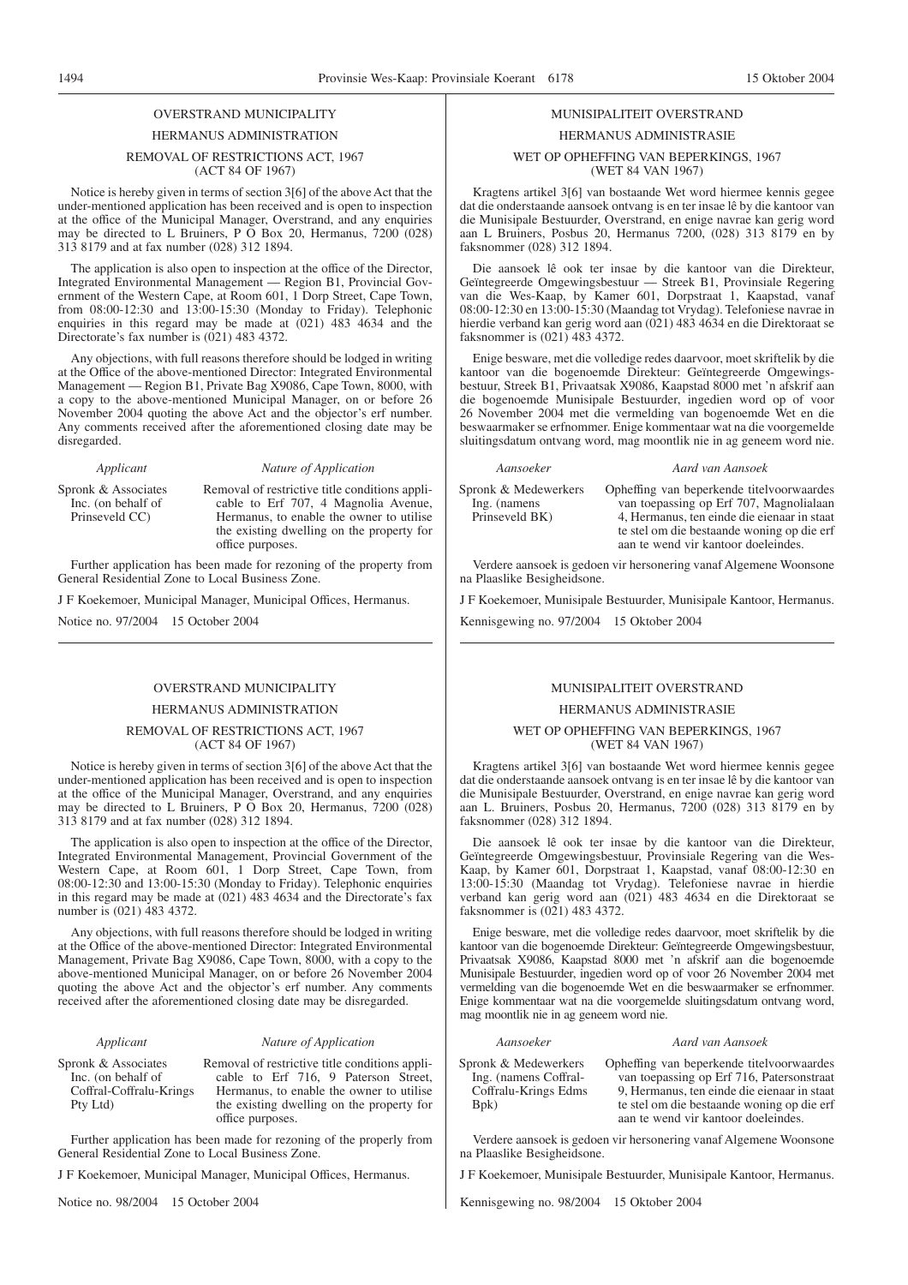# OVERSTRAND MUNICIPALITY

# HERMANUS ADMINISTRATION

#### REMOVAL OF RESTRICTIONS ACT, 1967 (ACT 84 OF 1967)

Notice is hereby given in terms of section 3[6] of the above Act that the under-mentioned application has been received and is open to inspection at the office of the Municipal Manager, Overstrand, and any enquiries may be directed to L Bruiners, P O Box 20, Hermanus, 7200 (028) 313 8179 and at fax number (028) 312 1894.

The application is also open to inspection at the office of the Director, Integrated Environmental Management — Region B1, Provincial Government of the Western Cape, at Room 601, 1 Dorp Street, Cape Town, from  $08:00-12:30$  and  $13:00-15:30$  (Monday to Friday). Telephonic enquiries in this regard may be made at (021) 483 4634 and the Directorate's fax number is (021) 483 4372.

Any objections, with full reasons therefore should be lodged in writing at the Office of the above-mentioned Director: Integrated Environmental Management — Region B1, Private Bag X9086, Cape Town, 8000, with a copy to the above-mentioned Municipal Manager, on or before 26 November 2004 quoting the above Act and the objector's erf number. Any comments received after the aforementioned closing date may be disregarded.

#### *Applicant Nature of Application*

Spronk & Associates Inc. (on behalf of Prinseveld CC)

Removal of restrictive title conditions applicable to Erf 707, 4 Magnolia Avenue, Hermanus, to enable the owner to utilise the existing dwelling on the property for office purposes.

Further application has been made for rezoning of the property from General Residential Zone to Local Business Zone.

J F Koekemoer, Municipal Manager, Municipal Offices, Hermanus.

Notice no. 97/2004 15 October 2004

#### OVERSTRAND MUNICIPALITY

#### HERMANUS ADMINISTRATION

#### REMOVAL OF RESTRICTIONS ACT, 1967 (ACT 84 OF 1967)

Notice is hereby given in terms of section 3[6] of the above Act that the under-mentioned application has been received and is open to inspection at the office of the Municipal Manager, Overstrand, and any enquiries may be directed to L Bruiners, P  $\overline{O}$  Box 20, Hermanus,  $\overline{7}200$  (028) 313 8179 and at fax number (028) 312 1894.

The application is also open to inspection at the office of the Director, Integrated Environmental Management, Provincial Government of the Western Cape, at Room 601, 1 Dorp Street, Cape Town, from 08:00-12:30 and 13:00-15:30 (Monday to Friday). Telephonic enquiries in this regard may be made at (021) 483 4634 and the Directorate's fax number is (021) 483 4372.

Any objections, with full reasons therefore should be lodged in writing at the Office of the above-mentioned Director: Integrated Environmental Management, Private Bag X9086, Cape Town, 8000, with a copy to the above-mentioned Municipal Manager, on or before 26 November 2004 quoting the above Act and the objector's erf number. Any comments received after the aforementioned closing date may be disregarded.

#### *Applicant Nature of Application*

Spronk & Associates Inc. (on behalf of Coffral-Coffralu-Krings Pty Ltd)

Removal of restrictive title conditions applicable to Erf 716, 9 Paterson Street, Hermanus, to enable the owner to utilise the existing dwelling on the property for office purposes.

Further application has been made for rezoning of the properly from General Residential Zone to Local Business Zone.

J F Koekemoer, Municipal Manager, Municipal Offices, Hermanus.

Notice no. 98/2004 15 October 2004

### MUNISIPALITEIT OVERSTRAND

#### HERMANUS ADMINISTRASIE

#### WET OP OPHEFFING VAN BEPERKINGS, 1967 (WET 84 VAN 1967)

Kragtens artikel 3[6] van bostaande Wet word hiermee kennis gegee dat die onderstaande aansoek ontvang is en ter insae lê by die kantoor van die Munisipale Bestuurder, Overstrand, en enige navrae kan gerig word aan L Bruiners, Posbus 20, Hermanus 7200, (028) 313 8179 en by faksnommer (028) 312 1894.

Die aansoek lê ook ter insae by die kantoor van die Direkteur, Geïntegreerde Omgewingsbestuur van die Wes-Kaap, by Kamer 601, Dorpstraat 1, Kaapstad, vanaf 08:00-12:30 en 13:00-15:30 (Maandag tot Vrydag). Telefoniese navrae in hierdie verband kan gerig word aan (021) 483 4634 en die Direktoraat se faksnommer is (021) 483 4372.

Enige besware, met die volledige redes daarvoor, moet skriftelik by die kantoor van die bogenoemde Direkteur: Geïntegreerde Omgewingsbestuur, Streek B1, Privaatsak X9086, Kaapstad 8000 met 'n afskrif aan die bogenoemde Munisipale Bestuurder, ingedien word op of voor 26 November 2004 met die vermelding van bogenoemde Wet en die beswaarmaker se erfnommer. Enige kommentaar wat na die voorgemelde sluitingsdatum ontvang word, mag moontlik nie in ag geneem word nie.

*Aansoeker Aard van Aansoek* Spronk & Medewerkers Ing. (namens Prinseveld BK)

Opheffing van beperkende titelvoorwaardes van toepassing op Erf 707, Magnolialaan 4, Hermanus, ten einde die eienaar in staat te stel om die bestaande woning op die erf

aan te wend vir kantoor doeleindes.

Verdere aansoek is gedoen vir hersonering vanaf Algemene Woonsone na Plaaslike Besigheidsone.

J F Koekemoer, Munisipale Bestuurder, Munisipale Kantoor, Hermanus.

Kennisgewing no. 97/2004 15 Oktober 2004

#### MUNISIPALITEIT OVERSTRAND

#### HERMANUS ADMINISTRASIE

#### WET OP OPHEFFING VAN BEPERKINGS, 1967 (WET 84 VAN 1967)

Kragtens artikel 3[6] van bostaande Wet word hiermee kennis gegee dat die onderstaande aansoek ontvang is en ter insae lê by die kantoor van die Munisipale Bestuurder, Overstrand, en enige navrae kan gerig word aan L. Bruiners, Posbus 20, Hermanus, 7200 (028) 313 8179 en by faksnommer (028) 312 1894.

Die aansoek lê ook ter insae by die kantoor van die Direkteur, Geïntegreerde Omgewingsbestuur, Provinsiale Regering van die Wes-Kaap, by Kamer 601, Dorpstraat 1, Kaapstad, vanaf 08:00-12:30 en 13:00-15:30 (Maandag tot Vrydag). Telefoniese navrae in hierdie verband kan gerig word aan (021) 483 4634 en die Direktoraat se faksnommer is (021) 483 4372.

Enige besware, met die volledige redes daarvoor, moet skriftelik by die kantoor van die bogenoemde Direkteur: Geïntegreerde Omgewingsbestuur, Privaatsak X9086, Kaapstad 8000 met 'n afskrif aan die bogenoemde Munisipale Bestuurder, ingedien word op of voor 26 November 2004 met vermelding van die bogenoemde Wet en die beswaarmaker se erfnommer. Enige kommentaar wat na die voorgemelde sluitingsdatum ontvang word, mag moontlik nie in ag geneem word nie.

#### *Aansoeker Aard van Aansoek*

| Spronk & Medewerkers  | Opheffing van beperkende titelvoorwaardes   |
|-----------------------|---------------------------------------------|
| Ing. (namens Coffral- | van toepassing op Erf 716, Patersonstraat   |
| Coffralu-Krings Edms  | 9. Hermanus, ten einde die eienaar in staat |
| Bpk)                  | te stel om die bestaande woning op die erf  |
|                       | aan te wend vir kantoor doeleindes.         |

Verdere aansoek is gedoen vir hersonering vanaf Algemene Woonsone na Plaaslike Besigheidsone.

J F Koekemoer, Munisipale Bestuurder, Munisipale Kantoor, Hermanus.

Kennisgewing no. 98/2004 15 Oktober 2004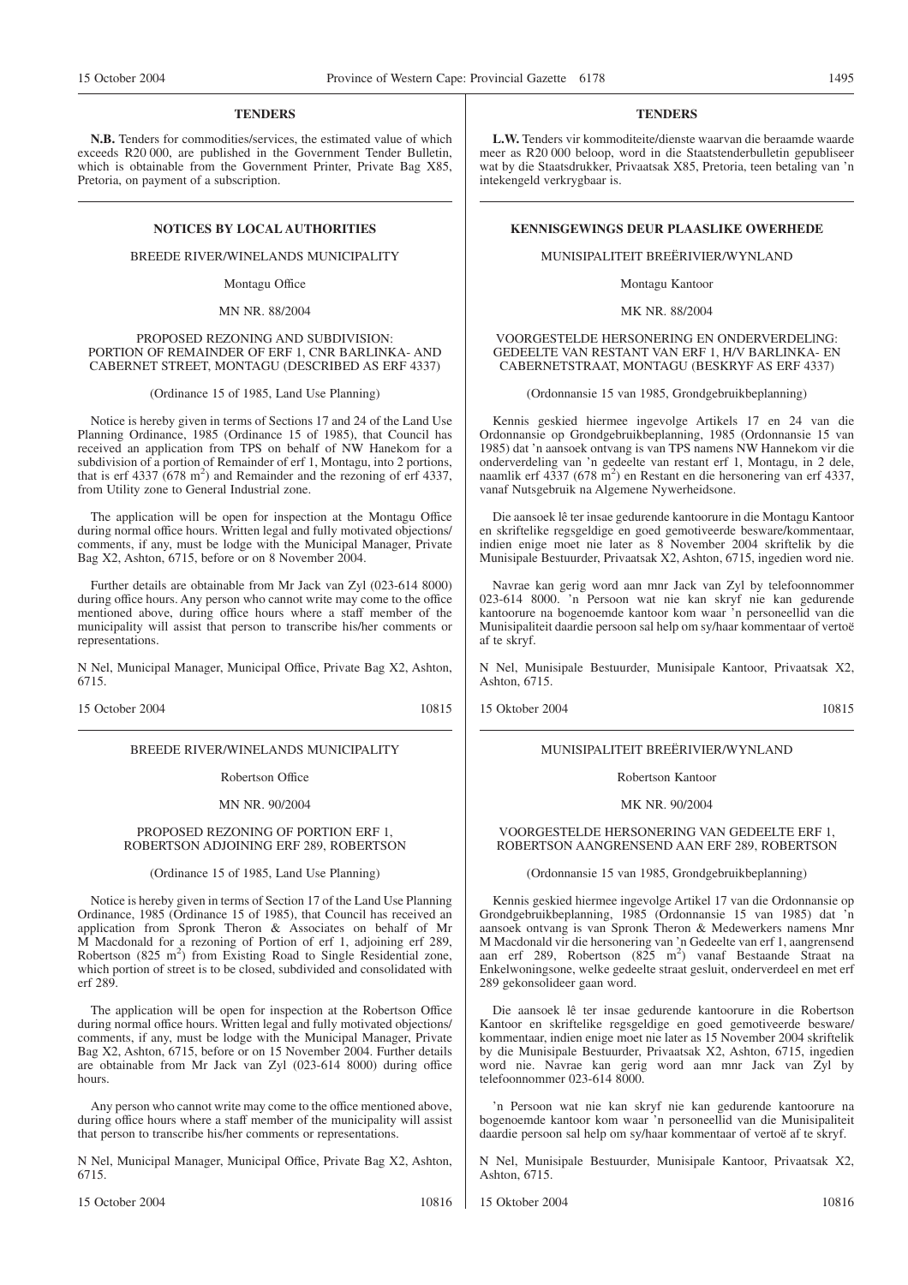#### **TENDERS**

**N.B.** Tenders for commodities/services, the estimated value of which exceeds R20 000, are published in the Government Tender Bulletin, which is obtainable from the Government Printer, Private Bag X85, Pretoria, on payment of a subscription.

BREEDE RIVER/WINELANDS MUNICIPALITY

Montagu Office

#### MN NR. 88/2004

#### PROPOSED REZONING AND SUBDIVISION: PORTION OF REMAINDER OF ERF 1, CNR BARLINKA- AND CABERNET STREET, MONTAGU (DESCRIBED AS ERF 4337)

(Ordinance 15 of 1985, Land Use Planning)

Notice is hereby given in terms of Sections 17 and 24 of the Land Use Planning Ordinance, 1985 (Ordinance 15 of 1985), that Council has received an application from TPS on behalf of NW Hanekom for a subdivision of a portion of Remainder of erf 1, Montagu, into 2 portions, that is erf  $4337 (678 \text{ m}^2)$  and Remainder and the rezoning of erf  $4337$ , from Utility zone to General Industrial zone.

The application will be open for inspection at the Montagu Office during normal office hours. Written legal and fully motivated objections/ comments, if any, must be lodge with the Municipal Manager, Private Bag X2, Ashton, 6715, before or on 8 November 2004.

Further details are obtainable from Mr Jack van Zyl (023-614 8000) during office hours. Any person who cannot write may come to the office mentioned above, during office hours where a staff member of the municipality will assist that person to transcribe his/her comments or representations.

N Nel, Municipal Manager, Municipal Office, Private Bag X2, Ashton, 6715.

15 October 2004 10815

#### BREEDE RIVER/WINELANDS MUNICIPALITY

#### Robertson Office

MN NR. 90/2004

#### PROPOSED REZONING OF PORTION ERF 1, ROBERTSON ADJOINING ERF 289, ROBERTSON

#### (Ordinance 15 of 1985, Land Use Planning)

Notice is hereby given in terms of Section 17 of the Land Use Planning Ordinance, 1985 (Ordinance 15 of 1985), that Council has received an application from Spronk Theron & Associates on behalf of Mr M Macdonald for a rezoning of Portion of erf 1, adjoining erf 289, Robertson (825 m<sup>2</sup>) from Existing Road to Single Residential zone, which portion of street is to be closed, subdivided and consolidated with erf 289.

The application will be open for inspection at the Robertson Office during normal office hours. Written legal and fully motivated objections/ comments, if any, must be lodge with the Municipal Manager, Private Bag X2, Ashton, 6715, before or on 15 November 2004. Further details are obtainable from Mr Jack van Zyl (023-614 8000) during office hours.

Any person who cannot write may come to the office mentioned above, during office hours where a staff member of the municipality will assist that person to transcribe his/her comments or representations.

N Nel, Municipal Manager, Municipal Office, Private Bag X2, Ashton, 6715.

15 October 2004 10816

#### **TENDERS**

**L.W.** Tenders vir kommoditeite/dienste waarvan die beraamde waarde meer as R20 000 beloop, word in die Staatstenderbulletin gepubliseer wat by die Staatsdrukker, Privaatsak X85, Pretoria, teen betaling van 'n intekengeld verkrygbaar is.

# **NOTICES BY LOCAL AUTHORITIES EXERCISE ASSESSED ASSESSED AT A RESINGS DEUR PLAASLIKE OWERHEDE**

#### MUNISIPALITEIT BREËRIVIER/WYNLAND

Montagu Kantoor

MK NR. 88/2004

#### VOORGESTELDE HERSONERING EN ONDERVERDELlNG: GEDEELTE VAN RESTANT VAN ERF 1, H/V BARLINKA- EN CABERNETSTRAAT, MONTAGU (BESKRYF AS ERF 4337)

(Ordonnansie 15 van 1985, Grondgebruikbeplanning)

Kennis geskied hiermee ingevolge Artikels 17 en 24 van die Ordonnansie op Grondgebruikbeplanning, 1985 (Ordonnansie 15 van 1985) dat 'n aansoek ontvang is van TPS namens NW Hannekom vir die onderverdeling van 'n gedeelte van restant erf 1, Montagu, in 2 dele, naamlik erf 4337 (678 m<sup>2</sup>) en Restant en die hersonering van erf 4337, vanaf Nutsgebruik na Algemene Nywerheidsone.

Die aansoek lê ter insae gedurende kantoorure in die Montagu Kantoor en skriftelike regsgeldige en goed gemotiveerde besware/kommentaar, indien enige moet nie later as 8 November 2004 skriftelik by die Munisipale Bestuurder, Privaatsak X2, Ashton, 6715, ingedien word nie.

Navrae kan gerig word aan mnr Jack van Zyl by telefoonnommer 023-614 8000. 'n Persoon wat nie kan skryf nie kan gedurende kantoorure na bogenoemde kantoor kom waar 'n personeellid van die Munisipaliteit daardie persoon sal help om sy/haar kommentaar of vertoë af te skryf.

N Nel, Munisipale Bestuurder, Munisipale Kantoor, Privaatsak X2, Ashton, 6715.

15 Oktober 2004 10815

#### MUNISIPALITEIT BREËRIVIER/WYNLAND

Robertson Kantoor

#### MK NR. 90/2004

VOORGESTELDE HERSONERING VAN GEDEELTE ERF 1, ROBERTSON AANGRENSEND AAN ERF 289, ROBERTSON

(Ordonnansie 15 van 1985, Grondgebruikbeplanning)

Kennis geskied hiermee ingevolge Artikel 17 van die Ordonnansie op Grondgebruikbeplanning, 1985 (Ordonnansie 15 van 1985) dat 'n aansoek ontvang is van Spronk Theron & Medewerkers namens Mnr M Macdonald vir die hersonering van 'n Gedeelte van erf 1, aangrensend aan erf 289, Robertson (825 m<sup>2</sup>) vanaf Bestaande Straat na Enkelwoningsone, welke gedeelte straat gesluit, onderverdeel en met erf 289 gekonsolideer gaan word.

Die aansoek lê ter insae gedurende kantoorure in die Robertson Kantoor en skriftelike regsgeldige en goed gemotiveerde besware/ kommentaar, indien enige moet nie later as 15 November 2004 skriftelik by die Munisipale Bestuurder, Privaatsak X2, Ashton, 6715, ingedien word nie. Navrae kan gerig word aan mnr Jack van Zyl by telefoonnommer 023-614 8000.

'n Persoon wat nie kan skryf nie kan gedurende kantoorure na bogenoemde kantoor kom waar 'n personeellid van die Munisipaliteit daardie persoon sal help om sy/haar kommentaar of vertoë af te skryf.

N Nel, Munisipale Bestuurder, Munisipale Kantoor, Privaatsak X2, Ashton, 6715.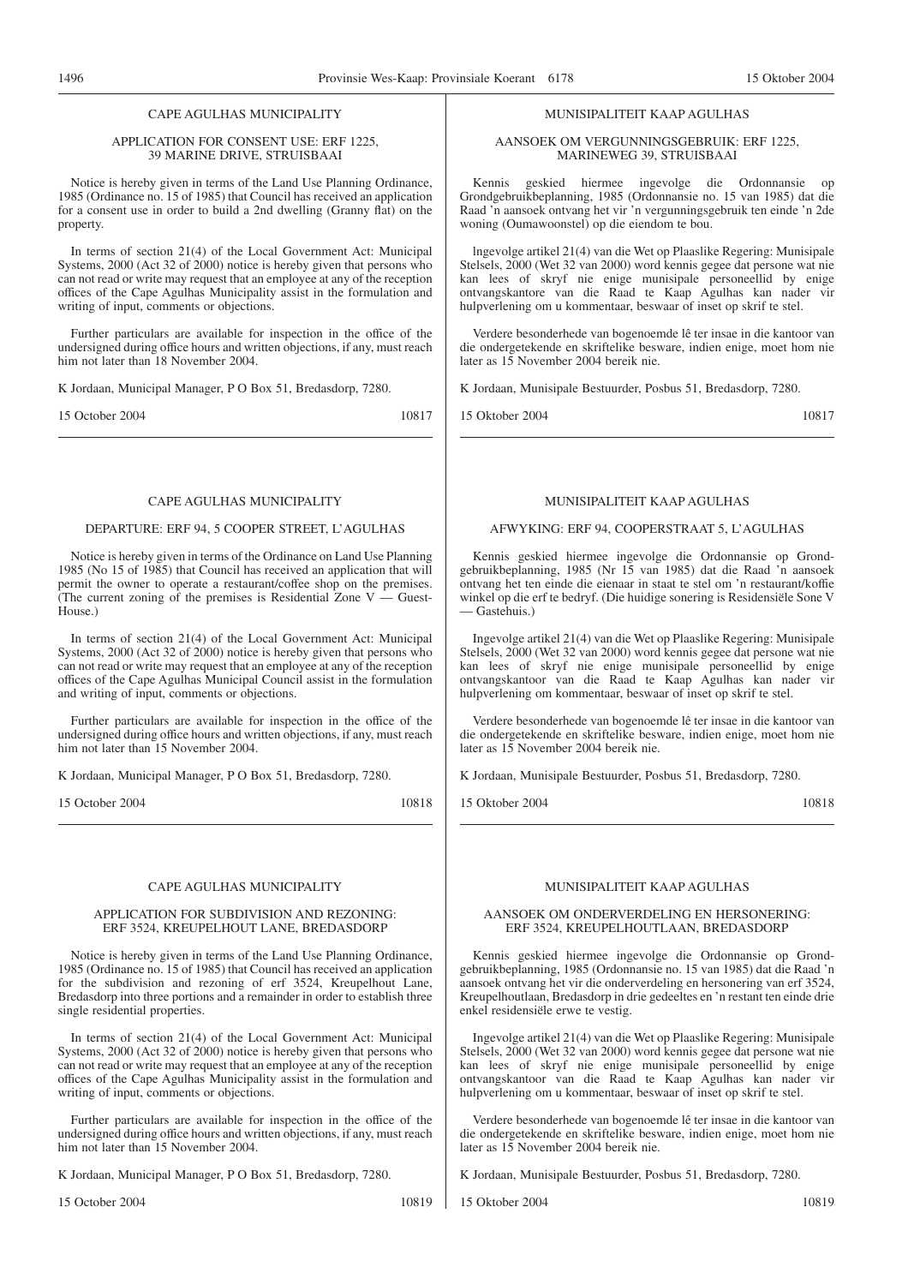### CAPE AGULHAS MUNICIPALITY

#### APPLICATION FOR CONSENT USE: ERF 1225, 39 MARINE DRIVE, STRUISBAAI

Notice is hereby given in terms of the Land Use Planning Ordinance, 1985 (Ordinance no. 15 of 1985) that Council has received an application for a consent use in order to build a 2nd dwelling (Granny flat) on the property.

In terms of section 21(4) of the Local Government Act: Municipal Systems, 2000 (Act 32 of 2000) notice is hereby given that persons who can not read or write may request that an employee at any of the reception offices of the Cape Agulhas Municipality assist in the formulation and writing of input, comments or objections.

Further particulars are available for inspection in the office of the undersigned during office hours and written objections, if any, must reach him not later than 18 November 2004.

K Jordaan, Municipal Manager, P O Box 51, Bredasdorp, 7280.

15 October 2004 10817

#### CAPE AGULHAS MUNICIPALITY

#### DEPARTURE: ERF 94, 5 COOPER STREET, L'AGULHAS

Notice is hereby given in terms of the Ordinance on Land Use Planning 1985 (No 15 of 1985) that Council has received an application that will permit the owner to operate a restaurant/coffee shop on the premises. (The current zoning of the premises is Residential Zone  $V -$  Guest-House.)

In terms of section 21(4) of the Local Government Act: Municipal Systems, 2000 (Act 32 of 2000) notice is hereby given that persons who can not read or write may request that an employee at any of the reception offices of the Cape Agulhas Municipal Council assist in the formulation and writing of input, comments or objections.

Further particulars are available for inspection in the office of the undersigned during office hours and written objections, if any, must reach him not later than 15 November 2004.

K Jordaan, Municipal Manager, P O Box 51, Bredasdorp, 7280.

15 October 2004 10818

#### CAPE AGULHAS MUNICIPALITY

#### APPLICATION FOR SUBDIVISION AND REZONING: ERF 3524, KREUPELHOUT LANE, BREDASDORP

Notice is hereby given in terms of the Land Use Planning Ordinance, 1985 (Ordinance no. 15 of 1985) that Council has received an application for the subdivision and rezoning of erf 3524, Kreupelhout Lane, Bredasdorp into three portions and a remainder in order to establish three single residential properties.

In terms of section 21(4) of the Local Government Act: Municipal Systems, 2000 (Act 32 of 2000) notice is hereby given that persons who can not read or write may request that an employee at any of the reception offices of the Cape Agulhas Municipality assist in the formulation and writing of input, comments or objections.

Further particulars are available for inspection in the office of the undersigned during office hours and written objections, if any, must reach him not later than 15 November 2004.

K Jordaan, Municipal Manager, P O Box 51, Bredasdorp, 7280.

15 October 2004 10819

#### MUNISIPALITEIT KAAP AGULHAS

#### AANSOEK OM VERGUNNINGSGEBRUIK: ERF 1225, MARINEWEG 39, STRUISBAAI

Kennis geskied hiermee ingevolge die Ordonnansie op Grondgebruikbeplanning, 1985 (Ordonnansie no. 15 van 1985) dat die Raad 'n aansoek ontvang het vir 'n vergunningsgebruik ten einde 'n 2de woning (Oumawoonstel) op die eiendom te bou.

lngevolge artikel 21(4) van die Wet op Plaaslike Regering: Munisipale Stelsels, 2000 (Wet 32 van 2000) word kennis gegee dat persone wat nie kan lees of skryf nie enige munisipale personeellid by enige ontvangskantore van die Raad te Kaap Agulhas kan nader vir hulpverlening om u kommentaar, beswaar of inset op skrif te stel.

Verdere besonderhede van bogenoemde lê ter insae in die kantoor van die ondergetekende en skriftelike besware, indien enige, moet hom nie later as 15 November 2004 bereik nie.

K Jordaan, Munisipale Bestuurder, Posbus 51, Bredasdorp, 7280.

15 Oktober 2004 10817

#### MUNISIPALITEIT KAAP AGULHAS

#### AFWYKING: ERF 94, COOPERSTRAAT 5, L'AGULHAS

Kennis geskied hiermee ingevolge die Ordonnansie op Grondgebruikbeplanning, 1985 (Nr 15 van 1985) dat die Raad 'n aansoek ontvang het ten einde die eienaar in staat te stel om 'n restaurant/koffie winkel op die erf te bedryf. (Die huidige sonering is Residensiële Sone V — Gastehuis.)

Ingevolge artikel 21(4) van die Wet op Plaaslike Regering: Munisipale Stelsels, 2000 (Wet 32 van 2000) word kennis gegee dat persone wat nie kan lees of skryf nie enige munisipale personeellid by enige ontvangskantoor van die Raad te Kaap Agulhas kan nader vir hulpverlening om kommentaar, beswaar of inset op skrif te stel.

Verdere besonderhede van bogenoemde lê ter insae in die kantoor van die ondergetekende en skriftelike besware, indien enige, moet hom nie later as 15 November 2004 bereik nie.

K Jordaan, Munisipale Bestuurder, Posbus 51, Bredasdorp, 7280.

15 Oktober 2004 10818

#### MUNISIPALITEIT KAAP AGULHAS

#### AANSOEK OM ONDERVERDELING EN HERSONERING: ERF 3524, KREUPELHOUTLAAN, BREDASDORP

Kennis geskied hiermee ingevolge die Ordonnansie op Grondgebruikbeplanning, 1985 (Ordonnansie no. 15 van 1985) dat die Raad 'n aansoek ontvang het vir die onderverdeling en hersonering van erf 3524, Kreupelhoutlaan, Bredasdorp in drie gedeeltes en 'n restant ten einde drie enkel residensiële erwe te vestig.

Ingevolge artikel 21(4) van die Wet op Plaaslike Regering: Munisipale Stelsels, 2000 (Wet 32 van 2000) word kennis gegee dat persone wat nie kan lees of skryf nie enige munisipale personeellid by enige ontvangskantoor van die Raad te Kaap Agulhas kan nader vir hulpverlening om u kommentaar, beswaar of inset op skrif te stel.

Verdere besonderhede van bogenoemde lê ter insae in die kantoor van die ondergetekende en skriftelike besware, indien enige, moet hom nie later as 15 November 2004 bereik nie.

K Jordaan, Munisipale Bestuurder, Posbus 51, Bredasdorp, 7280.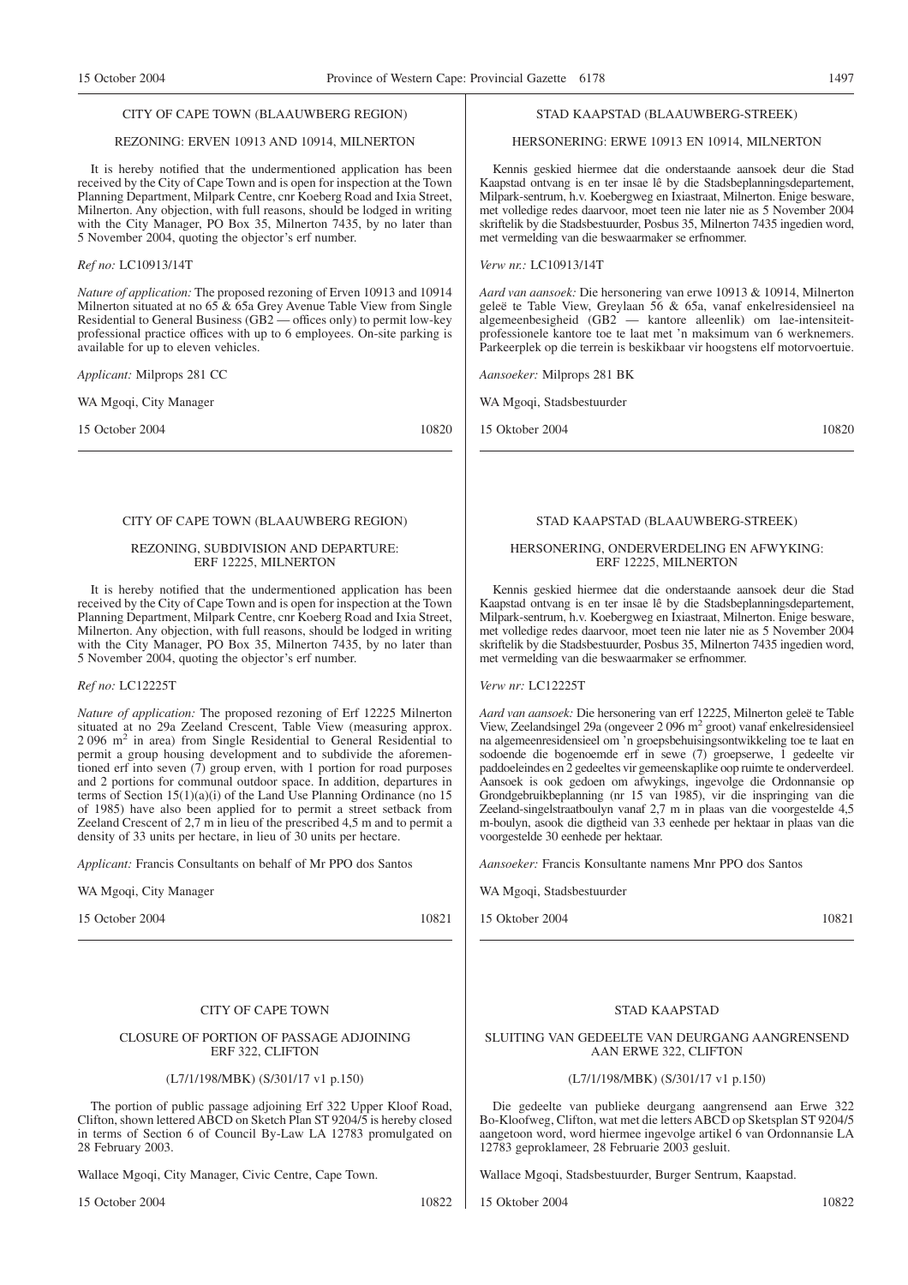#### CITY OF CAPE TOWN (BLAAUWBERG REGION)

#### REZONING: ERVEN 10913 AND 10914, MILNERTON

It is hereby notified that the undermentioned application has been received by the City of Cape Town and is open for inspection at the Town Planning Department, Milpark Centre, cnr Koeberg Road and Ixia Street, Milnerton. Any objection, with full reasons, should be lodged in writing with the City Manager, PO Box 35, Milnerton 7435, by no later than 5 November 2004, quoting the objector's erf number.

#### *Ref no:* LC10913/14T

*Nature of application:* The proposed rezoning of Erven 10913 and 10914 Milnerton situated at no 65 & 65a Grey Avenue Table View from Single Residential to General Business (GB2 — offices only) to permit low-key professional practice offices with up to 6 employees. On-site parking is available for up to eleven vehicles.

*Applicant:* Milprops 281 CC

WA Mgoqi, City Manager

15 October 2004 10820

#### CITY OF CAPE TOWN (BLAAUWBERG REGION)

#### REZONING, SUBDIVISION AND DEPARTURE: ERF 12225, MILNERTON

It is hereby notified that the undermentioned application has been received by the City of Cape Town and is open for inspection at the Town Planning Department, Milpark Centre, cnr Koeberg Road and Ixia Street, Milnerton. Any objection, with full reasons, should be lodged in writing with the City Manager, PO Box 35, Milnerton 7435, by no later than 5 November 2004, quoting the objector's erf number.

#### *Ref no:* LC12225T

*Nature of application:* The proposed rezoning of Erf 12225 Milnerton situated at no 29a Zeeland Crescent, Table View (measuring approx. 2 096 m2 in area) from Single Residential to General Residential to permit a group housing development and to subdivide the aforementioned erf into seven  $(7)$  group erven, with 1 portion for road purposes and 2 portions for communal outdoor space. In addition, departures in terms of Section 15(1)(a)(i) of the Land Use Planning Ordinance (no 15 of 1985) have also been applied for to permit a street setback from Zeeland Crescent of 2,7 m in lieu of the prescribed 4,5 m and to permit a density of 33 units per hectare, in lieu of 30 units per hectare.

*Applicant:* Francis Consultants on behalf of Mr PPO dos Santos

WA Mgoqi, City Manager

15 October 2004 10821

#### CITY OF CAPE TOWN

#### CLOSURE OF PORTION OF PASSAGE ADJOINING ERF 322, CLIFTON

#### (L7/1/198/MBK) (S/301/17 v1 p.150)

The portion of public passage adjoining Erf 322 Upper Kloof Road, Clifton, shown lettered ABCD on Sketch Plan ST 9204/5 is hereby closed in terms of Section 6 of Council By-Law LA 12783 promulgated on 28 February 2003.

Wallace Mgoqi, City Manager, Civic Centre, Cape Town.

15 October 2004 10822

#### STAD KAAPSTAD (BLAAUWBERG-STREEK)

HERSONERING: ERWE 10913 EN 10914, MILNERTON

Kennis geskied hiermee dat die onderstaande aansoek deur die Stad Kaapstad ontvang is en ter insae lê by die Stadsbeplanningsdepartement, Milpark-sentrum, h.v. Koebergweg en Ixiastraat, Milnerton. Enige besware, met volledige redes daarvoor, moet teen nie later nie as 5 November 2004 skriftelik by die Stadsbestuurder, Posbus 35, Milnerton 7435 ingedien word, met vermelding van die beswaarmaker se erfnommer.

*Verw nr.:* LC10913/14T

*Aard van aansoek:* Die hersonering van erwe 10913 & 10914, Milnerton geleë te Table View, Greylaan 56 & 65a, vanaf enkelresidensieel na algemeenbesigheid (GB2 — kantore alleenlik) om lae-intensiteitprofessionele kantore toe te laat met 'n maksimum van 6 werknemers. Parkeerplek op die terrein is beskikbaar vir hoogstens elf motorvoertuie.

*Aansoeker:* Milprops 281 BK

WA Mgoqi, Stadsbestuurder

15 Oktober 2004 10820

#### STAD KAAPSTAD (BLAAUWBERG-STREEK)

#### HERSONERING, ONDERVERDELING EN AFWYKING: ERF 12225, MILNERTON

Kennis geskied hiermee dat die onderstaande aansoek deur die Stad Kaapstad ontvang is en ter insae lê by die Stadsbeplanningsdepartement, Milpark-sentrum, h.v. Koebergweg en Ixiastraat, Milnerton. Enige besware, met volledige redes daarvoor, moet teen nie later nie as 5 November 2004 skriftelik by die Stadsbestuurder, Posbus 35, Milnerton 7435 ingedien word, met vermelding van die beswaarmaker se erfnommer.

*Verw nr:* LC12225T

*Aard van aansoek:* Die hersonering van erf 12225, Milnerton geleë te Table View, Zeelandsingel 29a (ongeveer 2 096 m2 groot) vanaf enkelresidensieel na algemeenresidensieel om 'n groepsbehuisingsontwikkeling toe te laat en sodoende die bogenoemde erf in sewe (7) groepserwe, 1 gedeelte vir paddoeleindes en 2 gedeeltes vir gemeenskaplike oop ruimte te onderverdeel. Aansoek is ook gedoen om afwykings, ingevolge die Ordonnansie op Grondgebruikbeplanning (nr 15 van 1985), vir die inspringing van die Zeeland-singelstraatboulyn vanaf 2,7 m in plaas van die voorgestelde 4,5 m-boulyn, asook die digtheid van 33 eenhede per hektaar in plaas van die voorgestelde 30 eenhede per hektaar.

*Aansoeker:* Francis Konsultante namens Mnr PPO dos Santos

WA Mgoqi, Stadsbestuurder

15 Oktober 2004 10821 10821

#### STAD KAAPSTAD

#### SLUITING VAN GEDEELTE VAN DEURGANG AANGRENSEND AAN ERWE 322, CLIFTON

#### (L7/1/198/MBK) (S/301/17 v1 p.150)

Die gedeelte van publieke deurgang aangrensend aan Erwe 322 Bo-Kloofweg, Clifton, wat met die letters ABCD op Sketsplan ST 9204/5 aangetoon word, word hiermee ingevolge artikel 6 van Ordonnansie LA 12783 geproklameer, 28 Februarie 2003 gesluit.

Wallace Mgoqi, Stadsbestuurder, Burger Sentrum, Kaapstad.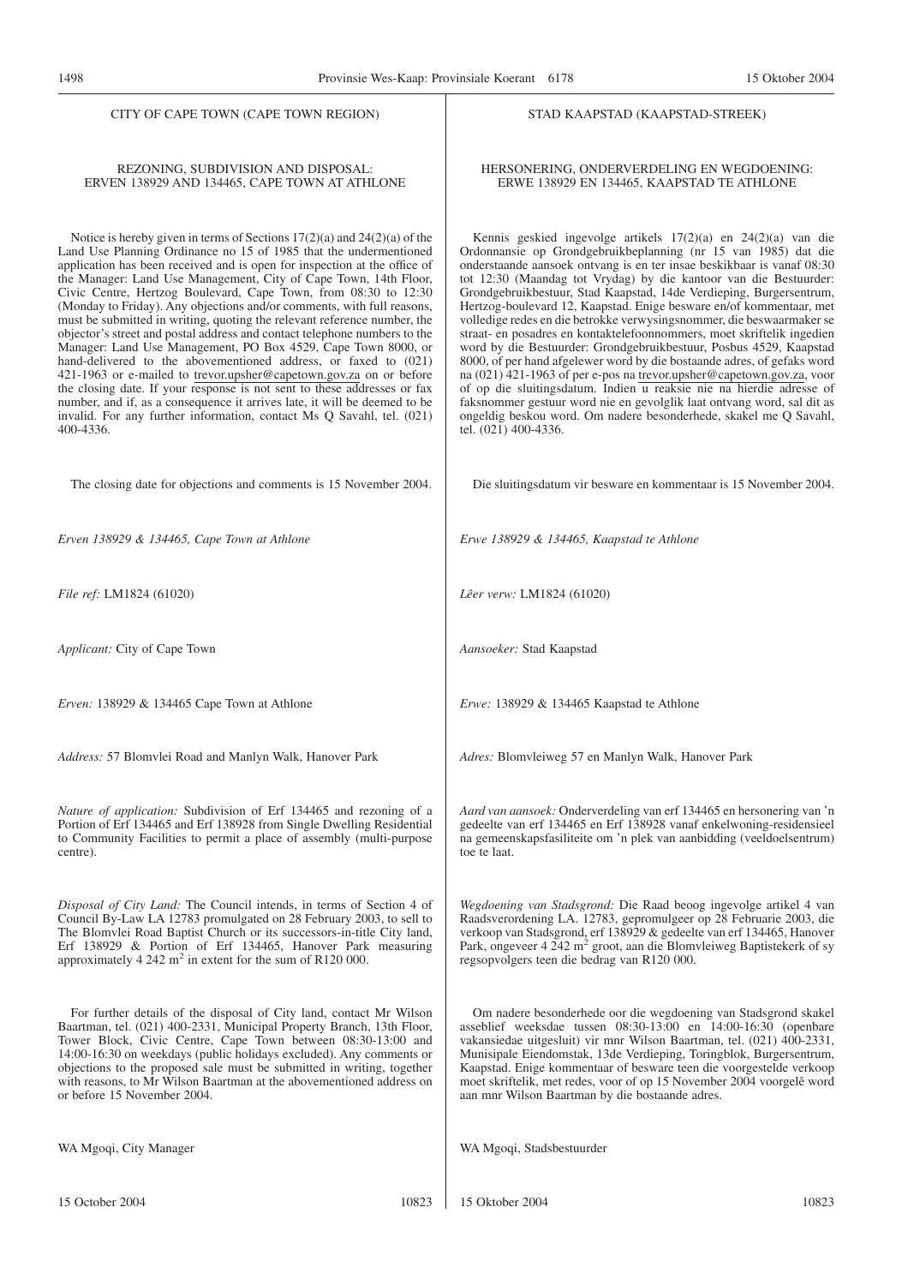#### CITY OF CAPE TOWN (CAPE TOWN REGION)

#### REZONING, SUBDIVISION AND DISPOSAL: ERVEN 138929 AND 134465, CAPE TOWN AT ATHLONE

Notice is hereby given in terms of Sections 17(2)(a) and 24(2)(a) of the Land Use Planning Ordinance no 15 of 1985 that the undermentioned application has been received and is open for inspection at the office of the Manager: Land Use Management, City of Cape Town, 14th Floor, Civic Centre, Hertzog Boulevard, Cape Town, from 08:30 to 12:30 (Monday to Friday). Any objections and/or comments, with full reasons, must be submitted in writing, quoting the relevant reference number, the objector's street and postal address and contact telephone numbers to the Manager: Land Use Management, PO Box 4529, Cape Town 8000, or hand-delivered to the abovementioned address, or faxed to (021) 421-1963 or e-mailed to trevor.upsher@capetown.gov.za on or before the closing date. If your response is not sent to these addresses or fax number, and if, as a consequence it arrives late, it will be deemed to be invalid. For any further information, contact Ms Q Savahl, tel. (021) 400-4336.

The closing date for objections and comments is 15 November 2004.

*Erven 138929 & 134465, Cape Town at Athlone*

*File ref:* LM1824 (61020)

*Applicant:* City of Cape Town

*Erven:* 138929 & 134465 Cape Town at Athlone

*Address:* 57 Blomvlei Road and Manlyn Walk, Hanover Park

*Nature of application:* Subdivision of Erf 134465 and rezoning of a Portion of Erf 134465 and Erf 138928 from Single Dwelling Residential to Community Facilities to permit a place of assembly (multi-purpose centre).

*Disposal of City Land:* The Council intends, in terms of Section 4 of Council By-Law LA 12783 promulgated on 28 February 2003, to sell to The Blomvlei Road Baptist Church or its successors-in-title City land, Erf 138929 & Portion of Erf 134465, Hanover Park measuring approximately  $4\,242 \text{ m}^2$  in extent for the sum of R120 000.

For further details of the disposal of City land, contact Mr Wilson Baartman, tel. (021) 400-2331, Municipal Property Branch, 13th Floor, Tower Block, Civic Centre, Cape Town between 08:30-13:00 and 14:00-16:30 on weekdays (public holidays excluded). Any comments or objections to the proposed sale must be submitted in writing, together with reasons, to Mr Wilson Baartman at the abovementioned address on or before 15 November 2004.

WA Mgoqi, City Manager

#### STAD KAAPSTAD (KAAPSTAD-STREEK)

#### HERSONERING, ONDERVERDELING EN WEGDOENING: ERWE 138929 EN 134465, KAAPSTAD TE ATHLONE

Kennis geskied ingevolge artikels 17(2)(a) en 24(2)(a) van die Ordonnansie op Grondgebruikbeplanning (nr 15 van 1985) dat die onderstaande aansoek ontvang is en ter insae beskikbaar is vanaf 08:30 tot 12:30 (Maandag tot Vrydag) by die kantoor van die Bestuurder: Grondgebruikbestuur, Stad Kaapstad, 14de Verdieping, Burgersentrum, Hertzog-boulevard 12, Kaapstad. Enige besware en/of kommentaar, met volledige redes en die betrokke verwysingsnommer, die beswaarmaker se straat- en posadres en kontaktelefoonnommers, moet skriftelik ingedien word by die Bestuurder: Grondgebruikbestuur, Posbus 4529, Kaapstad 8000, of per hand afgelewer word by die bostaande adres, of gefaks word na (021) 421-1963 of per e-pos na trevor.upsher@capetown.gov.za, voor of op die sluitingsdatum. Indien u reaksie nie na hierdie adresse of faksnommer gestuur word nie en gevolglik laat ontvang word, sal dit as ongeldig beskou word. Om nadere besonderhede, skakel me Q Savahl, tel. (021) 400-4336.

Die sluitingsdatum vir besware en kommentaar is 15 November 2004.

*Erwe 138929 & 134465, Kaapstad te Athlone*

*Lêer verw:* LM1824 (61020)

*Aansoeker:* Stad Kaapstad

*Erwe:* 138929 & 134465 Kaapstad te Athlone

*Adres:* Blomvleiweg 57 en Manlyn Walk, Hanover Park

*Aard van aansoek:* Onderverdeling van erf 134465 en hersonering van 'n gedeelte van erf 134465 en Erf 138928 vanaf enkelwoning-residensieel na gemeenskapsfasiliteite om 'n plek van aanbidding (veeldoelsentrum) toe te laat.

*Wegdoening van Stadsgrond:* Die Raad beoog ingevolge artikel 4 van Raadsverordening LA. 12783, gepromulgeer op 28 Februarie 2003, die verkoop van Stadsgrond, erf 138929 & gedeelte van erf 134465, Hanover Park, ongeveer 4 242 m<sup>2</sup> groot, aan die Blomvleiweg Baptistekerk of sy regsopvolgers teen die bedrag van R120 000.

Om nadere besonderhede oor die wegdoening van Stadsgrond skakel asseblief weeksdae tussen 08:30-13:00 en 14:00-16:30 (openbare vakansiedae uitgesluit) vir mnr Wilson Baartman, tel. (021) 400-2331, Munisipale Eiendomstak, 13de Verdieping, Toringblok, Burgersentrum, Kaapstad. Enige kommentaar of besware teen die voorgestelde verkoop moet skriftelik, met redes, voor of op 15 November 2004 voorgelê word aan mnr Wilson Baartman by die bostaande adres.

WA Mgoqi, Stadsbestuurder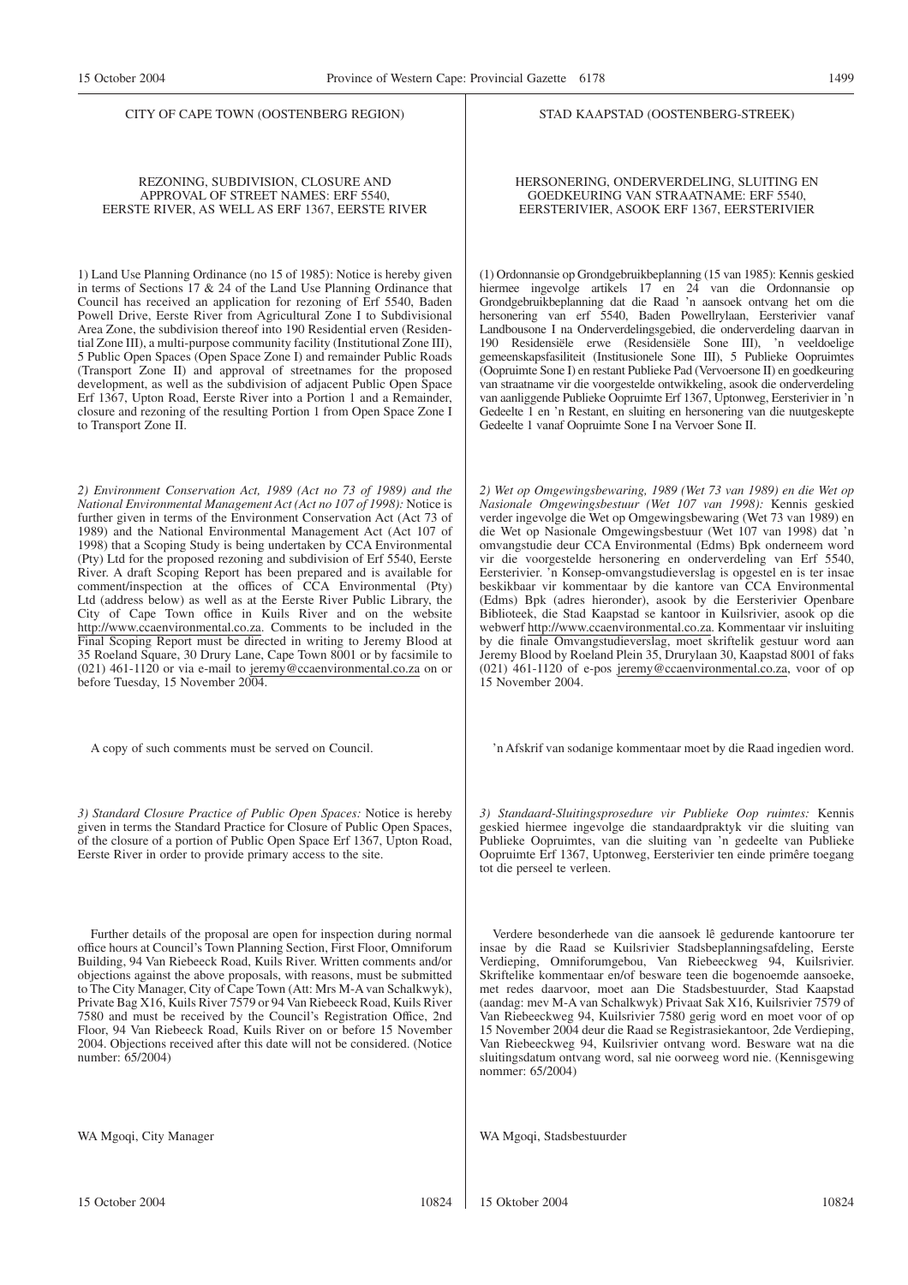CITY OF CAPE TOWN (OOSTENBERG REGION)

#### REZONING, SUBDIVISION, CLOSURE AND APPROVAL OF STREET NAMES: ERF 5540, EERSTE RIVER, AS WELL AS ERF 1367, EERSTE RIVER

1) Land Use Planning Ordinance (no 15 of 1985): Notice is hereby given in terms of Sections 17 & 24 of the Land Use Planning Ordinance that Council has received an application for rezoning of Erf 5540, Baden Powell Drive, Eerste River from Agricultural Zone I to Subdivisional Area Zone, the subdivision thereof into 190 Residential erven (Residential Zone III), a multi-purpose community facility (Institutional Zone III), 5 Public Open Spaces (Open Space Zone I) and remainder Public Roads (Transport Zone II) and approval of streetnames for the proposed development, as well as the subdivision of adjacent Public Open Space Erf 1367, Upton Road, Eerste River into a Portion 1 and a Remainder, closure and rezoning of the resulting Portion 1 from Open Space Zone I to Transport Zone II.

*2) Environment Conservation Act, 1989 (Act no 73 of 1989) and the National Environmental Management Act (Act no 107 of 1998):* Notice is further given in terms of the Environment Conservation Act (Act 73 of 1989) and the National Environmental Management Act (Act 107 of 1998) that a Scoping Study is being undertaken by CCA Environmental (Pty) Ltd for the proposed rezoning and subdivision of Erf 5540, Eerste River. A draft Scoping Report has been prepared and is available for comment/inspection at the offices of CCA Environmental (Pty) Ltd (address below) as well as at the Eerste River Public Library, the City of Cape Town office in Kuils River and on the website http://www.ccaenvironmental.co.za. Comments to be included in the Final Scoping Report must be directed in writing to Jeremy Blood at 35 Roeland Square, 30 Drury Lane, Cape Town 8001 or by facsimile to (021) 461-1120 or via e-mail to jeremy@ccaenvironmental.co.za on or before Tuesday, 15 November 2004.

A copy of such comments must be served on Council.

*3) Standard Closure Practice of Public Open Spaces:* Notice is hereby given in terms the Standard Practice for Closure of Public Open Spaces, of the closure of a portion of Public Open Space Erf 1367, Upton Road, Eerste River in order to provide primary access to the site.

Further details of the proposal are open for inspection during normal office hours at Council's Town Planning Section, First Floor, Omniforum Building, 94 Van Riebeeck Road, Kuils River. Written comments and/or objections against the above proposals, with reasons, must be submitted to The City Manager, City of Cape Town (Att: Mrs M-A van Schalkwyk), Private Bag X16, Kuils River 7579 or 94 Van Riebeeck Road, Kuils River 7580 and must be received by the Council's Registration Office, 2nd Floor, 94 Van Riebeeck Road, Kuils River on or before 15 November 2004. Objections received after this date will not be considered. (Notice number: 65/2004)

WA Mgoqi, City Manager

#### STAD KAAPSTAD (OOSTENBERG-STREEK)

HERSONERING, ONDERVERDELING, SLUITING EN GOEDKEURING VAN STRAATNAME: ERF 5540, EERSTERIVIER, ASOOK ERF 1367, EERSTERIVIER

(1) Ordonnansie op Grondgebruikbeplanning (15 van 1985): Kennis geskied hiermee ingevolge artikels 17 en 24 van die Ordonnansie op Grondgebruikbeplanning dat die Raad 'n aansoek ontvang het om die hersonering van erf 5540, Baden Powellrylaan, Eersterivier vanaf Landbousone I na Onderverdelingsgebied, die onderverdeling daarvan in 190 Residensiële erwe (Residensiële Sone III), 'n veeldoelige gemeenskapsfasiliteit (Institusionele Sone III), 5 Publieke Oopruimtes (Oopruimte Sone I) en restant Publieke Pad (Vervoersone II) en goedkeuring van straatname vir die voorgestelde ontwikkeling, asook die onderverdeling van aanliggende Publieke Oopruimte Erf 1367, Uptonweg, Eersterivier in 'n Gedeelte 1 en 'n Restant, en sluiting en hersonering van die nuutgeskepte Gedeelte 1 vanaf Oopruimte Sone I na Vervoer Sone II.

*2) Wet op Omgewingsbewaring, 1989 (Wet 73 van 1989) en die Wet op Nasionale Omgewingsbestuur (Wet 107 van 1998):* Kennis geskied verder ingevolge die Wet op Omgewingsbewaring (Wet 73 van 1989) en die Wet op Nasionale Omgewingsbestuur (Wet 107 van 1998) dat 'n omvangstudie deur CCA Environmental (Edms) Bpk onderneem word vir die voorgestelde hersonering en onderverdeling van Erf 5540, Eersterivier. 'n Konsep-omvangstudieverslag is opgestel en is ter insae beskikbaar vir kommentaar by die kantore van CCA Environmental (Edms) Bpk (adres hieronder), asook by die Eersterivier Openbare Biblioteek, die Stad Kaapstad se kantoor in Kuilsrivier, asook op die webwerf http://www.ccaenvironmental.co.za. Kommentaar vir insluiting by die finale Omvangstudieverslag, moet skriftelik gestuur word aan Jeremy Blood by Roeland Plein 35, Drurylaan 30, Kaapstad 8001 of faks (021) 461-1120 of e-pos jeremy@ccaenvironmental.co.za, voor of op 15 November 2004.

'n Afskrif van sodanige kommentaar moet by die Raad ingedien word.

*3) Standaard-Sluitingsprosedure vir Publieke Oop ruimtes:* Kennis geskied hiermee ingevolge die standaardpraktyk vir die sluiting van Publieke Oopruimtes, van die sluiting van 'n gedeelte van Publieke Oopruimte Erf 1367, Uptonweg, Eersterivier ten einde primêre toegang tot die perseel te verleen.

Verdere besonderhede van die aansoek lê gedurende kantoorure ter insae by die Raad se Kuilsrivier Stadsbeplanningsafdeling, Eerste Verdieping, Omniforumgebou, Van Riebeeckweg 94, Kuilsrivier. Skriftelike kommentaar en/of besware teen die bogenoemde aansoeke, met redes daarvoor, moet aan Die Stadsbestuurder, Stad Kaapstad (aandag: mev M-A van Schalkwyk) Privaat Sak X16, Kuilsrivier 7579 of Van Riebeeckweg 94, Kuilsrivier 7580 gerig word en moet voor of op 15 November 2004 deur die Raad se Registrasiekantoor, 2de Verdieping, Van Riebeeckweg 94, Kuilsrivier ontvang word. Besware wat na die sluitingsdatum ontvang word, sal nie oorweeg word nie. (Kennisgewing nommer: 65/2004)

WA Mgoqi, Stadsbestuurder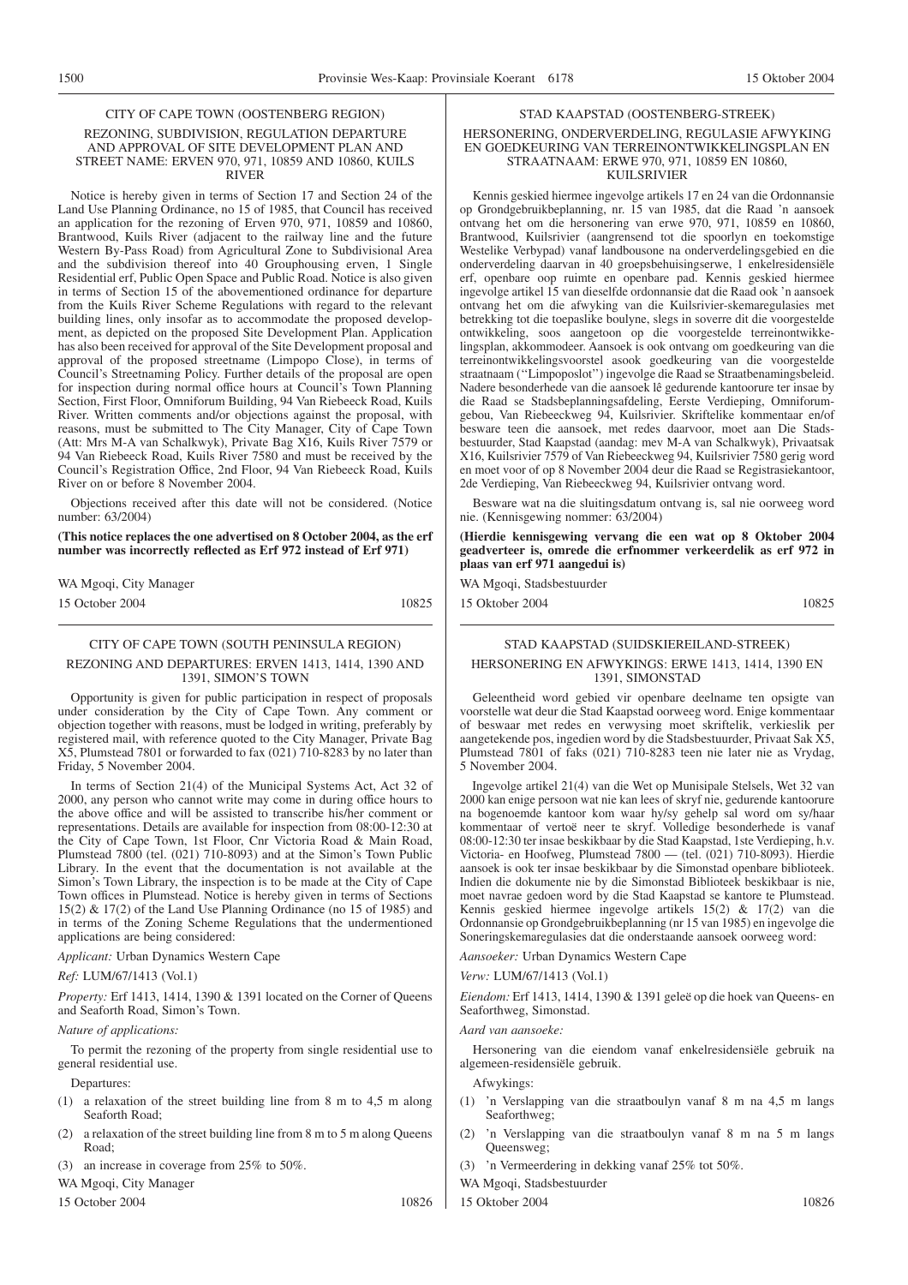#### CITY OF CAPE TOWN (OOSTENBERG REGION) REZONING, SUBDIVISION, REGULATION DEPARTURE AND APPROVAL OF SITE DEVELOPMENT PLAN AND STREET NAME: ERVEN 970, 971, 10859 AND 10860, KUILS RIVER

Notice is hereby given in terms of Section 17 and Section 24 of the Land Use Planning Ordinance, no 15 of 1985, that Council has received an application for the rezoning of Erven 970, 971, 10859 and 10860, Brantwood, Kuils River (adjacent to the railway line and the future Western By-Pass Road) from Agricultural Zone to Subdivisional Area and the subdivision thereof into 40 Grouphousing erven, 1 Single Residential erf, Public Open Space and Public Road. Notice is also given in terms of Section 15 of the abovementioned ordinance for departure from the Kuils River Scheme Regulations with regard to the relevant building lines, only insofar as to accommodate the proposed development, as depicted on the proposed Site Development Plan. Application has also been received for approval of the Site Development proposal and approval of the proposed streetname (Limpopo Close), in terms of Council's Streetnaming Policy. Further details of the proposal are open for inspection during normal office hours at Council's Town Planning Section, First Floor, Omniforum Building, 94 Van Riebeeck Road, Kuils River. Written comments and/or objections against the proposal, with reasons, must be submitted to The City Manager, City of Cape Town (Att: Mrs M-A van Schalkwyk), Private Bag X16, Kuils River 7579 or 94 Van Riebeeck Road, Kuils River 7580 and must be received by the Council's Registration Office, 2nd Floor, 94 Van Riebeeck Road, Kuils River on or before 8 November 2004.

Objections received after this date will not be considered. (Notice number: 63/2004)

**(This notice replaces the one advertised on 8 October 2004, as the erf number was incorrectly reflected as Erf 972 instead of Erf 971)**

WA Mgoqi, City Manager 15 October 2004 10825

# CITY OF CAPE TOWN (SOUTH PENINSULA REGION)

#### REZONING AND DEPARTURES: ERVEN 1413, 1414, 1390 AND 1391, SIMON'S TOWN

Opportunity is given for public participation in respect of proposals under consideration by the City of Cape Town. Any comment or objection together with reasons, must be lodged in writing, preferably by registered mail, with reference quoted to the City Manager, Private Bag X5, Plumstead 7801 or forwarded to fax (021) 710-8283 by no later than Friday, 5 November 2004.

In terms of Section 21(4) of the Municipal Systems Act, Act 32 of 2000, any person who cannot write may come in during office hours to the above office and will be assisted to transcribe his/her comment or representations. Details are available for inspection from 08:00-12:30 at the City of Cape Town, 1st Floor, Cnr Victoria Road & Main Road, Plumstead 7800 (tel. (021) 710-8093) and at the Simon's Town Public Library. In the event that the documentation is not available at the Simon's Town Library, the inspection is to be made at the City of Cape Town offices in Plumstead. Notice is hereby given in terms of Sections 15(2) & 17(2) of the Land Use Planning Ordinance (no 15 of 1985) and in terms of the Zoning Scheme Regulations that the undermentioned applications are being considered:

#### *Applicant:* Urban Dynamics Western Cape

#### *Ref:* LUM/67/1413 (Vol.1)

*Property:* Erf 1413, 1414, 1390 & 1391 located on the Corner of Queens and Seaforth Road, Simon's Town.

#### *Nature of applications:*

To permit the rezoning of the property from single residential use to general residential use.

Departures:

- (1) a relaxation of the street building line from 8 m to 4,5 m along Seaforth Road;
- (2) a relaxation of the street building line from 8 m to 5 m along Queens Road;

(3) an increase in coverage from 25% to 50%.

WA Mgoqi, City Manager

15 October 2004 10826

Kennis geskied hiermee ingevolge artikels 17 en 24 van die Ordonnansie op Grondgebruikbeplanning, nr. 15 van 1985, dat die Raad 'n aansoek ontvang het om die hersonering van erwe 970, 971, 10859 en 10860, Brantwood, Kuilsrivier (aangrensend tot die spoorlyn en toekomstige Westelike Verbypad) vanaf landbousone na onderverdelingsgebied en die onderverdeling daarvan in 40 groepsbehuisingserwe, 1 enkelresidensiële erf, openbare oop ruimte en openbare pad. Kennis geskied hiermee ingevolge artikel 15 van dieselfde ordonnansie dat die Raad ook 'n aansoek ontvang het om die afwyking van die Kuilsrivier-skemaregulasies met betrekking tot die toepaslike boulyne, slegs in soverre dit die voorgestelde ontwikkeling, soos aangetoon op die voorgestelde terreinontwikkelingsplan, akkommodeer. Aansoek is ook ontvang om goedkeuring van die terreinontwikkelingsvoorstel asook goedkeuring van die voorgestelde straatnaam (''Limpoposlot'') ingevolge die Raad se Straatbenamingsbeleid. Nadere besonderhede van die aansoek lê gedurende kantoorure ter insae by die Raad se Stadsbeplanningsafdeling, Eerste Verdieping, Omniforumgebou, Van Riebeeckweg 94, Kuilsrivier. Skriftelike kommentaar en/of besware teen die aansoek, met redes daarvoor, moet aan Die Stadsbestuurder, Stad Kaapstad (aandag: mev M-A van Schalkwyk), Privaatsak X16, Kuilsrivier 7579 of Van Riebeeckweg 94, Kuilsrivier 7580 gerig word en moet voor of op 8 November 2004 deur die Raad se Registrasiekantoor, 2de Verdieping, Van Riebeeckweg 94, Kuilsrivier ontvang word.

STAD KAAPSTAD (OOSTENBERG-STREEK) HERSONERING, ONDERVERDELING, REGULASIE AFWYKING EN GOEDKEURING VAN TERREINONTWIKKELINGSPLAN EN STRAATNAAM: ERWE 970, 971, 10859 EN 10860, KUILSRIVIER

Besware wat na die sluitingsdatum ontvang is, sal nie oorweeg word nie. (Kennisgewing nommer: 63/2004)

**(Hierdie kennisgewing vervang die een wat op 8 Oktober 2004 geadverteer is, omrede die erfnommer verkeerdelik as erf 972 in plaas van erf 971 aangedui is)**

WA Mgoqi, Stadsbestuurder

15 Oktober 2004 10825

#### STAD KAAPSTAD (SUIDSKIEREILAND-STREEK)

#### HERSONERING EN AFWYKINGS: ERWE 1413, 1414, 1390 EN 1391, SIMONSTAD

Geleentheid word gebied vir openbare deelname ten opsigte van voorstelle wat deur die Stad Kaapstad oorweeg word. Enige kommentaar of beswaar met redes en verwysing moet skriftelik, verkieslik per aangetekende pos, ingedien word by die Stadsbestuurder, Privaat Sak X5, Plumstead 7801 of faks (021) 710-8283 teen nie later nie as Vrydag, 5 November 2004.

Ingevolge artikel 21(4) van die Wet op Munisipale Stelsels, Wet 32 van 2000 kan enige persoon wat nie kan lees of skryf nie, gedurende kantoorure na bogenoemde kantoor kom waar hy/sy gehelp sal word om sy/haar kommentaar of vertoë neer te skryf. Volledige besonderhede is vanaf 08:00-12:30 ter insae beskikbaar by die Stad Kaapstad, 1ste Verdieping, h.v. Victoria- en Hoofweg, Plumstead 7800 — (tel. (021) 710-8093). Hierdie aansoek is ook ter insae beskikbaar by die Simonstad openbare biblioteek. Indien die dokumente nie by die Simonstad Biblioteek beskikbaar is nie, moet navrae gedoen word by die Stad Kaapstad se kantore te Plumstead. Kennis geskied hiermee ingevolge artikels 15(2) & 17(2) van die Ordonnansie op Grondgebruikbeplanning (nr 15 van 1985) en ingevolge die Soneringskemaregulasies dat die onderstaande aansoek oorweeg word:

*Aansoeker:* Urban Dynamics Western Cape

#### *Verw:* LUM/67/1413 (Vol.1)

*Eiendom:* Erf 1413, 1414, 1390 & 1391 geleë op die hoek van Queens- en Seaforthweg, Simonstad.

#### *Aard van aansoeke:*

Hersonering van die eiendom vanaf enkelresidensiële gebruik na algemeen-residensiële gebruik.

Afwykings:

- (1) 'n Verslapping van die straatboulyn vanaf 8 m na 4,5 m langs Seaforthweg;
- (2) 'n Verslapping van die straatboulyn vanaf 8 m na 5 m langs Queensweg;
- (3) 'n Vermeerdering in dekking vanaf 25% tot 50%.

WA Mgoqi, Stadsbestuurder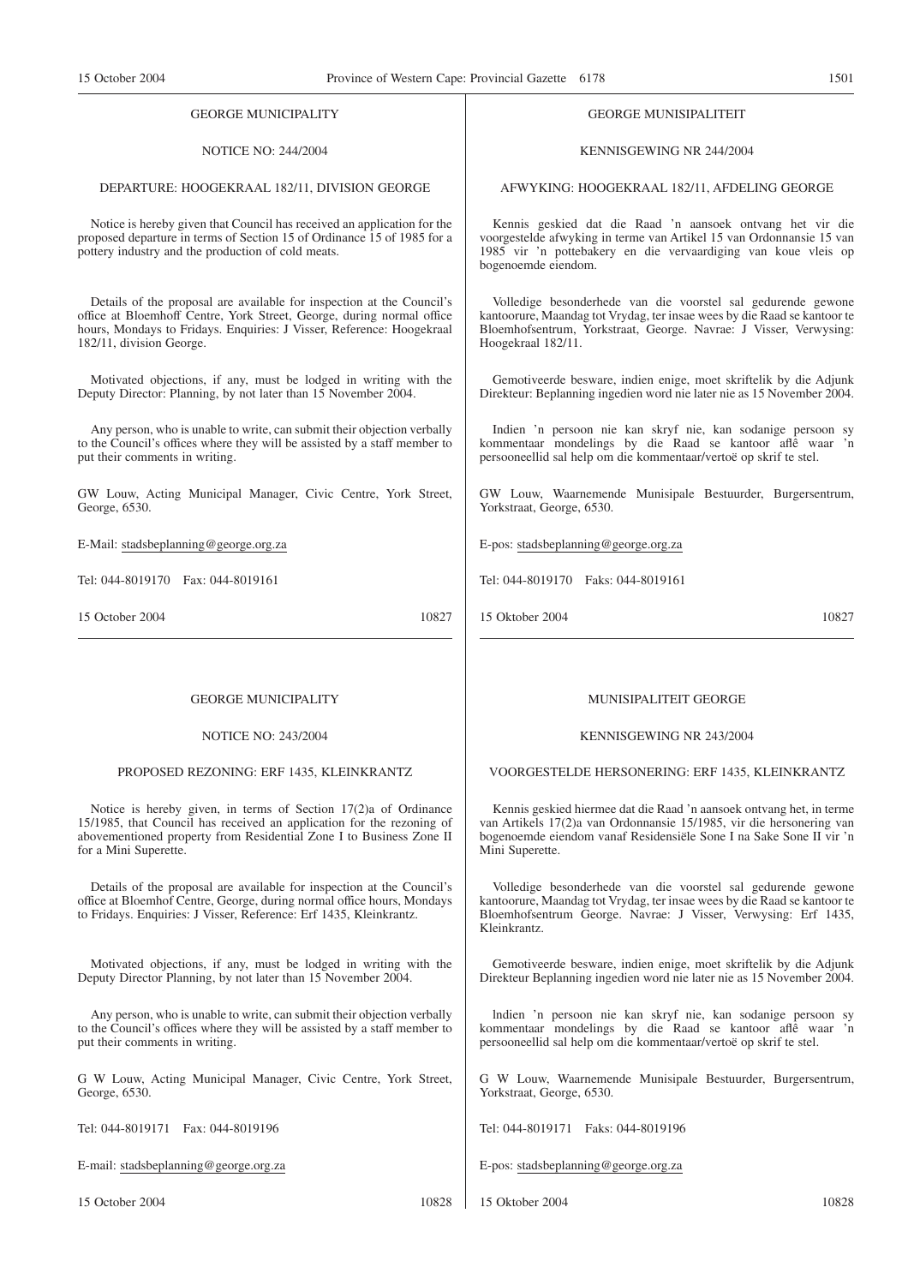#### GEORGE MUNICIPALITY

### NOTICE NO: 244/2004

#### DEPARTURE: HOOGEKRAAL 182/11, DIVISION GEORGE

Notice is hereby given that Council has received an application for the proposed departure in terms of Section 15 of Ordinance 15 of 1985 for a pottery industry and the production of cold meats.

Details of the proposal are available for inspection at the Council's office at Bloemhoff Centre, York Street, George, during normal office hours, Mondays to Fridays. Enquiries: J Visser, Reference: Hoogekraal 182/11, division George.

Motivated objections, if any, must be lodged in writing with the Deputy Director: Planning, by not later than 15 November 2004.

Any person, who is unable to write, can submit their objection verbally to the Council's offices where they will be assisted by a staff member to put their comments in writing.

GW Louw, Acting Municipal Manager, Civic Centre, York Street, George, 6530.

E-Mail: stadsbeplanning@george.org.za

Tel: 044-8019170 Fax: 044-8019161

15 October 2004 10827

#### GEORGE MUNICIPALITY

NOTICE NO: 243/2004

#### PROPOSED REZONING: ERF 1435, KLEINKRANTZ

Notice is hereby given, in terms of Section 17(2)a of Ordinance 15/1985, that Council has received an application for the rezoning of abovementioned property from Residential Zone I to Business Zone II for a Mini Superette.

Details of the proposal are available for inspection at the Council's office at Bloemhof Centre, George, during normal office hours, Mondays to Fridays. Enquiries: J Visser, Reference: Erf 1435, Kleinkrantz.

Motivated objections, if any, must be lodged in writing with the Deputy Director Planning, by not later than 15 November 2004.

Any person, who is unable to write, can submit their objection verbally to the Council's offices where they will be assisted by a staff member to put their comments in writing.

G W Louw, Acting Municipal Manager, Civic Centre, York Street, George, 6530.

Tel: 044-8019171 Fax: 044-8019196

E-mail: stadsbeplanning@george.org.za

15 October 2004 10828

MUNISIPALITEIT GEORGE

#### KENNISGEWING NR 243/2004

VOORGESTELDE HERSONERING: ERF 1435, KLEINKRANTZ

Kennis geskied hiermee dat die Raad 'n aansoek ontvang het, in terme van Artikels 17(2)a van Ordonnansie 15/1985, vir die hersonering van bogenoemde eiendom vanaf Residensiële Sone I na Sake Sone II vir 'n Mini Superette.

Volledige besonderhede van die voorstel sal gedurende gewone kantoorure, Maandag tot Vrydag, ter insae wees by die Raad se kantoor te Bloemhofsentrum George. Navrae: J Visser, Verwysing: Erf 1435, Kleinkrantz.

Gemotiveerde besware, indien enige, moet skriftelik by die Adjunk Direkteur Beplanning ingedien word nie later nie as 15 November 2004.

lndien 'n persoon nie kan skryf nie, kan sodanige persoon sy kommentaar mondelings by die Raad se kantoor aflê waar 'n persooneellid sal help om die kommentaar/vertoë op skrif te stel.

G W Louw, Waarnemende Munisipale Bestuurder, Burgersentrum, Yorkstraat, George, 6530.

Tel: 044-8019171 Faks: 044-8019196

E-pos: stadsbeplanning@george.org.za

15 Oktober 2004 10828

KENNISGEWING NR 244/2004

GEORGE MUNISIPALITEIT

AFWYKING: HOOGEKRAAL 182/11, AFDELING GEORGE

Kennis geskied dat die Raad 'n aansoek ontvang het vir die voorgestelde afwyking in terme van Artikel 15 van Ordonnansie 15 van 1985 vir 'n pottebakery en die vervaardiging van koue vleis op bogenoemde eiendom.

Volledige besonderhede van die voorstel sal gedurende gewone kantoorure, Maandag tot Vrydag, ter insae wees by die Raad se kantoor te Bloemhofsentrum, Yorkstraat, George. Navrae: J Visser, Verwysing: Hoogekraal 182/11.

Gemotiveerde besware, indien enige, moet skriftelik by die Adjunk Direkteur: Beplanning ingedien word nie later nie as 15 November 2004.

Indien 'n persoon nie kan skryf nie, kan sodanige persoon sy kommentaar mondelings by die Raad se kantoor aflê waar 'n persooneellid sal help om die kommentaar/vertoë op skrif te stel.

GW Louw, Waarnemende Munisipale Bestuurder, Burgersentrum, Yorkstraat, George, 6530.

E-pos: stadsbeplanning@george.org.za

Tel: 044-8019170 Faks: 044-8019161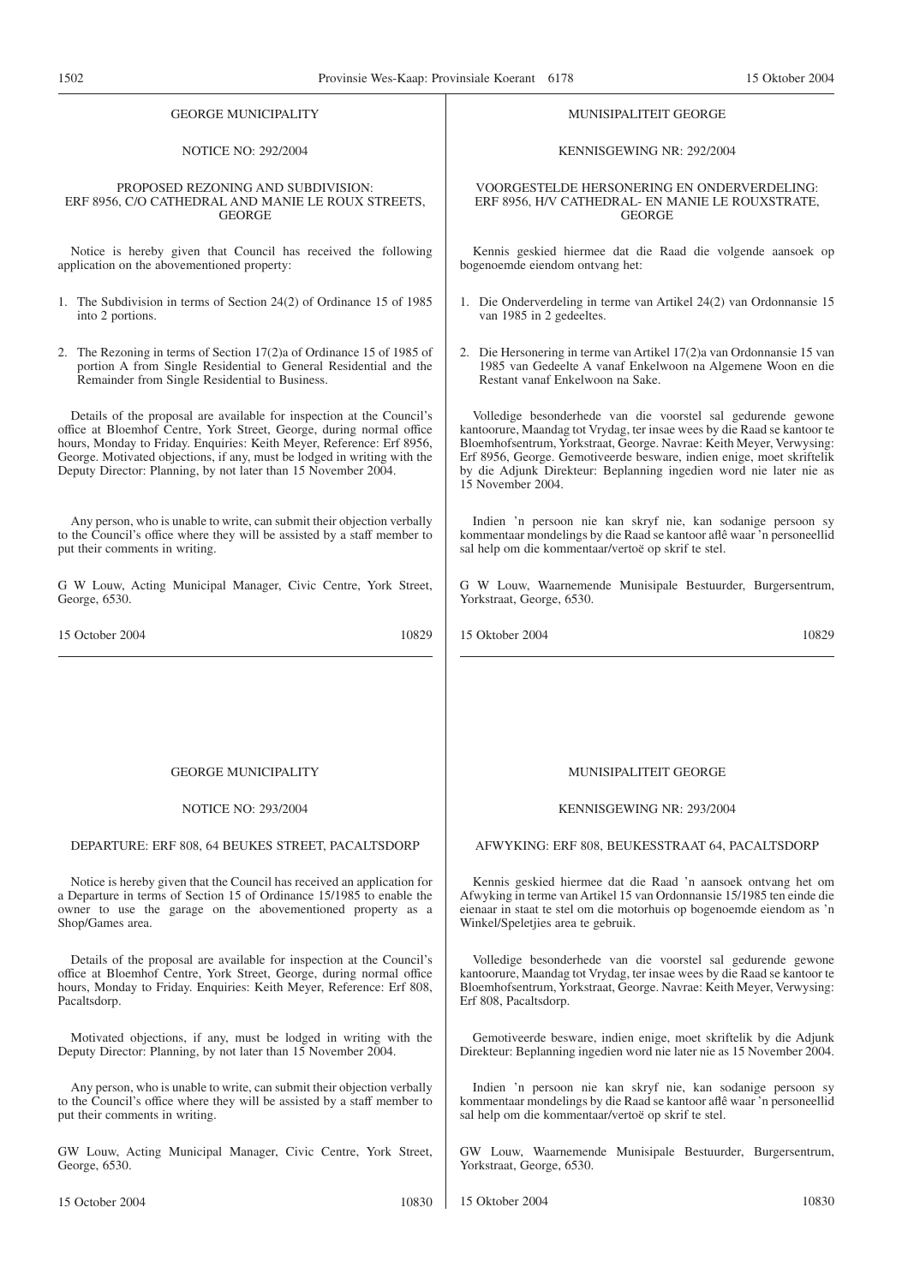| <b>GEORGE MUNICIPALITY</b>                                                                                                                                                                                                                                                                                                                                           | MUNISIPALITEIT GEORGE                                                                                                                                                                                                                                                                                                                                                                |
|----------------------------------------------------------------------------------------------------------------------------------------------------------------------------------------------------------------------------------------------------------------------------------------------------------------------------------------------------------------------|--------------------------------------------------------------------------------------------------------------------------------------------------------------------------------------------------------------------------------------------------------------------------------------------------------------------------------------------------------------------------------------|
| <b>NOTICE NO: 292/2004</b>                                                                                                                                                                                                                                                                                                                                           | KENNISGEWING NR: 292/2004                                                                                                                                                                                                                                                                                                                                                            |
| PROPOSED REZONING AND SUBDIVISION:                                                                                                                                                                                                                                                                                                                                   | VOORGESTELDE HERSONERING EN ONDERVERDELING:                                                                                                                                                                                                                                                                                                                                          |
| ERF 8956, C/O CATHEDRAL AND MANIE LE ROUX STREETS,                                                                                                                                                                                                                                                                                                                   | ERF 8956, H/V CATHEDRAL- EN MANIE LE ROUXSTRATE,                                                                                                                                                                                                                                                                                                                                     |
| <b>GEORGE</b>                                                                                                                                                                                                                                                                                                                                                        | <b>GEORGE</b>                                                                                                                                                                                                                                                                                                                                                                        |
| Notice is hereby given that Council has received the following                                                                                                                                                                                                                                                                                                       | Kennis geskied hiermee dat die Raad die volgende aansoek op                                                                                                                                                                                                                                                                                                                          |
| application on the abovementioned property:                                                                                                                                                                                                                                                                                                                          | bogenoemde eiendom ontvang het:                                                                                                                                                                                                                                                                                                                                                      |
| 1. The Subdivision in terms of Section 24(2) of Ordinance 15 of 1985                                                                                                                                                                                                                                                                                                 | 1. Die Onderverdeling in terme van Artikel 24(2) van Ordonnansie 15                                                                                                                                                                                                                                                                                                                  |
| into 2 portions.                                                                                                                                                                                                                                                                                                                                                     | van 1985 in 2 gedeeltes.                                                                                                                                                                                                                                                                                                                                                             |
| 2. The Rezoning in terms of Section 17(2) a of Ordinance 15 of 1985 of                                                                                                                                                                                                                                                                                               | 2. Die Hersonering in terme van Artikel 17(2) avan Ordonnansie 15 van                                                                                                                                                                                                                                                                                                                |
| portion A from Single Residential to General Residential and the                                                                                                                                                                                                                                                                                                     | 1985 van Gedeelte A vanaf Enkelwoon na Algemene Woon en die                                                                                                                                                                                                                                                                                                                          |
| Remainder from Single Residential to Business.                                                                                                                                                                                                                                                                                                                       | Restant vanaf Enkelwoon na Sake.                                                                                                                                                                                                                                                                                                                                                     |
| Details of the proposal are available for inspection at the Council's<br>office at Bloemhof Centre, York Street, George, during normal office<br>hours, Monday to Friday. Enquiries: Keith Meyer, Reference: Erf 8956,<br>George. Motivated objections, if any, must be lodged in writing with the<br>Deputy Director: Planning, by not later than 15 November 2004. | Volledige besonderhede van die voorstel sal gedurende gewone<br>kantoorure, Maandag tot Vrydag, ter insae wees by die Raad se kantoor te<br>Bloemhofsentrum, Yorkstraat, George. Navrae: Keith Meyer, Verwysing:<br>Erf 8956, George. Gemotiveerde besware, indien enige, moet skriftelik<br>by die Adjunk Direkteur: Beplanning ingedien word nie later nie as<br>15 November 2004. |
| Any person, who is unable to write, can submit their objection verbally                                                                                                                                                                                                                                                                                              | Indien 'n persoon nie kan skryf nie, kan sodanige persoon sy                                                                                                                                                                                                                                                                                                                         |
| to the Council's office where they will be assisted by a staff member to                                                                                                                                                                                                                                                                                             | kommentaar mondelings by die Raad se kantoor aflê waar 'n personeellid                                                                                                                                                                                                                                                                                                               |
| put their comments in writing.                                                                                                                                                                                                                                                                                                                                       | sal help om die kommentaar/vertoë op skrif te stel.                                                                                                                                                                                                                                                                                                                                  |
| G W Louw, Acting Municipal Manager, Civic Centre, York Street,                                                                                                                                                                                                                                                                                                       | G W Louw, Waarnemende Munisipale Bestuurder, Burgersentrum,                                                                                                                                                                                                                                                                                                                          |
| George, 6530.                                                                                                                                                                                                                                                                                                                                                        | Yorkstraat, George, 6530.                                                                                                                                                                                                                                                                                                                                                            |
| 15 October 2004                                                                                                                                                                                                                                                                                                                                                      | 15 Oktober 2004                                                                                                                                                                                                                                                                                                                                                                      |
| 10829                                                                                                                                                                                                                                                                                                                                                                | 10829                                                                                                                                                                                                                                                                                                                                                                                |
| <b>GEORGE MUNICIPALITY</b>                                                                                                                                                                                                                                                                                                                                           | <b>MUNISIPALITEIT GEORGE</b>                                                                                                                                                                                                                                                                                                                                                         |
| <b>NOTICE NO: 293/2004</b>                                                                                                                                                                                                                                                                                                                                           | KENNISGEWING NR: 293/2004                                                                                                                                                                                                                                                                                                                                                            |
| DEPARTURE: ERF 808, 64 BEUKES STREET, PACALTSDORP                                                                                                                                                                                                                                                                                                                    | AFWYKING: ERF 808, BEUKESSTRAAT 64, PACALTSDORP                                                                                                                                                                                                                                                                                                                                      |
| Notice is hereby given that the Council has received an application for                                                                                                                                                                                                                                                                                              | Kennis geskied hiermee dat die Raad 'n aansoek ontvang het om                                                                                                                                                                                                                                                                                                                        |
| a Departure in terms of Section 15 of Ordinance 15/1985 to enable the                                                                                                                                                                                                                                                                                                | Afwyking in terme van Artikel 15 van Ordonnansie 15/1985 ten einde die                                                                                                                                                                                                                                                                                                               |
| owner to use the garage on the abovementioned property as a                                                                                                                                                                                                                                                                                                          | eienaar in staat te stel om die motorhuis op bogenoemde eiendom as 'n                                                                                                                                                                                                                                                                                                                |
| Shop/Games area.                                                                                                                                                                                                                                                                                                                                                     | Winkel/Speletjies area te gebruik.                                                                                                                                                                                                                                                                                                                                                   |
| Details of the proposal are available for inspection at the Council's                                                                                                                                                                                                                                                                                                | Volledige besonderhede van die voorstel sal gedurende gewone                                                                                                                                                                                                                                                                                                                         |
| office at Bloemhof Centre, York Street, George, during normal office                                                                                                                                                                                                                                                                                                 | kantoorure, Maandag tot Vrydag, ter insae wees by die Raad se kantoor te                                                                                                                                                                                                                                                                                                             |
| hours, Monday to Friday. Enquiries: Keith Meyer, Reference: Erf 808,                                                                                                                                                                                                                                                                                                 | Bloemhofsentrum, Yorkstraat, George. Navrae: Keith Meyer, Verwysing:                                                                                                                                                                                                                                                                                                                 |
| Pacaltsdorp.                                                                                                                                                                                                                                                                                                                                                         | Erf 808, Pacaltsdorp.                                                                                                                                                                                                                                                                                                                                                                |
| Motivated objections, if any, must be lodged in writing with the                                                                                                                                                                                                                                                                                                     | Gemotiveerde besware, indien enige, moet skriftelik by die Adjunk                                                                                                                                                                                                                                                                                                                    |
| Deputy Director: Planning, by not later than 15 November 2004.                                                                                                                                                                                                                                                                                                       | Direkteur: Beplanning ingedien word nie later nie as 15 November 2004.                                                                                                                                                                                                                                                                                                               |
| Any person, who is unable to write, can submit their objection verbally                                                                                                                                                                                                                                                                                              | Indien 'n persoon nie kan skryf nie, kan sodanige persoon sy                                                                                                                                                                                                                                                                                                                         |
| to the Council's office where they will be assisted by a staff member to                                                                                                                                                                                                                                                                                             | kommentaar mondelings by die Raad se kantoor aflê waar 'n personeellid                                                                                                                                                                                                                                                                                                               |
| put their comments in writing.                                                                                                                                                                                                                                                                                                                                       | sal help om die kommentaar/vertoë op skrif te stel.                                                                                                                                                                                                                                                                                                                                  |
| GW Louw, Acting Municipal Manager, Civic Centre, York Street,                                                                                                                                                                                                                                                                                                        | GW Louw, Waarnemende Munisipale Bestuurder, Burgersentrum,                                                                                                                                                                                                                                                                                                                           |
| George, 6530.                                                                                                                                                                                                                                                                                                                                                        | Yorkstraat, George, 6530.                                                                                                                                                                                                                                                                                                                                                            |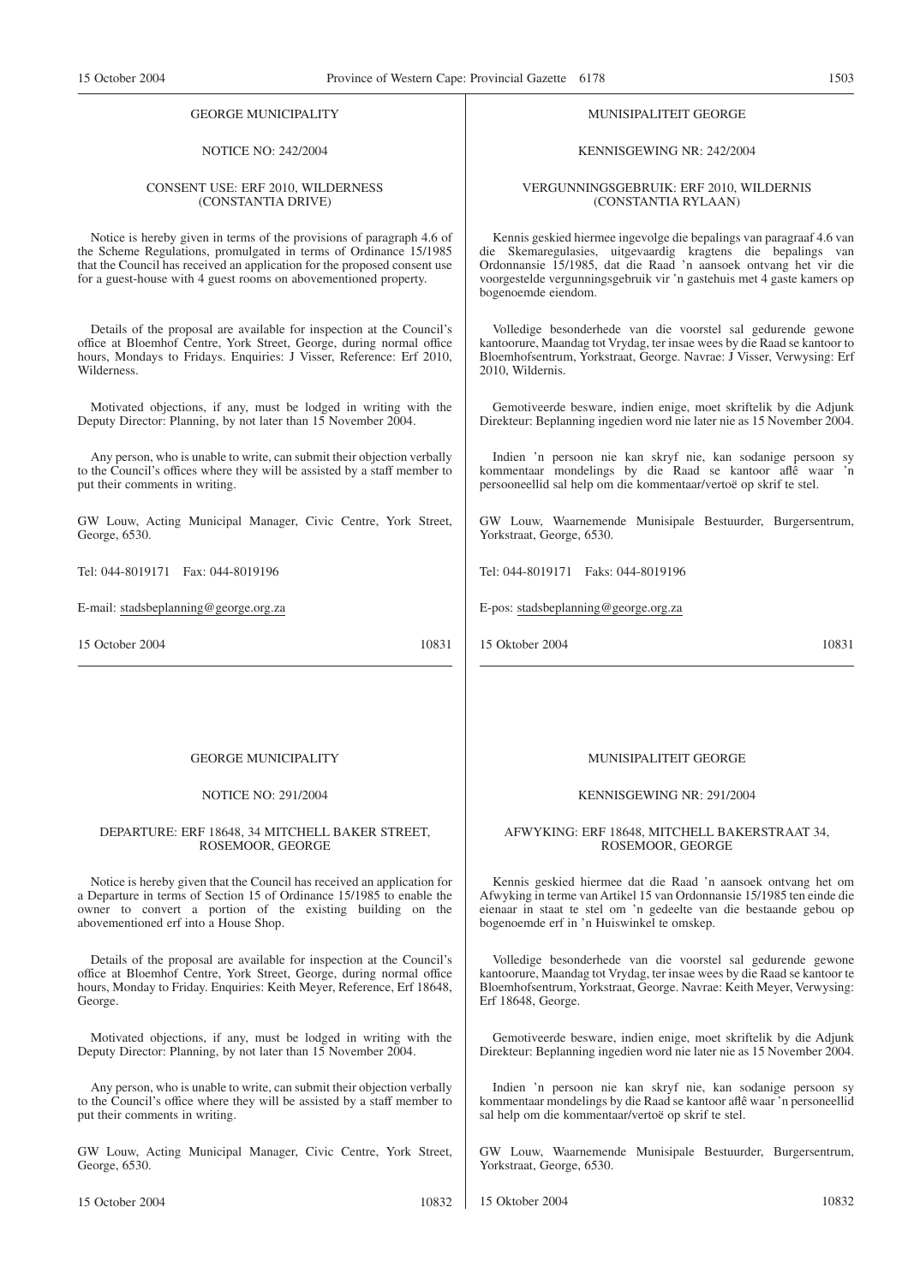#### GEORGE MUNICIPALITY

### NOTICE NO: 242/2004

#### CONSENT USE: ERF 2010, WILDERNESS (CONSTANTIA DRIVE)

Notice is hereby given in terms of the provisions of paragraph 4.6 of the Scheme Regulations, promulgated in terms of Ordinance 15/1985 that the Council has received an application for the proposed consent use for a guest-house with 4 guest rooms on abovementioned property.

Details of the proposal are available for inspection at the Council's office at Bloemhof Centre, York Street, George, during normal office hours, Mondays to Fridays. Enquiries: J Visser, Reference: Erf 2010, Wilderness.

Motivated objections, if any, must be lodged in writing with the Deputy Director: Planning, by not later than 15 November 2004.

Any person, who is unable to write, can submit their objection verbally to the Council's offices where they will be assisted by a staff member to put their comments in writing.

GW Louw, Acting Municipal Manager, Civic Centre, York Street, George, 6530.

Tel: 044-8019171 Fax: 044-8019196

E-mail: stadsbeplanning@george.org.za

15 October 2004 10831

#### GEORGE MUNICIPALITY

#### NOTICE NO: 291/2004

#### DEPARTURE: ERF 18648, 34 MITCHELL BAKER STREET, ROSEMOOR, GEORGE

Notice is hereby given that the Council has received an application for a Departure in terms of Section 15 of Ordinance 15/1985 to enable the owner to convert a portion of the existing building on the abovementioned erf into a House Shop.

Details of the proposal are available for inspection at the Council's office at Bloemhof Centre, York Street, George, during normal office hours, Monday to Friday. Enquiries: Keith Meyer, Reference, Erf 18648, George.

Motivated objections, if any, must be lodged in writing with the Deputy Director: Planning, by not later than 15 November 2004.

Any person, who is unable to write, can submit their objection verbally to the Council's office where they will be assisted by a staff member to put their comments in writing.

GW Louw, Acting Municipal Manager, Civic Centre, York Street, George, 6530.

15 October 2004 10832

MUNISIPALITEIT GEORGE

#### KENNISGEWING NR: 242/2004

#### VERGUNNINGSGEBRUIK: ERF 2010, WILDERNIS (CONSTANTIA RYLAAN)

Kennis geskied hiermee ingevolge die bepalings van paragraaf 4.6 van die Skemaregulasies, uitgevaardig kragtens die bepalings van Ordonnansie 15/1985, dat die Raad 'n aansoek ontvang het vir die voorgestelde vergunningsgebruik vir 'n gastehuis met 4 gaste kamers op bogenoemde eiendom.

Volledige besonderhede van die voorstel sal gedurende gewone kantoorure, Maandag tot Vrydag, ter insae wees by die Raad se kantoor to Bloemhofsentrum, Yorkstraat, George. Navrae: J Visser, Verwysing: Erf 2010, Wildernis.

Gemotiveerde besware, indien enige, moet skriftelik by die Adjunk Direkteur: Beplanning ingedien word nie later nie as 15 November 2004.

Indien 'n persoon nie kan skryf nie, kan sodanige persoon sy kommentaar mondelings by die Raad se kantoor aflê waar 'n persooneellid sal help om die kommentaar/vertoë op skrif te stel.

GW Louw, Waarnemende Munisipale Bestuurder, Burgersentrum, Yorkstraat, George, 6530.

Tel: 044-8019171 Faks: 044-8019196

E-pos: stadsbeplanning@george.org.za

15 Oktober 2004 10831

#### MUNISIPALITEIT GEORGE

#### KENNISGEWING NR: 291/2004

#### AFWYKING: ERF 18648, MITCHELL BAKERSTRAAT 34, ROSEMOOR, GEORGE

Kennis geskied hiermee dat die Raad 'n aansoek ontvang het om Afwyking in terme van Artikel 15 van Ordonnansie 15/1985 ten einde die eienaar in staat te stel om 'n gedeelte van die bestaande gebou op bogenoemde erf in 'n Huiswinkel te omskep.

Volledige besonderhede van die voorstel sal gedurende gewone kantoorure, Maandag tot Vrydag, ter insae wees by die Raad se kantoor te Bloemhofsentrum, Yorkstraat, George. Navrae: Keith Meyer, Verwysing: Erf 18648, George.

Gemotiveerde besware, indien enige, moet skriftelik by die Adjunk Direkteur: Beplanning ingedien word nie later nie as 15 November 2004.

Indien 'n persoon nie kan skryf nie, kan sodanige persoon sy kommentaar mondelings by die Raad se kantoor aflê waar 'n personeellid sal help om die kommentaar/vertoë op skrif te stel.

GW Louw, Waarnemende Munisipale Bestuurder, Burgersentrum, Yorkstraat, George, 6530.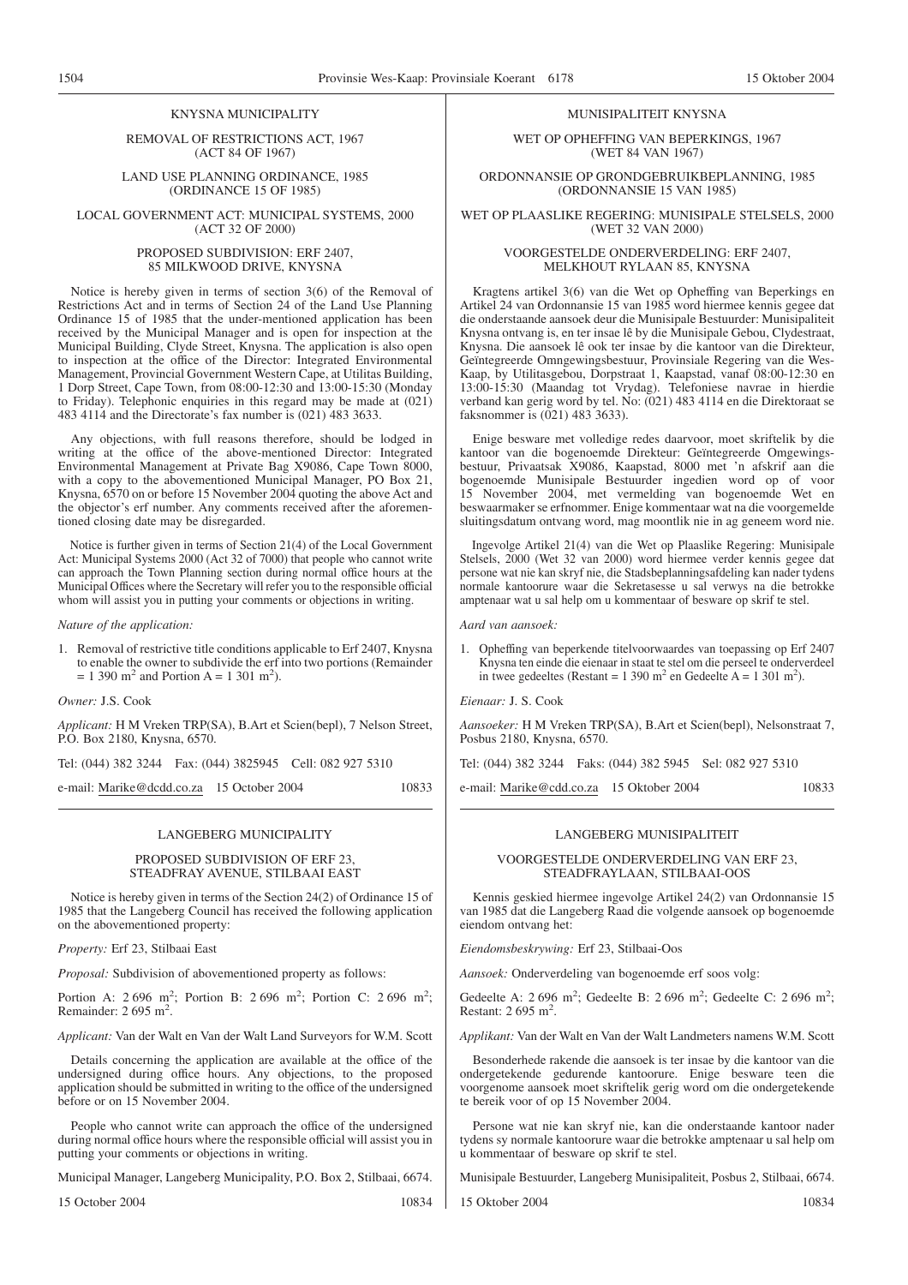#### KNYSNA MUNICIPALITY

REMOVAL OF RESTRICTIONS ACT, 1967 (ACT 84 OF 1967)

LAND USE PLANNING ORDINANCE, 1985 (ORDINANCE 15 OF 1985)

LOCAL GOVERNMENT ACT: MUNICIPAL SYSTEMS, 2000 (ACT 32 OF 2000)

#### PROPOSED SUBDIVISION: ERF 2407, 85 MILKWOOD DRIVE, KNYSNA

Notice is hereby given in terms of section 3(6) of the Removal of Restrictions Act and in terms of Section 24 of the Land Use Planning Ordinance 15 of 1985 that the under-mentioned application has been received by the Municipal Manager and is open for inspection at the Municipal Building, Clyde Street, Knysna. The application is also open to inspection at the office of the Director: Integrated Environmental Management, Provincial Government Western Cape, at Utilitas Building, 1 Dorp Street, Cape Town, from 08:00-12:30 and 13:00-15:30 (Monday to Friday). Telephonic enquiries in this regard may be made at (021) 483 4114 and the Directorate's fax number is (021) 483 3633.

Any objections, with full reasons therefore, should be lodged in writing at the office of the above-mentioned Director: Integrated Environmental Management at Private Bag X9086, Cape Town 8000, with a copy to the abovementioned Municipal Manager, PO Box 21, Knysna, 6570 on or before 15 November 2004 quoting the above Act and the objector's erf number. Any comments received after the aforementioned closing date may be disregarded.

Notice is further given in terms of Section 21(4) of the Local Government Act: Municipal Systems 2000 (Act 32 of 7000) that people who cannot write can approach the Town Planning section during normal office hours at the Municipal Offices where the Secretary will refer you to the responsible official whom will assist you in putting your comments or objections in writing.

#### *Nature of the application:*

1. Removal of restrictive title conditions applicable to Erf 2407, Knysna to enable the owner to subdivide the erf into two portions (Remainder  $= 1$  390 m<sup>2</sup> and Portion A = 1 301 m<sup>2</sup>).

*Owner:* J.S. Cook

*Applicant:* H M Vreken TRP(SA), B.Art et Scien(bepl), 7 Nelson Street, P.O. Box 2180, Knysna, 6570.

Tel: (044) 382 3244 Fax: (044) 3825945 Cell: 082 927 5310

e-mail: Marike@dcdd.co.za 15 October 2004 10833

LANGEBERG MUNICIPALITY

#### PROPOSED SUBDIVISION OF ERF 23, STEADFRAY AVENUE, STILBAAI EAST

Notice is hereby given in terms of the Section 24(2) of Ordinance 15 of 1985 that the Langeberg Council has received the following application on the abovementioned property:

*Property:* Erf 23, Stilbaai East

*Proposal:* Subdivision of abovementioned property as follows:

Portion A: 2 696 m<sup>2</sup>; Portion B: 2 696 m<sup>2</sup>; Portion C: 2 696 m<sup>2</sup>; Remainder: 2 695 m<sup>2</sup>.

*Applicant:* Van der Walt en Van der Walt Land Surveyors for W.M. Scott

Details concerning the application are available at the office of the undersigned during office hours. Any objections, to the proposed application should be submitted in writing to the office of the undersigned before or on 15 November 2004.

People who cannot write can approach the office of the undersigned during normal office hours where the responsible official will assist you in putting your comments or objections in writing.

Municipal Manager, Langeberg Municipality, P.O. Box 2, Stilbaai, 6674.

15 October 2004 10834

#### MUNISIPALITEIT KNYSNA

WET OP OPHEFFING VAN BEPERKINGS, 1967 (WET 84 VAN 1967)

ORDONNANSIE OP GRONDGEBRUIKBEPLANNING, 1985 (ORDONNANSIE 15 VAN 1985)

WET OP PLAASLIKE REGERING: MUNISIPALE STELSELS, 2000 (WET 32 VAN 2000)

#### VOORGESTELDE ONDERVERDELING: ERF 2407, MELKHOUT RYLAAN 85, KNYSNA

Kragtens artikel 3(6) van die Wet op Opheffing van Beperkings en Artikel 24 van Ordonnansie 15 van 1985 word hiermee kennis gegee dat die onderstaande aansoek deur die Munisipale Bestuurder: Munisipaliteit Knysna ontvang is, en ter insae lê by die Munisipale Gebou, Clydestraat, Knysna. Die aansoek lê ook ter insae by die kantoor van die Direkteur, Geïntegreerde Omngewingsbestuur, Provinsiale Regering van die Wes-Kaap, by Utilitasgebou, Dorpstraat 1, Kaapstad, vanaf 08:00-12:30 en 13:00-15:30 (Maandag tot Vrydag). Telefoniese navrae in hierdie verband kan gerig word by tel. No: (021) 483 4114 en die Direktoraat se faksnommer is (021) 483 3633).

Enige besware met volledige redes daarvoor, moet skriftelik by die kantoor van die bogenoemde Direkteur: Geïntegreerde Omgewingsbestuur, Privaatsak X9086, Kaapstad, 8000 met 'n afskrif aan die bogenoemde Munisipale Bestuurder ingedien word op of voor 15 November 2004, met vermelding van bogenoemde Wet en beswaarmaker se erfnommer. Enige kommentaar wat na die voorgemelde sluitingsdatum ontvang word, mag moontlik nie in ag geneem word nie.

Ingevolge Artikel 21(4) van die Wet op Plaaslike Regering: Munisipale Stelsels, 2000 (Wet 32 van 2000) word hiermee verder kennis gegee dat persone wat nie kan skryf nie, die Stadsbeplanningsafdeling kan nader tydens normale kantoorure waar die Sekretasesse u sal verwys na die betrokke amptenaar wat u sal help om u kommentaar of besware op skrif te stel.

*Aard van aansoek:*

1. Opheffing van beperkende titelvoorwaardes van toepassing op Erf 2407 Knysna ten einde die eienaar in staat te stel om die perseel te onderverdeel in twee gedeeltes (Restant = 1 390 m<sup>2</sup> en Gedeelte A = 1 301 m<sup>2</sup>).

*Eienaar:* J. S. Cook

*Aansoeker:* H M Vreken TRP(SA), B.Art et Scien(bepl), Nelsonstraat 7, Posbus 2180, Knysna, 6570.

Tel: (044) 382 3244 Faks: (044) 382 5945 Sel: 082 927 5310

e-mail: Marike@cdd.co.za 15 Oktober 2004 10833

#### LANGEBERG MUNISIPALITEIT

#### VOORGESTELDE ONDERVERDELING VAN ERF 23, STEADFRAYLAAN, STILBAAI-OOS

Kennis geskied hiermee ingevolge Artikel 24(2) van Ordonnansie 15 van 1985 dat die Langeberg Raad die volgende aansoek op bogenoemde eiendom ontvang het:

*Eiendomsbeskrywing:* Erf 23, Stilbaai-Oos

*Aansoek:* Onderverdeling van bogenoemde erf soos volg:

Gedeelte A: 2 696 m<sup>2</sup>; Gedeelte B: 2 696 m<sup>2</sup>; Gedeelte C: 2 696 m<sup>2</sup>; Restant:  $2695 \text{ m}^2$ .

*Applikant:* Van der Walt en Van der Walt Landmeters namens W.M. Scott

Besonderhede rakende die aansoek is ter insae by die kantoor van die ondergetekende gedurende kantoorure. Enige besware teen die voorgenome aansoek moet skriftelik gerig word om die ondergetekende te bereik voor of op 15 November 2004.

Persone wat nie kan skryf nie, kan die onderstaande kantoor nader tydens sy normale kantoorure waar die betrokke amptenaar u sal help om u kommentaar of besware op skrif te stel.

Munisipale Bestuurder, Langeberg Munisipaliteit, Posbus 2, Stilbaai, 6674.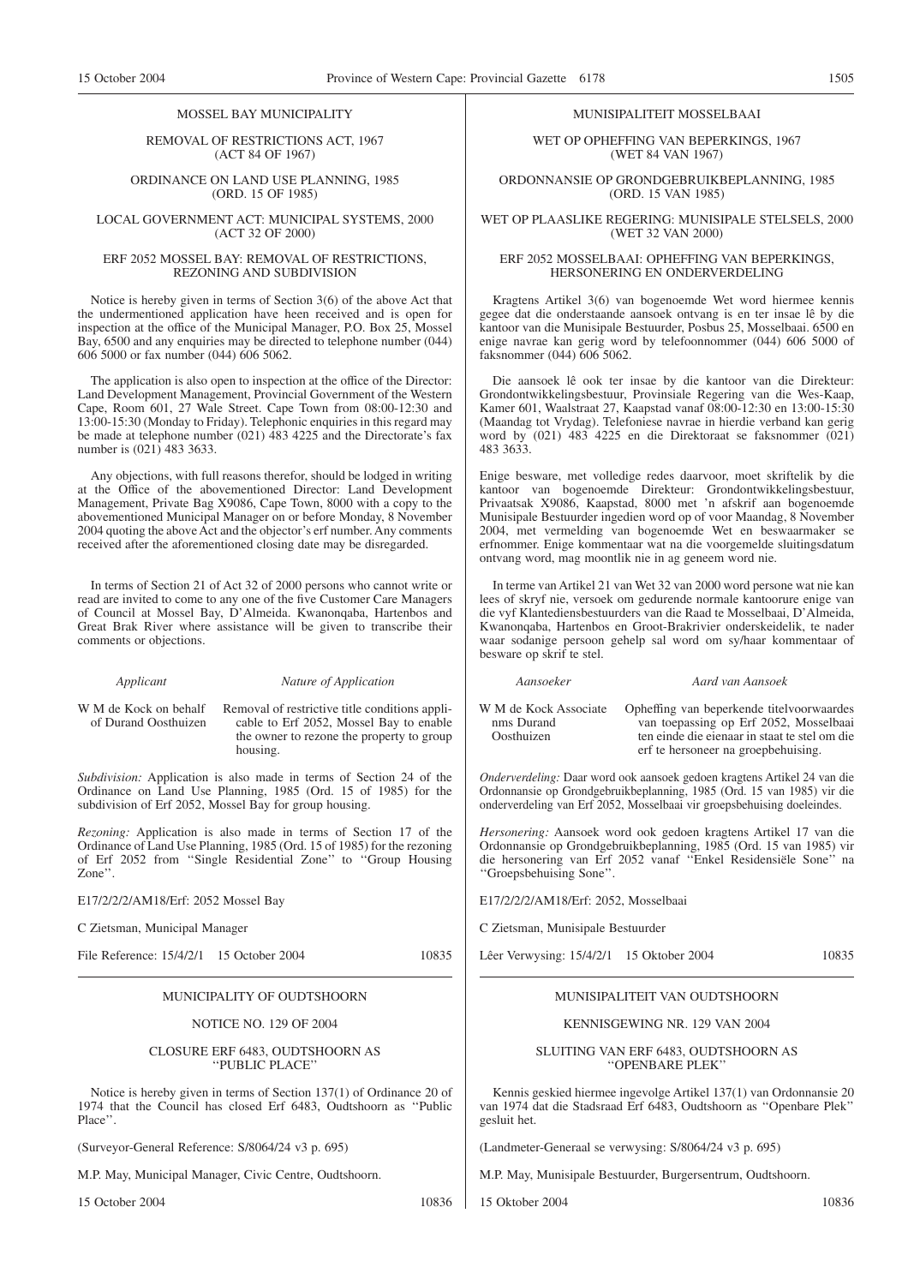#### MOSSEL BAY MUNICIPALITY

REMOVAL OF RESTRICTIONS ACT, 1967 (ACT 84 OF 1967)

#### ORDINANCE ON LAND USE PLANNING, 1985 (ORD. 15 OF 1985)

#### LOCAL GOVERNMENT ACT: MUNICIPAL SYSTEMS, 2000 (ACT 32 OF 2000)

#### ERF 2052 MOSSEL BAY: REMOVAL OF RESTRICTIONS, REZONING AND SUBDIVISION

Notice is hereby given in terms of Section 3(6) of the above Act that the undermentioned application have heen received and is open for inspection at the office of the Municipal Manager, P.O. Box 25, Mossel Bay, 6500 and any enquiries may be directed to telephone number (044) 606 5000 or fax number (044) 606 5062.

The application is also open to inspection at the office of the Director: Land Development Management, Provincial Government of the Western Cape, Room 601, 27 Wale Street. Cape Town from 08:00-12:30 and 13:00-15:30 (Monday to Friday). Telephonic enquiries in this regard may be made at telephone number (021) 483 4225 and the Directorate's fax number is (021) 483 3633.

Any objections, with full reasons therefor, should be lodged in writing at the Office of the abovementioned Director: Land Development Management, Private Bag X9086, Cape Town, 8000 with a copy to the abovementioned Municipal Manager on or before Monday, 8 November 2004 quoting the above Act and the objector's erf number. Any comments received after the aforementioned closing date may be disregarded.

In terms of Section 21 of Act 32 of 2000 persons who cannot write or read are invited to come to any one of the five Customer Care Managers of Council at Mossel Bay, D'Almeida. Kwanonqaba, Hartenbos and Great Brak River where assistance will be given to transcribe their comments or objections.

*Applicant Nature of Application*

W M de Kock on behalf of Durand Oosthuizen Removal of restrictive title conditions applicable to Erf 2052, Mossel Bay to enable the owner to rezone the property to group housing.

*Subdivision:* Application is also made in terms of Section 24 of the Ordinance on Land Use Planning, 1985 (Ord. 15 of 1985) for the subdivision of Erf 2052, Mossel Bay for group housing.

*Rezoning:* Application is also made in terms of Section 17 of the Ordinance of Land Use Planning, 1985 (Ord. 15 of 1985) for the rezoning of Erf 2052 from ''Single Residential Zone'' to ''Group Housing Zone''.

E17/2/2/2/AM18/Erf: 2052 Mossel Bay

C Zietsman, Municipal Manager

File Reference: 15/4/2/1 15 October 2004 10835

MUNICIPALITY OF OUDTSHOORN

#### NOTICE NO. 129 OF 2004

#### CLOSURE ERF 6483, OUDTSHOORN AS "PUBLIC PLACE"

Notice is hereby given in terms of Section 137(1) of Ordinance 20 of 1974 that the Council has closed Erf 6483, Oudtshoorn as ''Public Place".

(Surveyor-General Reference: S/8064/24 v3 p. 695)

M.P. May, Municipal Manager, Civic Centre, Oudtshoorn.

15 October 2004 10836

#### MUNISIPALITEIT MOSSELBAAI

WET OP OPHEFFING VAN BEPERKINGS, 1967 (WET 84 VAN 1967)

ORDONNANSIE OP GRONDGEBRUIKBEPLANNING, 1985 (ORD. 15 VAN 1985)

WET OP PLAASLIKE REGERING: MUNISIPALE STELSELS, 2000 (WET 32 VAN 2000)

#### ERF 2052 MOSSELBAAI: OPHEFFING VAN BEPERKINGS, HERSONERING EN ONDERVERDELING

Kragtens Artikel 3(6) van bogenoemde Wet word hiermee kennis gegee dat die onderstaande aansoek ontvang is en ter insae lê by die kantoor van die Munisipale Bestuurder, Posbus 25, Mosselbaai. 6500 en enige navrae kan gerig word by telefoonnommer (044) 606 5000 of faksnommer (044) 606 5062.

Die aansoek lê ook ter insae by die kantoor van die Direkteur: Grondontwikkelingsbestuur, Provinsiale Regering van die Wes-Kaap, Kamer 601, Waalstraat 27, Kaapstad vanaf 08:00-12:30 en 13:00-15:30 (Maandag tot Vrydag). Telefoniese navrae in hierdie verband kan gerig word by (021) 483 4225 en die Direktoraat se faksnommer (021) 483 3633.

Enige besware, met volledige redes daarvoor, moet skriftelik by die kantoor van bogenoemde Direkteur: Grondontwikkelingsbestuur, Privaatsak X9086, Kaapstad, 8000 met 'n afskrif aan bogenoemde Munisipale Bestuurder ingedien word op of voor Maandag, 8 November 2004, met vermelding van bogenoemde Wet en beswaarmaker se erfnommer. Enige kommentaar wat na die voorgemelde sluitingsdatum ontvang word, mag moontlik nie in ag geneem word nie.

In terme van Artikel 21 van Wet 32 van 2000 word persone wat nie kan lees of skryf nie, versoek om gedurende normale kantoorure enige van die vyf Klantediensbestuurders van die Raad te Mosselbaai, D'Almeida, Kwanonqaba, Hartenbos en Groot-Brakrivier onderskeidelik, te nader waar sodanige persoon gehelp sal word om sy/haar kommentaar of besware op skrif te stel.

*Aansoeker Aard van Aansoek*

W M de Kock Associate nms Durand Oosthuizen Opheffing van beperkende titelvoorwaardes van toepassing op Erf 2052, Mosselbaai ten einde die eienaar in staat te stel om die erf te hersoneer na groepbehuising.

*Onderverdeling:* Daar word ook aansoek gedoen kragtens Artikel 24 van die Ordonnansie op Grondgebruikbeplanning, 1985 (Ord. 15 van 1985) vir die onderverdeling van Erf 2052, Mosselbaai vir groepsbehuising doeleindes.

*Hersonering:* Aansoek word ook gedoen kragtens Artikel 17 van die Ordonnansie op Grondgebruikbeplanning, 1985 (Ord. 15 van 1985) vir die hersonering van Erf 2052 vanaf ''Enkel Residensiële Sone'' na ''Groepsbehuising Sone''.

E17/2/2/2/AM18/Erf: 2052, Mosselbaai

C Zietsman, Munisipale Bestuurder

Lêer Verwysing: 15/4/2/1 15 Oktober 2004 10835

### MUNISIPALITEIT VAN OUDTSHOORN

#### KENNISGEWING NR. 129 VAN 2004

#### SLUITING VAN ERF 6483, OUDTSHOORN AS ''OPENBARE PLEK''

Kennis geskied hiermee ingevolge Artikel 137(1) van Ordonnansie 20 van 1974 dat die Stadsraad Erf 6483, Oudtshoorn as ''Openbare Plek'' gesluit het.

(Landmeter-Generaal se verwysing: S/8064/24 v3 p. 695)

M.P. May, Munisipale Bestuurder, Burgersentrum, Oudtshoorn.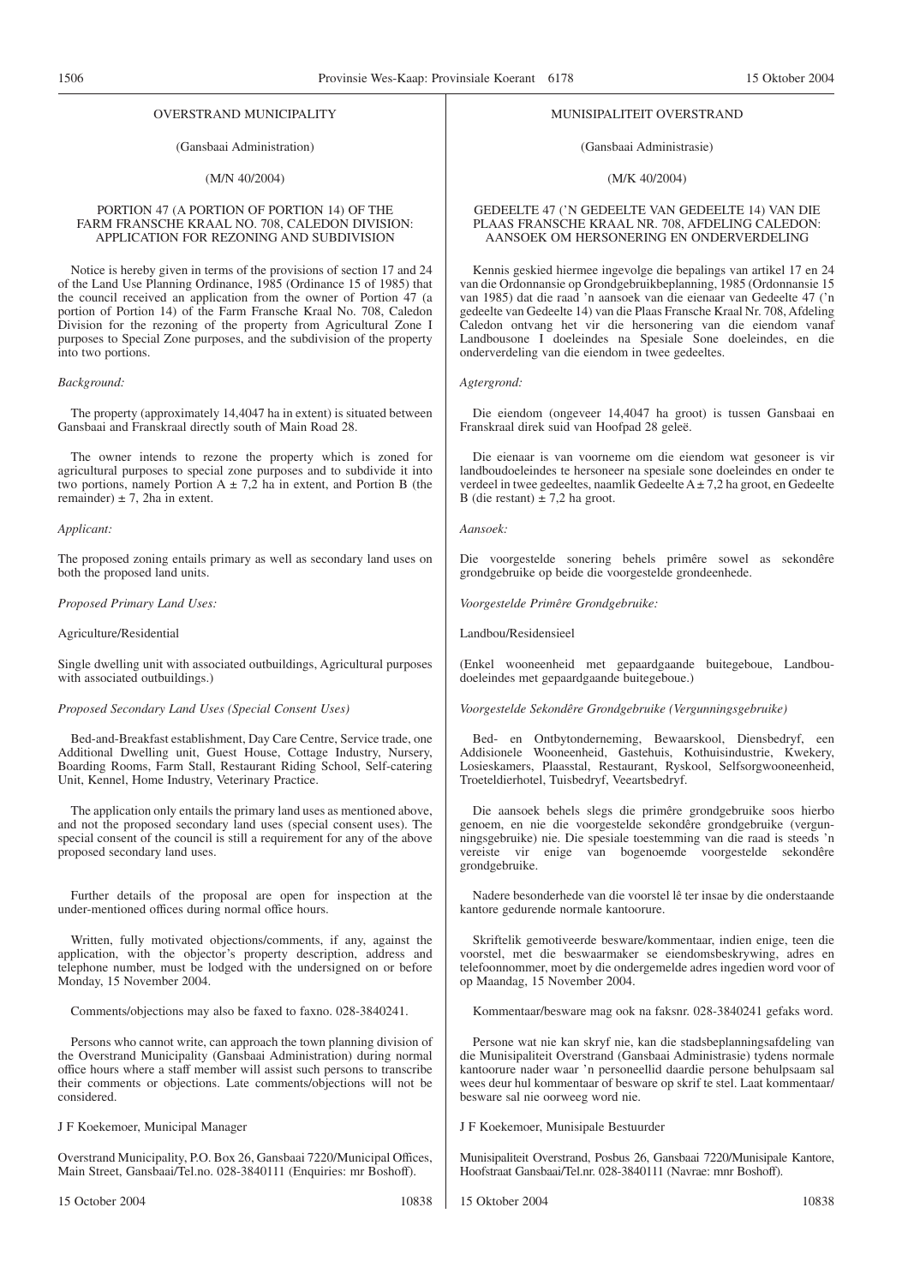#### OVERSTRAND MUNICIPALITY

#### (Gansbaai Administration)

#### (M/N 40/2004)

#### PORTION 47 (A PORTION OF PORTION 14) OF THE FARM FRANSCHE KRAAL NO. 708, CALEDON DIVISION: APPLICATION FOR REZONING AND SUBDIVISION

Notice is hereby given in terms of the provisions of section 17 and 24 of the Land Use Planning Ordinance, 1985 (Ordinance 15 of 1985) that the council received an application from the owner of Portion 47 (a portion of Portion 14) of the Farm Fransche Kraal No. 708, Caledon Division for the rezoning of the property from Agricultural Zone I purposes to Special Zone purposes, and the subdivision of the property into two portions.

#### *Background:*

The property (approximately 14,4047 ha in extent) is situated between Gansbaai and Franskraal directly south of Main Road 28.

The owner intends to rezone the property which is zoned for agricultural purposes to special zone purposes and to subdivide it into two portions, namely Portion  $A \pm 7.2$  ha in extent, and Portion B (the remainder)  $\pm$  7, 2ha in extent.

#### *Applicant:*

The proposed zoning entails primary as well as secondary land uses on both the proposed land units.

*Proposed Primary Land Uses:*

#### Agriculture/Residential

Single dwelling unit with associated outbuildings, Agricultural purposes with associated outbuildings.)

#### *Proposed Secondary Land Uses (Special Consent Uses)*

Bed-and-Breakfast establishment, Day Care Centre, Service trade, one Additional Dwelling unit, Guest House, Cottage Industry, Nursery, Boarding Rooms, Farm Stall, Restaurant Riding School, Self-catering Unit, Kennel, Home Industry, Veterinary Practice.

The application only entails the primary land uses as mentioned above, and not the proposed secondary land uses (special consent uses). The special consent of the council is still a requirement for any of the above proposed secondary land uses.

Further details of the proposal are open for inspection at the under-mentioned offices during normal office hours.

Written, fully motivated objections/comments, if any, against the application, with the objector's property description, address and telephone number, must be lodged with the undersigned on or before Monday, 15 November 2004.

Comments/objections may also be faxed to faxno. 028-3840241.

Persons who cannot write, can approach the town planning division of the Overstrand Municipality (Gansbaai Administration) during normal office hours where a staff member will assist such persons to transcribe their comments or objections. Late comments/objections will not be considered.

J F Koekemoer, Municipal Manager

Overstrand Municipality, P.O. Box 26, Gansbaai 7220/Municipal Offices, Main Street, Gansbaai/Tel.no. 028-3840111 (Enquiries: mr Boshoff).

#### MUNISIPALITEIT OVERSTRAND

#### (Gansbaai Administrasie)

#### (M/K 40/2004)

#### GEDEELTE 47 ('N GEDEELTE VAN GEDEELTE 14) VAN DIE PLAAS FRANSCHE KRAAL NR. 708, AFDELING CALEDON: AANSOEK OM HERSONERING EN ONDERVERDELING

Kennis geskied hiermee ingevolge die bepalings van artikel 17 en 24 van die Ordonnansie op Grondgebruikbeplanning, 1985 (Ordonnansie 15 van 1985) dat die raad 'n aansoek van die eienaar van Gedeelte 47 ('n gedeelte van Gedeelte 14) van die Plaas Fransche Kraal Nr. 708, Afdeling Caledon ontvang het vir die hersonering van die eiendom vanaf Landbousone I doeleindes na Spesiale Sone doeleindes, en die onderverdeling van die eiendom in twee gedeeltes.

#### *Agtergrond:*

Die eiendom (ongeveer 14,4047 ha groot) is tussen Gansbaai en Franskraal direk suid van Hoofpad 28 geleë.

Die eienaar is van voorneme om die eiendom wat gesoneer is vir landboudoeleindes te hersoneer na spesiale sone doeleindes en onder te verdeel in twee gedeeltes, naamlik Gedeelte  $A \pm 7.2$  ha groot, en Gedeelte B (die restant)  $\pm$  7,2 ha groot.

#### *Aansoek:*

Die voorgestelde sonering behels primêre sowel as sekondêre grondgebruike op beide die voorgestelde grondeenhede.

*Voorgestelde Primêre Grondgebruike:*

Landbou/Residensieel

(Enkel wooneenheid met gepaardgaande buitegeboue, Landboudoeleindes met gepaardgaande buitegeboue.)

*Voorgestelde Sekondêre Grondgebruike (Vergunningsgebruike)*

Bed- en Ontbytonderneming, Bewaarskool, Diensbedryf, een Addisionele Wooneenheid, Gastehuis, Kothuisindustrie, Kwekery, Losieskamers, Plaasstal, Restaurant, Ryskool, Selfsorgwooneenheid, Troeteldierhotel, Tuisbedryf, Veeartsbedryf.

Die aansoek behels slegs die primêre grondgebruike soos hierbo genoem, en nie die voorgestelde sekondêre grondgebruike (vergunningsgebruike) nie. Die spesiale toestemming van die raad is steeds 'n vereiste vir enige van bogenoemde voorgestelde sekondêre grondgebruike.

Nadere besonderhede van die voorstel lê ter insae by die onderstaande kantore gedurende normale kantoorure.

Skriftelik gemotiveerde besware/kommentaar, indien enige, teen die voorstel, met die beswaarmaker se eiendomsbeskrywing, adres en telefoonnommer, moet by die ondergemelde adres ingedien word voor of op Maandag, 15 November 2004.

Kommentaar/besware mag ook na faksnr. 028-3840241 gefaks word.

Persone wat nie kan skryf nie, kan die stadsbeplanningsafdeling van die Munisipaliteit Overstrand (Gansbaai Administrasie) tydens normale kantoorure nader waar 'n personeellid daardie persone behulpsaam sal wees deur hul kommentaar of besware op skrif te stel. Laat kommentaar/ besware sal nie oorweeg word nie.

#### J F Koekemoer, Munisipale Bestuurder

Munisipaliteit Overstrand, Posbus 26, Gansbaai 7220/Munisipale Kantore, Hoofstraat Gansbaai/Tel.nr. 028-3840111 (Navrae: mnr Boshoff).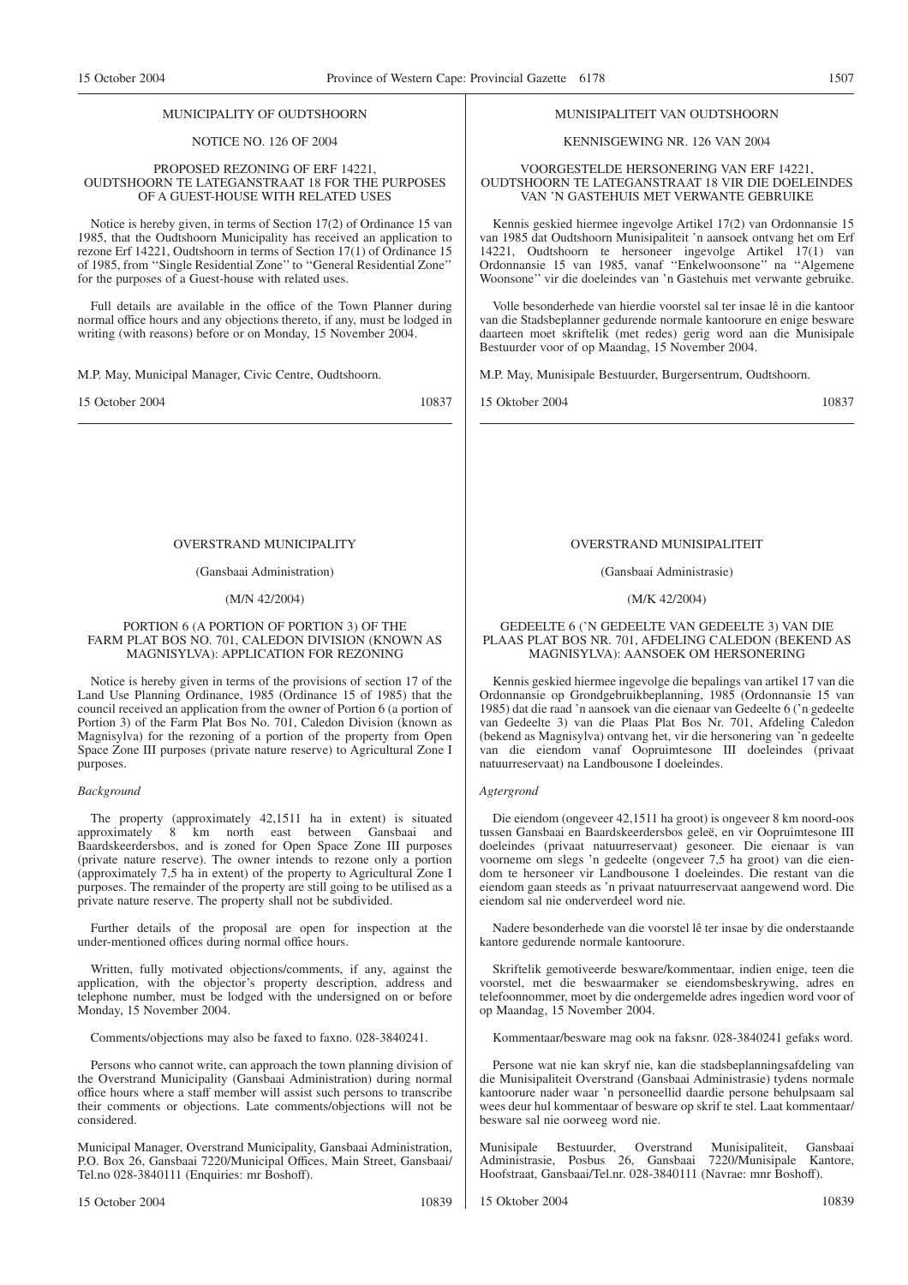#### MUNICIPALITY OF OUDTSHOORN

#### NOTICE NO. 126 OF 2004

#### PROPOSED REZONING OF ERF 14221, OUDTSHOORN TE LATEGANSTRAAT 18 FOR THE PURPOSES OF A GUEST-HOUSE WITH RELATED USES

Notice is hereby given, in terms of Section 17(2) of Ordinance 15 van 1985, that the Oudtshoorn Municipality has received an application to rezone Erf 14221, Oudtshoorn in terms of Section 17(1) of Ordinance 15 of 1985, from ''Single Residential Zone'' to ''General Residential Zone'' for the purposes of a Guest-house with related uses.

Full details are available in the office of the Town Planner during normal office hours and any objections thereto, if any, must be lodged in writing (with reasons) before or on Monday, 15 November 2004.

M.P. May, Municipal Manager, Civic Centre, Oudtshoorn.

15 October 2004 10837

#### OVERSTRAND MUNICIPALITY

#### (Gansbaai Administration)

#### (M/N 42/2004)

#### PORTION 6 (A PORTION OF PORTION 3) OF THE FARM PLAT BOS NO. 701, CALEDON DIVISION (KNOWN AS MAGNISYLVA): APPLICATION FOR REZONING

Notice is hereby given in terms of the provisions of section 17 of the Land Use Planning Ordinance, 1985 (Ordinance 15 of 1985) that the council received an application from the owner of Portion 6 (a portion of Portion 3) of the Farm Plat Bos No. 701, Caledon Division (known as Magnisylva) for the rezoning of a portion of the property from Open Space Zone III purposes (private nature reserve) to Agricultural Zone I purposes.

#### *Background*

The property (approximately 42,1511 ha in extent) is situated approximately 8 km north east between Gansbaai and Baardskeerdersbos, and is zoned for Open Space Zone III purposes (private nature reserve). The owner intends to rezone only a portion (approximately 7,5 ha in extent) of the property to Agricultural Zone I purposes. The remainder of the property are still going to be utilised as a private nature reserve. The property shall not be subdivided.

Further details of the proposal are open for inspection at the under-mentioned offices during normal office hours.

Written, fully motivated objections/comments, if any, against the application, with the objector's property description, address and telephone number, must be lodged with the undersigned on or before Monday, 15 November 2004.

Comments/objections may also be faxed to faxno. 028-3840241.

Persons who cannot write, can approach the town planning division of the Overstrand Municipality (Gansbaai Administration) during normal office hours where a staff member will assist such persons to transcribe their comments or objections. Late comments/objections will not be considered.

Municipal Manager, Overstrand Municipality, Gansbaai Administration, P.O. Box 26, Gansbaai 7220/Municipal Offices, Main Street, Gansbaai/ Tel.no 028-3840111 (Enquiries: mr Boshoff).

#### MUNISIPALITEIT VAN OUDTSHOORN

#### KENNISGEWING NR. 126 VAN 2004

VOORGESTELDE HERSONERING VAN ERF 14221, OUDTSHOORN TE LATEGANSTRAAT 18 VIR DIE DOELEINDES VAN 'N GASTEHUIS MET VERWANTE GEBRUIKE

Kennis geskied hiermee ingevolge Artikel 17(2) van Ordonnansie 15 van 1985 dat Oudtshoorn Munisipaliteit 'n aansoek ontvang het om Erf 14221, Oudtshoorn te hersoneer ingevolge Artikel 17(1) van Ordonnansie 15 van 1985, vanaf ''Enkelwoonsone'' na ''Algemene Woonsone'' vir die doeleindes van 'n Gastehuis met verwante gebruike.

Volle besonderhede van hierdie voorstel sal ter insae lê in die kantoor van die Stadsbeplanner gedurende normale kantoorure en enige besware daarteen moet skriftelik (met redes) gerig word aan die Munisipale Bestuurder voor of op Maandag, 15 November 2004.

M.P. May, Munisipale Bestuurder, Burgersentrum, Oudtshoorn.

15 Oktober 2004 10837

#### OVERSTRAND MUNISIPALITEIT

#### (Gansbaai Administrasie)

#### (M/K 42/2004)

#### GEDEELTE 6 ('N GEDEELTE VAN GEDEELTE 3) VAN DIE PLAAS PLAT BOS NR. 701, AFDELING CALEDON (BEKEND AS MAGNISYLVA): AANSOEK OM HERSONERING

Kennis geskied hiermee ingevolge die bepalings van artikel 17 van die Ordonnansie op Grondgebruikbeplanning, 1985 (Ordonnansie 15 van 1985) dat die raad 'n aansoek van die eienaar van Gedeelte 6 ('n gedeelte van Gedeelte 3) van die Plaas Plat Bos Nr. 701, Afdeling Caledon (bekend as Magnisylva) ontvang het, vir die hersonering van 'n gedeelte van die eiendom vanaf Oopruimtesone III doeleindes (privaat natuurreservaat) na Landbousone I doeleindes.

#### *Agtergrond*

Die eiendom (ongeveer 42,1511 ha groot) is ongeveer 8 km noord-oos tussen Gansbaai en Baardskeerdersbos geleë, en vir Oopruimtesone III doeleindes (privaat natuurreservaat) gesoneer. Die eienaar is van voorneme om slegs 'n gedeelte (ongeveer 7,5 ha groot) van die eiendom te hersoneer vir Landbousone I doeleindes. Die restant van die eiendom gaan steeds as 'n privaat natuurreservaat aangewend word. Die eiendom sal nie onderverdeel word nie.

Nadere besonderhede van die voorstel lê ter insae by die onderstaande kantore gedurende normale kantoorure.

Skriftelik gemotiveerde besware/kommentaar, indien enige, teen die voorstel, met die beswaarmaker se eiendomsbeskrywing, adres en telefoonnommer, moet by die ondergemelde adres ingedien word voor of op Maandag, 15 November 2004.

Kommentaar/besware mag ook na faksnr. 028-3840241 gefaks word.

Persone wat nie kan skryf nie, kan die stadsbeplanningsafdeling van die Munisipaliteit Overstrand (Gansbaai Administrasie) tydens normale kantoorure nader waar 'n personeellid daardie persone behulpsaam sal wees deur hul kommentaar of besware op skrif te stel. Laat kommentaar/ besware sal nie oorweeg word nie.

Munisipale Bestuurder, Overstrand Munisipaliteit, Gansbaai Administrasie, Posbus 26, Gansbaai 7220/Munisipale Kantore, Hoofstraat, Gansbaai/Tel.nr. 028-3840111 (Navrae: mnr Boshoff).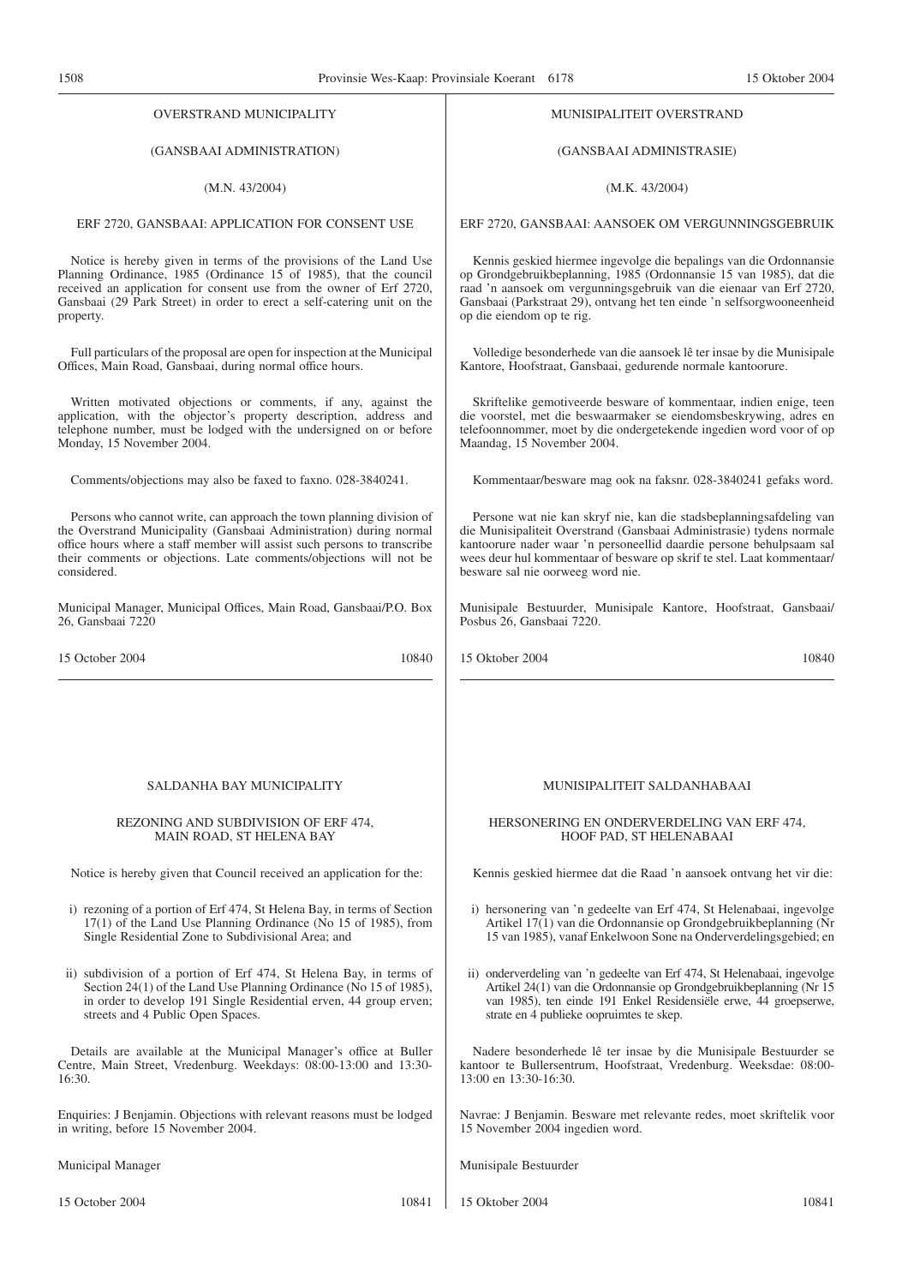| OVERSTRAND MUNICIPALITY                                                   | MUNISIPALITEIT OVERSTRAND                                                |
|---------------------------------------------------------------------------|--------------------------------------------------------------------------|
| (GANSBAAI ADMINISTRATION)                                                 | (GANSBAAI ADMINISTRASIE)                                                 |
| (M.N. 43/2004)                                                            | (M.K. 43/2004)                                                           |
| ERF 2720, GANSBAAI: APPLICATION FOR CONSENT USE                           | ERF 2720, GANSBAAI: AANSOEK OM VERGUNNINGSGEBRUIK                        |
| Notice is hereby given in terms of the provisions of the Land Use         | Kennis geskied hiermee ingevolge die bepalings van die Ordonnansie       |
| Planning Ordinance, 1985 (Ordinance 15 of 1985), that the council         | op Grondgebruikbeplanning, 1985 (Ordonnansie 15 van 1985), dat die       |
| received an application for consent use from the owner of Erf 2720,       | raad 'n aansoek om vergunningsgebruik van die eienaar van Erf 2720,      |
| Gansbaai (29 Park Street) in order to erect a self-catering unit on the   | Gansbaai (Parkstraat 29), ontvang het ten einde 'n selfsorgwooneenheid   |
| property.                                                                 | op die eiendom op te rig.                                                |
| Full particulars of the proposal are open for inspection at the Municipal | Volledige besonderhede van die aansoek lê ter insae by die Munisipale    |
| Offices, Main Road, Gansbaai, during normal office hours.                 | Kantore, Hoofstraat, Gansbaai, gedurende normale kantoorure.             |
| Written motivated objections or comments, if any, against the             | Skriftelike gemotiveerde besware of kommentaar, indien enige, teen       |
| application, with the objector's property description, address and        | die voorstel, met die beswaarmaker se eiendomsbeskrywing, adres en       |
| telephone number, must be lodged with the undersigned on or before        | telefoonnommer, moet by die ondergetekende ingedien word voor of op      |
| Monday, 15 November 2004.                                                 | Maandag, 15 November 2004.                                               |
| Comments/objections may also be faxed to faxno. 028-3840241.              | Kommentaar/besware mag ook na faksnr. 028-3840241 gefaks word.           |
| Persons who cannot write, can approach the town planning division of      | Persone wat nie kan skryf nie, kan die stadsbeplanningsafdeling van      |
| the Overstrand Municipality (Gansbaai Administration) during normal       | die Munisipaliteit Overstrand (Gansbaai Administrasie) tydens normale    |
| office hours where a staff member will assist such persons to transcribe  | kantoorure nader waar 'n personeellid daardie persone behulpsaam sal     |
| their comments or objections. Late comments/objections will not be        | wees deur hul kommentaar of besware op skrif te stel. Laat kommentaar/   |
| considered.                                                               | besware sal nie oorweeg word nie.                                        |
| Municipal Manager, Municipal Offices, Main Road, Gansbaai/P.O. Box        | Munisipale Bestuurder, Munisipale Kantore, Hoofstraat, Gansbaai/         |
| 26, Gansbaai 7220                                                         | Posbus 26, Gansbaai 7220.                                                |
| 15 October 2004                                                           | 15 Oktober 2004                                                          |
| 10840                                                                     | 10840                                                                    |
| SALDANHA BAY MUNICIPALITY                                                 | MUNISIPALITEIT SALDANHABAAI                                              |
| REZONING AND SUBDIVISION OF ERF 474,                                      | HERSONERING EN ONDERVERDELING VAN ERF 474,                               |
| MAIN ROAD, ST HELENA BAY                                                  | HOOF PAD, ST HELENABAAI                                                  |
| Notice is hereby given that Council received an application for the:      | Kennis geskied hiermee dat die Raad 'n aansoek ontvang het vir die:      |
| i) rezoning of a portion of Erf 474, St Helena Bay, in terms of Section   | i) hersonering van 'n gedeelte van Erf 474, St Helenabaai, ingevolge     |
| 17(1) of the Land Use Planning Ordinance (No 15 of 1985), from            | Artikel 17(1) van die Ordonnansie op Grondgebruikbeplanning (Nr          |
| Single Residential Zone to Subdivisional Area; and                        | 15 van 1985), vanaf Enkelwoon Sone na Onderverdelingsgebied; en          |
| ii) subdivision of a portion of Erf 474, St Helena Bay, in terms of       | ii) onderverdeling van 'n gedeelte van Erf 474, St Helenabaai, ingevolge |
| Section 24(1) of the Land Use Planning Ordinance (No 15 of 1985),         | Artikel 24(1) van die Ordonnansie op Grondgebruikbeplanning (Nr 15       |
| in order to develop 191 Single Residential erven, 44 group erven;         | van 1985), ten einde 191 Enkel Residensiële erwe, 44 groepserwe,         |
| streets and 4 Public Open Spaces.                                         | strate en 4 publieke oopruimtes te skep.                                 |
| Details are available at the Municipal Manager's office at Buller         | Nadere besonderhede lê ter insae by die Munisipale Bestuurder se         |
| Centre, Main Street, Vredenburg. Weekdays: 08:00-13:00 and 13:30-         | kantoor te Bullersentrum, Hoofstraat, Vredenburg. Weeksdae: 08:00-       |
| 16:30.                                                                    | 13:00 en 13:30-16:30.                                                    |
| Enquiries: J Benjamin. Objections with relevant reasons must be lodged    | Navrae: J Benjamin. Besware met relevante redes, moet skriftelik voor    |
| in writing, before 15 November 2004.                                      | 15 November 2004 ingedien word.                                          |
| Municipal Manager                                                         | Munisipale Bestuurder                                                    |
| 10841                                                                     | 15 Oktober 2004                                                          |
| 15 October 2004                                                           | 10841                                                                    |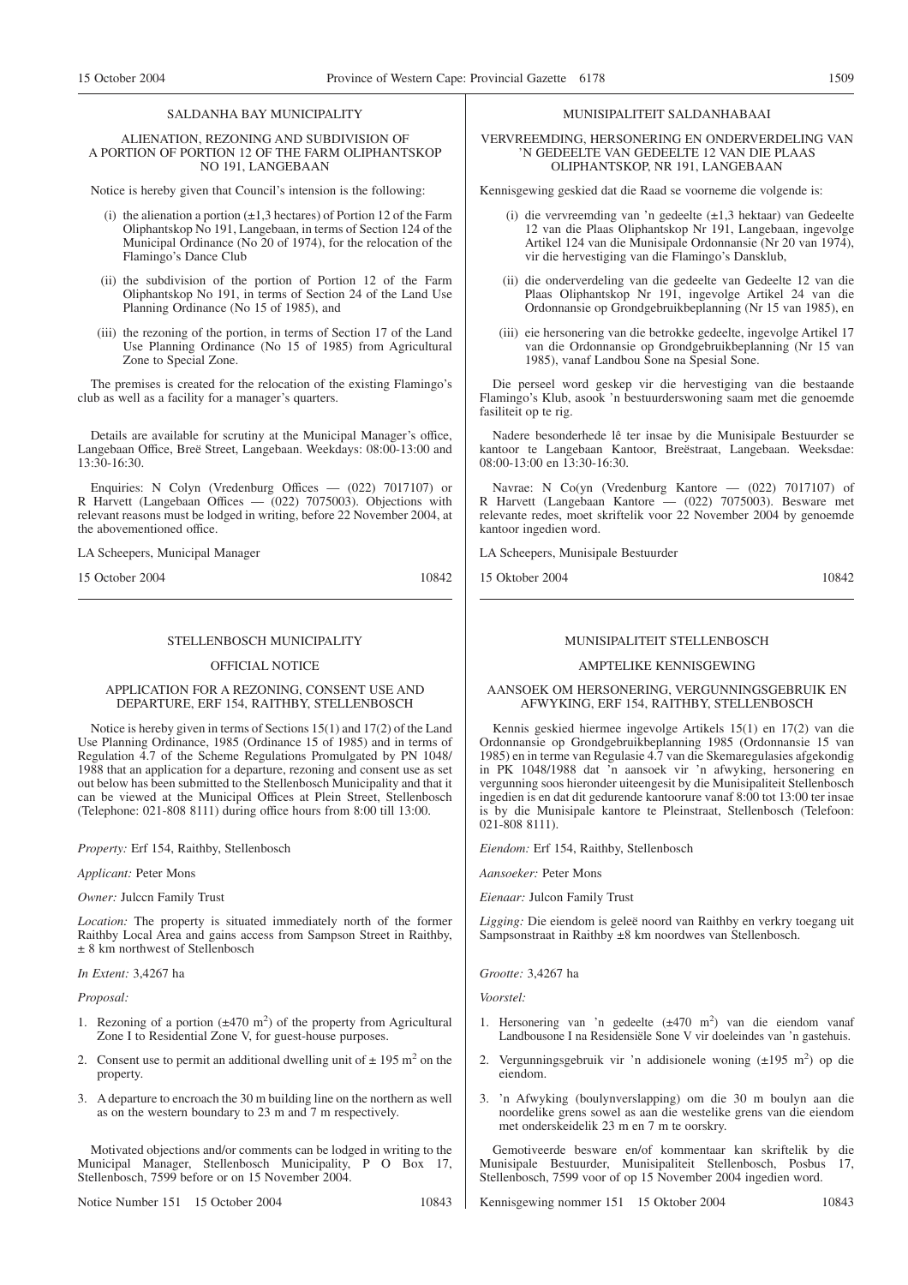#### SALDANHA BAY MUNICIPALITY

#### ALIENATION, REZONING AND SUBDIVISION OF A PORTION OF PORTION 12 OF THE FARM OLIPHANTSKOP NO 191, LANGEBAAN

Notice is hereby given that Council's intension is the following:

- (i) the alienation a portion  $(\pm 1, 3$  hectares) of Portion 12 of the Farm Oliphantskop No 191, Langebaan, in terms of Section 124 of the Municipal Ordinance (No 20 of 1974), for the relocation of the Flamingo's Dance Club
- (ii) the subdivision of the portion of Portion 12 of the Farm Oliphantskop No 191, in terms of Section 24 of the Land Use Planning Ordinance (No 15 of 1985), and
- (iii) the rezoning of the portion, in terms of Section 17 of the Land Use Planning Ordinance (No 15 of 1985) from Agricultural Zone to Special Zone.

The premises is created for the relocation of the existing Flamingo's club as well as a facility for a manager's quarters.

Details are available for scrutiny at the Municipal Manager's office, Langebaan Office, Breë Street, Langebaan. Weekdays: 08:00-13:00 and 13:30-16:30.

Enquiries: N Colyn (Vredenburg Offices — (022) 7017107) or R Harvett (Langebaan Offices  $-$  (022) 7075003). Objections with relevant reasons must be lodged in writing, before 22 November 2004, at the abovementioned office.

LA Scheepers, Municipal Manager

15 October 2004 10842

#### STELLENBOSCH MUNICIPALITY

#### OFFICIAL NOTICE

#### APPLICATION FOR A REZONING, CONSENT USE AND DEPARTURE, ERF 154, RAITHBY, STELLENBOSCH

Notice is hereby given in terms of Sections 15(1) and 17(2) of the Land Use Planning Ordinance, 1985 (Ordinance 15 of 1985) and in terms of Regulation 4.7 of the Scheme Regulations Promulgated by PN 1048/ 1988 that an application for a departure, rezoning and consent use as set out below has been submitted to the Stellenbosch Municipality and that it can be viewed at the Municipal Offices at Plein Street, Stellenbosch (Telephone: 021-808 8111) during office hours from 8:00 till 13:00.

*Property:* Erf 154, Raithby, Stellenbosch

*Applicant:* Peter Mons

*Owner:* Julccn Family Trust

*Location:* The property is situated immediately north of the former Raithby Local Area and gains access from Sampson Street in Raithby, ± 8 km northwest of Stellenbosch

*In Extent:* 3,4267 ha

*Proposal:*

- 1. Rezoning of a portion  $(\pm 470 \text{ m}^2)$  of the property from Agricultural Zone I to Residential Zone V, for guest-house purposes.
- 2. Consent use to permit an additional dwelling unit of  $\pm$  195 m<sup>2</sup> on the property.
- 3. A departure to encroach the 30 m building line on the northern as well as on the western boundary to 23 m and 7 m respectively.

Motivated objections and/or comments can be lodged in writing to the Municipal Manager, Stellenbosch Municipality, P O Box 17, Stellenbosch, 7599 before or on 15 November 2004.

Notice Number 151 15 October 2004 10843

#### MUNISIPALITEIT SALDANHABAAI

#### VERVREEMDING, HERSONERING EN ONDERVERDELING VAN 'N GEDEELTE VAN GEDEELTE 12 VAN DIE PLAAS OLIPHANTSKOP, NR 191, LANGEBAAN

Kennisgewing geskied dat die Raad se voorneme die volgende is:

- (i) die vervreemding van 'n gedeelte (±1,3 hektaar) van Gedeelte 12 van die Plaas Oliphantskop Nr 191, Langebaan, ingevolge Artikel 124 van die Munisipale Ordonnansie (Nr 20 van 1974), vir die hervestiging van die Flamingo's Dansklub,
- (ii) die onderverdeling van die gedeelte van Gedeelte 12 van die Plaas Oliphantskop Nr 191, ingevolge Artikel 24 van die Ordonnansie op Grondgebruikbeplanning (Nr 15 van 1985), en
- (iii) eie hersonering van die betrokke gedeelte, ingevolge Artikel 17 van die Ordonnansie op Grondgebruikbeplanning (Nr 15 van 1985), vanaf Landbou Sone na Spesial Sone.

Die perseel word geskep vir die hervestiging van die bestaande Flamingo's Klub, asook 'n bestuurderswoning saam met die genoemde fasiliteit op te rig.

Nadere besonderhede lê ter insae by die Munisipale Bestuurder se kantoor te Langebaan Kantoor, Breëstraat, Langebaan. Weeksdae: 08:00-13:00 en 13:30-16:30.

Navrae: N Co(yn (Vredenburg Kantore — (022) 7017107) of R Harvett (Langebaan Kantore — (022) 7075003). Besware met relevante redes, moet skriftelik voor 22 November 2004 by genoemde kantoor ingedien word.

LA Scheepers, Munisipale Bestuurder

15 Oktober 2004 10842

#### MUNISIPALITEIT STELLENBOSCH

#### AMPTELIKE KENNISGEWING

#### AANSOEK OM HERSONERING, VERGUNNINGSGEBRUIK EN AFWYKING, ERF 154, RAITHBY, STELLENBOSCH

Kennis geskied hiermee ingevolge Artikels 15(1) en 17(2) van die Ordonnansie op Grondgebruikbeplanning 1985 (Ordonnansie 15 van 1985) en in terme van Regulasie 4.7 van die Skemaregulasies afgekondig in PK 1048/1988 dat 'n aansoek vir 'n afwyking, hersonering en vergunning soos hieronder uiteengesit by die Munisipaliteit Stellenbosch ingedien is en dat dit gedurende kantoorure vanaf 8:00 tot 13:00 ter insae is by die Munisipale kantore te Pleinstraat, Stellenbosch (Telefoon: 021-808 8111).

*Eiendom:* Erf 154, Raithby, Stellenbosch

*Aansoeker:* Peter Mons

*Eienaar:* Julcon Family Trust

*Ligging:* Die eiendom is geleë noord van Raithby en verkry toegang uit Sampsonstraat in Raithby ±8 km noordwes van Stellenbosch.

*Grootte:* 3,4267 ha

*Voorstel:*

- 1. Hersonering van 'n gedeelte (±470 m<sup>2</sup>) van die eiendom vanaf Landbousone I na Residensiële Sone V vir doeleindes van 'n gastehuis.
- 2. Vergunningsgebruik vir 'n addisionele woning  $(\pm 195 \text{ m}^2)$  op die eiendom.
- 3. 'n Afwyking (boulynverslapping) om die 30 m boulyn aan die noordelike grens sowel as aan die westelike grens van die eiendom met onderskeidelik 23 m en 7 m te oorskry.

Gemotiveerde besware en/of kommentaar kan skriftelik by die Munisipale Bestuurder, Munisipaliteit Stellenbosch, Posbus 17, Stellenbosch, 7599 voor of op 15 November 2004 ingedien word.

Kennisgewing nommer 151 15 Oktober 2004 10843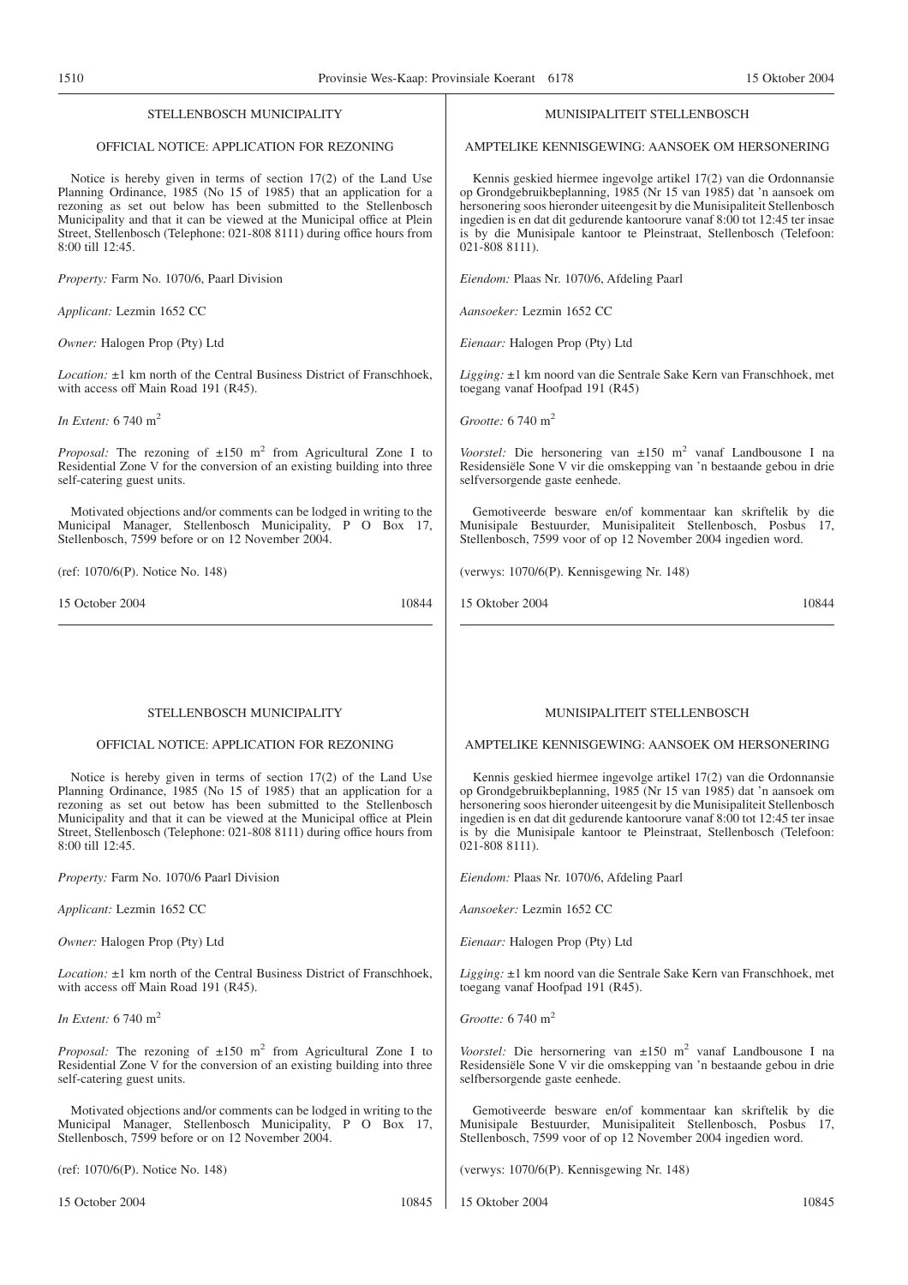| STELLENBOSCH MUNICIPALITY                                                                                                                                                                                                                                                                                                                                                              | MUNISIPALITEIT STELLENBOSCH                                                                                                                                                                                                                                                                                                                                                                   |
|----------------------------------------------------------------------------------------------------------------------------------------------------------------------------------------------------------------------------------------------------------------------------------------------------------------------------------------------------------------------------------------|-----------------------------------------------------------------------------------------------------------------------------------------------------------------------------------------------------------------------------------------------------------------------------------------------------------------------------------------------------------------------------------------------|
| OFFICIAL NOTICE: APPLICATION FOR REZONING                                                                                                                                                                                                                                                                                                                                              | AMPTELIKE KENNISGEWING: AANSOEK OM HERSONERING                                                                                                                                                                                                                                                                                                                                                |
| Notice is hereby given in terms of section $17(2)$ of the Land Use<br>Planning Ordinance, 1985 (No 15 of 1985) that an application for a<br>rezoning as set out below has been submitted to the Stellenbosch<br>Municipality and that it can be viewed at the Municipal office at Plein<br>Street, Stellenbosch (Telephone: 021-808 8111) during office hours from<br>8:00 till 12:45. | Kennis geskied hiermee ingevolge artikel 17(2) van die Ordonnansie<br>op Grondgebruikbeplanning, 1985 (Nr 15 van 1985) dat 'n aansoek om<br>hersonering soos hieronder uiteengesit by die Munisipaliteit Stellenbosch<br>ingedien is en dat dit gedurende kantoorure vanaf 8:00 tot 12:45 ter insae<br>is by die Munisipale kantoor te Pleinstraat, Stellenbosch (Telefoon:<br>021-808 8111). |
| Property: Farm No. 1070/6, Paarl Division                                                                                                                                                                                                                                                                                                                                              | Eiendom: Plaas Nr. 1070/6, Afdeling Paarl                                                                                                                                                                                                                                                                                                                                                     |
| Applicant: Lezmin 1652 CC                                                                                                                                                                                                                                                                                                                                                              | Aansoeker: Lezmin 1652 CC                                                                                                                                                                                                                                                                                                                                                                     |
| Owner: Halogen Prop (Pty) Ltd                                                                                                                                                                                                                                                                                                                                                          | Eienaar: Halogen Prop (Pty) Ltd                                                                                                                                                                                                                                                                                                                                                               |
| <i>Location:</i> ±1 km north of the Central Business District of Franschhoek,<br>with access off Main Road 191 (R45).                                                                                                                                                                                                                                                                  | Ligging: ±1 km noord van die Sentrale Sake Kern van Franschhoek, met<br>toegang vanaf Hoofpad 191 (R45)                                                                                                                                                                                                                                                                                       |
| In Extent: $6740 \text{ m}^2$                                                                                                                                                                                                                                                                                                                                                          | Grootte: 6 740 m <sup>2</sup>                                                                                                                                                                                                                                                                                                                                                                 |
| <i>Proposal:</i> The rezoning of $\pm 150$ m <sup>2</sup> from Agricultural Zone I to<br>Residential Zone V for the conversion of an existing building into three<br>self-catering guest units.                                                                                                                                                                                        | Voorstel: Die hersonering van $\pm 150$ m <sup>2</sup> vanaf Landbousone I na<br>Residensiële Sone V vir die omskepping van 'n bestaande gebou in drie<br>selfversorgende gaste eenhede.                                                                                                                                                                                                      |
| Motivated objections and/or comments can be lodged in writing to the<br>Municipal Manager, Stellenbosch Municipality, P O Box 17,<br>Stellenbosch, 7599 before or on 12 November 2004.                                                                                                                                                                                                 | Gemotiveerde besware en/of kommentaar kan skriftelik by die<br>Munisipale Bestuurder, Munisipaliteit Stellenbosch, Posbus 17,<br>Stellenbosch, 7599 voor of op 12 November 2004 ingedien word.                                                                                                                                                                                                |
| (ref: 1070/6(P). Notice No. 148)                                                                                                                                                                                                                                                                                                                                                       | (verwys: 1070/6(P). Kennisgewing Nr. 148)                                                                                                                                                                                                                                                                                                                                                     |
| 15 October 2004<br>10844                                                                                                                                                                                                                                                                                                                                                               | 15 Oktober 2004<br>10844                                                                                                                                                                                                                                                                                                                                                                      |
| STELLENBOSCH MUNICIPALITY<br>OFFICIAL NOTICE: APPLICATION FOR REZONING                                                                                                                                                                                                                                                                                                                 | MUNISIPALITEIT STELLENBOSCH<br>AMPTELIKE KENNISGEWING: AANSOEK OM HERSONERING                                                                                                                                                                                                                                                                                                                 |
| Notice is hereby given in terms of section $17(2)$ of the Land Use<br>Planning Ordinance, 1985 (No 15 of 1985) that an application for a<br>rezoning as set out betow has been submitted to the Stellenbosch<br>Municipality and that it can be viewed at the Municipal office at Plein<br>Street, Stellenbosch (Telephone: 021-808 8111) during office hours from<br>8:00 till 12:45. | Kennis geskied hiermee ingevolge artikel 17(2) van die Ordonnansie<br>op Grondgebruikbeplanning, 1985 (Nr 15 van 1985) dat 'n aansoek om<br>hersonering soos hieronder uiteengesit by die Munisipaliteit Stellenbosch<br>ingedien is en dat dit gedurende kantoorure vanaf 8:00 tot 12:45 ter insae<br>is by die Munisipale kantoor te Pleinstraat, Stellenbosch (Telefoon:<br>021-808 8111). |
| Property: Farm No. 1070/6 Paarl Division                                                                                                                                                                                                                                                                                                                                               | <i>Eiendom:</i> Plaas Nr. 1070/6, Afdeling Paarl                                                                                                                                                                                                                                                                                                                                              |
| Applicant: Lezmin 1652 CC                                                                                                                                                                                                                                                                                                                                                              | Aansoeker: Lezmin 1652 CC                                                                                                                                                                                                                                                                                                                                                                     |
| Owner: Halogen Prop (Pty) Ltd                                                                                                                                                                                                                                                                                                                                                          | Eienaar: Halogen Prop (Pty) Ltd                                                                                                                                                                                                                                                                                                                                                               |
| <i>Location:</i> ±1 km north of the Central Business District of Franschhoek,<br>with access off Main Road 191 (R45).                                                                                                                                                                                                                                                                  | Ligging: ±1 km noord van die Sentrale Sake Kern van Franschhoek, met<br>toegang vanaf Hoofpad 191 (R45).                                                                                                                                                                                                                                                                                      |
| In Extent: $6740 \text{ m}^2$                                                                                                                                                                                                                                                                                                                                                          | Grootte: 6 740 m <sup>2</sup>                                                                                                                                                                                                                                                                                                                                                                 |
| <i>Proposal:</i> The rezoning of $\pm 150$ m <sup>2</sup> from Agricultural Zone I to<br>Residential Zone V for the conversion of an existing building into three<br>self-catering guest units.                                                                                                                                                                                        | Voorstel: Die hersornering van $\pm 150$ m <sup>2</sup> vanaf Landbousone I na<br>Residensiële Sone V vir die omskepping van 'n bestaande gebou in drie<br>selfbersorgende gaste eenhede.                                                                                                                                                                                                     |
| Motivated objections and/or comments can be lodged in writing to the<br>Municipal Manager, Stellenbosch Municipality, P O Box 17,<br>Stellenbosch, 7599 before or on 12 November 2004.                                                                                                                                                                                                 | Gemotiveerde besware en/of kommentaar kan skriftelik by die<br>Munisipale Bestuurder, Munisipaliteit Stellenbosch, Posbus 17,<br>Stellenbosch, 7599 voor of op 12 November 2004 ingedien word.                                                                                                                                                                                                |
| (ref: 1070/6(P). Notice No. 148)                                                                                                                                                                                                                                                                                                                                                       | (verwys: 1070/6(P). Kennisgewing Nr. 148)                                                                                                                                                                                                                                                                                                                                                     |
| 15 October 2004<br>10845                                                                                                                                                                                                                                                                                                                                                               | 15 Oktober 2004<br>10845                                                                                                                                                                                                                                                                                                                                                                      |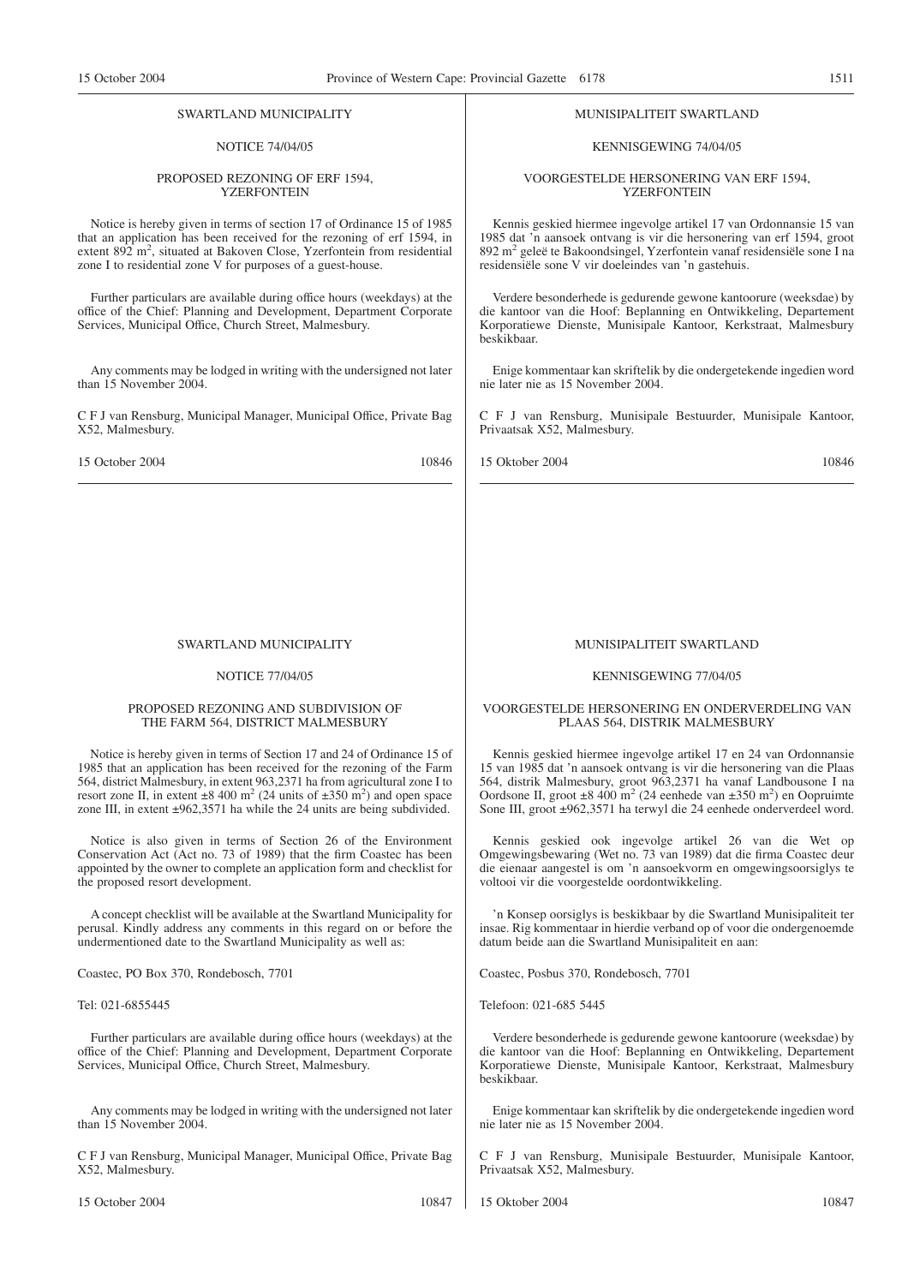#### SWARTLAND MUNICIPALITY

#### NOTICE 74/04/05

#### PROPOSED REZONING OF ERF 1594, YZERFONTEIN

Notice is hereby given in terms of section 17 of Ordinance 15 of 1985 that an application has been received for the rezoning of erf 1594, in extent 892 m<sup>2</sup>, situated at Bakoven Close, Yzerfontein from residential zone I to residential zone V for purposes of a guest-house.

Further particulars are available during office hours (weekdays) at the office of the Chief: Planning and Development, Department Corporate Services, Municipal Office, Church Street, Malmesbury.

Any comments may be lodged in writing with the undersigned not later than 15 November 2004.

C F J van Rensburg, Municipal Manager, Municipal Office, Private Bag X52, Malmesbury.

15 October 2004 10846

#### SWARTLAND MUNICIPALITY

#### NOTICE 77/04/05

#### PROPOSED REZONING AND SUBDIVISION OF THE FARM 564, DISTRICT MALMESBURY

Notice is hereby given in terms of Section 17 and 24 of Ordinance 15 of 1985 that an application has been received for the rezoning of the Farm 564, district Malmesbury, in extent 963,2371 ha from agricultural zone I to resort zone II, in extent  $\pm 8,400 \text{ m}^2 (24 \text{ units of } \pm 350 \text{ m}^2)$  and open space zone III, in extent ±962,3571 ha while the 24 units are being subdivided.

Notice is also given in terms of Section 26 of the Environment Conservation Act (Act no. 73 of 1989) that the firm Coastec has been appointed by the owner to complete an application form and checklist for the proposed resort development.

A concept checklist will be available at the Swartland Municipality for perusal. Kindly address any comments in this regard on or before the undermentioned date to the Swartland Municipality as well as:

Coastec, PO Box 370, Rondebosch, 7701

#### Tel: 021-6855445

Further particulars are available during office hours (weekdays) at the office of the Chief: Planning and Development, Department Corporate Services, Municipal Office, Church Street, Malmesbury.

Any comments may be lodged in writing with the undersigned not later than 15 November 2004.

C F J van Rensburg, Municipal Manager, Municipal Office, Private Bag X52, Malmesbury.

15 October 2004 10847

#### MUNISIPALITEIT SWARTLAND

#### KENNISGEWING 74/04/05

VOORGESTELDE HERSONERING VAN ERF 1594, YZERFONTEIN

Kennis geskied hiermee ingevolge artikel 17 van Ordonnansie 15 van 1985 dat 'n aansoek ontvang is vir die hersonering van erf 1594, groot 892 m2 geleë te Bakoondsingel, Yzerfontein vanaf residensiële sone I na residensiële sone V vir doeleindes van 'n gastehuis.

Verdere besonderhede is gedurende gewone kantoorure (weeksdae) by die kantoor van die Hoof: Beplanning en Ontwikkeling, Departement Korporatiewe Dienste, Munisipale Kantoor, Kerkstraat, Malmesbury beskikbaar.

Enige kommentaar kan skriftelik by die ondergetekende ingedien word nie later nie as 15 November 2004.

C F J van Rensburg, Munisipale Bestuurder, Munisipale Kantoor, Privaatsak X52, Malmesbury.

15 Oktober 2004 10846

### MUNISIPALITEIT SWARTLAND

#### KENNISGEWING 77/04/05

#### VOORGESTELDE HERSONERING EN ONDERVERDELING VAN PLAAS 564, DISTRIK MALMESBURY

Kennis geskied hiermee ingevolge artikel 17 en 24 van Ordonnansie 15 van 1985 dat 'n aansoek ontvang is vir die hersonering van die Plaas 564, distrik Malmesbury, groot 963,2371 ha vanaf Landbousone I na Oordsone II, groot  $\pm 8,400 \text{ m}^2$  (24 eenhede van  $\pm 350 \text{ m}^2$ ) en Oopruimte Sone III, groot ±962,3571 ha terwyl die 24 eenhede onderverdeel word.

Kennis geskied ook ingevolge artikel 26 van die Wet op Omgewingsbewaring (Wet no. 73 van 1989) dat die firma Coastec deur die eienaar aangestel is om 'n aansoekvorm en omgewingsoorsiglys te voltooi vir die voorgestelde oordontwikkeling.

'n Konsep oorsiglys is beskikbaar by die Swartland Munisipaliteit ter insae. Rig kommentaar in hierdie verband op of voor die ondergenoemde datum beide aan die Swartland Munisipaliteit en aan:

Coastec, Posbus 370, Rondebosch, 7701

Telefoon: 021-685 5445

Verdere besonderhede is gedurende gewone kantoorure (weeksdae) by die kantoor van die Hoof: Beplanning en Ontwikkeling, Departement Korporatiewe Dienste, Munisipale Kantoor, Kerkstraat, Malmesbury beskikbaar.

Enige kommentaar kan skriftelik by die ondergetekende ingedien word nie later nie as 15 November 2004.

C F J van Rensburg, Munisipale Bestuurder, Munisipale Kantoor, Privaatsak X52, Malmesbury.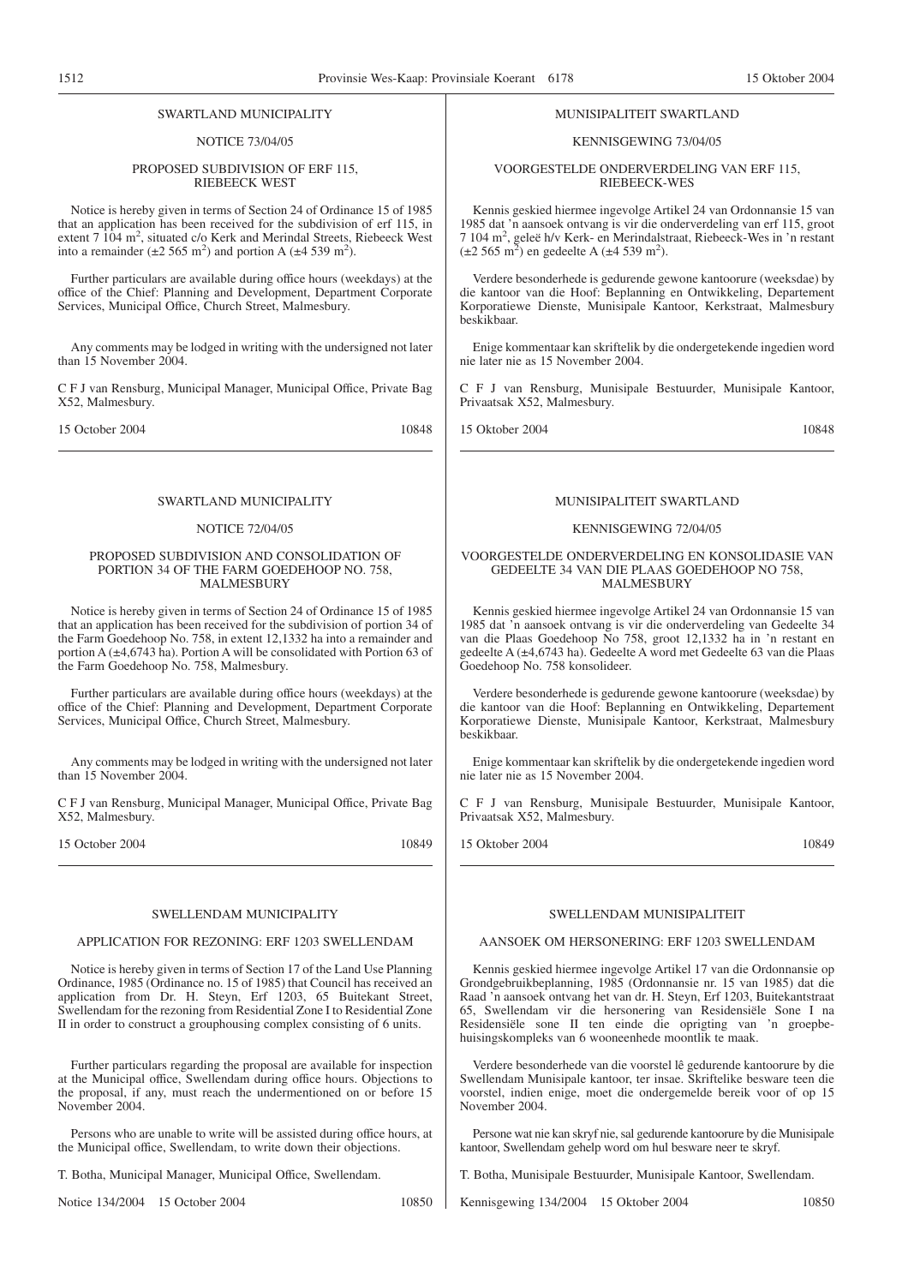#### SWARTLAND MUNICIPALITY

#### NOTICE 73/04/05

#### PROPOSED SUBDIVISION OF ERF 115, RIEBEECK WEST

Notice is hereby given in terms of Section 24 of Ordinance 15 of 1985 that an application has been received for the subdivision of erf 115, in extent 7 104 m<sup>2</sup>, situated c/o Kerk and Merindal Streets, Riebeeck West into a remainder ( $\pm 2$  565 m<sup>2</sup>) and portion A ( $\pm 4$  539 m<sup>2</sup>).

Further particulars are available during office hours (weekdays) at the office of the Chief: Planning and Development, Department Corporate Services, Municipal Office, Church Street, Malmesbury.

Any comments may be lodged in writing with the undersigned not later than 15 November 2004.

C F J van Rensburg, Municipal Manager, Municipal Office, Private Bag X52, Malmesbury.

15 October 2004 10848

#### SWARTLAND MUNICIPALITY

#### NOTICE 72/04/05

#### PROPOSED SUBDIVISION AND CONSOLIDATION OF PORTION 34 OF THE FARM GOEDEHOOP NO. 758, MALMESBURY

Notice is hereby given in terms of Section 24 of Ordinance 15 of 1985 that an application has been received for the subdivision of portion 34 of the Farm Goedehoop No. 758, in extent 12,1332 ha into a remainder and portion A (±4,6743 ha). Portion A will be consolidated with Portion 63 of the Farm Goedehoop No. 758, Malmesbury.

Further particulars are available during office hours (weekdays) at the office of the Chief: Planning and Development, Department Corporate Services, Municipal Office, Church Street, Malmesbury.

Any comments may be lodged in writing with the undersigned not later than 15 November 2004.

C F J van Rensburg, Municipal Manager, Municipal Office, Private Bag X52, Malmesbury.

15 October 2004 10849

#### SWELLENDAM MUNICIPALITY

#### APPLICATION FOR REZONING: ERF 1203 SWELLENDAM

Notice is hereby given in terms of Section 17 of the Land Use Planning Ordinance, 1985 (Ordinance no. 15 of 1985) that Council has received an application from Dr. H. Steyn, Erf 1203, 65 Buitekant Street, Swellendam for the rezoning from Residential Zone I to Residential Zone II in order to construct a grouphousing complex consisting of 6 units.

Further particulars regarding the proposal are available for inspection at the Municipal office, Swellendam during office hours. Objections to the proposal, if any, must reach the undermentioned on or before 15 November 2004.

Persons who are unable to write will be assisted during office hours, at the Municipal office, Swellendam, to write down their objections.

T. Botha, Municipal Manager, Municipal Office, Swellendam.

Notice 134/2004 15 October 2004 10850

#### MUNISIPALITEIT SWARTLAND

#### KENNISGEWING 73/04/05

VOORGESTELDE ONDERVERDELING VAN ERF 115, RIEBEECK-WES

Kennis geskied hiermee ingevolge Artikel 24 van Ordonnansie 15 van 1985 dat 'n aansoek ontvang is vir die onderverdeling van erf 115, groot 7 104 m2 , geleë h/v Kerk- en Merindalstraat, Riebeeck-Wes in 'n restant  $(\pm 2.565 \text{ m}^2)$  en gedeelte A ( $\pm 4.539 \text{ m}^2$ ).

Verdere besonderhede is gedurende gewone kantoorure (weeksdae) by die kantoor van die Hoof: Beplanning en Ontwikkeling, Departement Korporatiewe Dienste, Munisipale Kantoor, Kerkstraat, Malmesbury beskikbaar.

Enige kommentaar kan skriftelik by die ondergetekende ingedien word nie later nie as 15 November 2004.

C F J van Rensburg, Munisipale Bestuurder, Munisipale Kantoor, Privaatsak X52, Malmesbury.

15 Oktober 2004 10848

#### MUNISIPALITEIT SWARTLAND

#### KENNISGEWING 72/04/05

#### VOORGESTELDE ONDERVERDELING EN KONSOLIDASIE VAN GEDEELTE 34 VAN DIE PLAAS GOEDEHOOP NO 758, MALMESBURY

Kennis geskied hiermee ingevolge Artikel 24 van Ordonnansie 15 van 1985 dat 'n aansoek ontvang is vir die onderverdeling van Gedeelte 34 van die Plaas Goedehoop No 758, groot 12,1332 ha in 'n restant en gedeelte A (±4,6743 ha). Gedeelte A word met Gedeelte 63 van die Plaas Goedehoop No. 758 konsolideer.

Verdere besonderhede is gedurende gewone kantoorure (weeksdae) by die kantoor van die Hoof: Beplanning en Ontwikkeling, Departement Korporatiewe Dienste, Munisipale Kantoor, Kerkstraat, Malmesbury beskikbaar.

Enige kommentaar kan skriftelik by die ondergetekende ingedien word nie later nie as 15 November 2004.

C F J van Rensburg, Munisipale Bestuurder, Munisipale Kantoor, Privaatsak X52, Malmesbury.

15 Oktober 2004 10849

#### SWELLENDAM MUNISIPALITEIT

#### AANSOEK OM HERSONERING: ERF 1203 SWELLENDAM

Kennis geskied hiermee ingevolge Artikel 17 van die Ordonnansie op Grondgebruikbeplanning, 1985 (Ordonnansie nr. 15 van 1985) dat die Raad 'n aansoek ontvang het van dr. H. Steyn, Erf 1203, Buitekantstraat 65, Swellendam vir die hersonering van Residensiële Sone I na Residensiële sone II ten einde die oprigting van 'n groepbehuisingskompleks van 6 wooneenhede moontlik te maak.

Verdere besonderhede van die voorstel lê gedurende kantoorure by die Swellendam Munisipale kantoor, ter insae. Skriftelike besware teen die voorstel, indien enige, moet die ondergemelde bereik voor of op 15 November 2004.

Persone wat nie kan skryf nie, sal gedurende kantoorure by die Munisipale kantoor, Swellendam gehelp word om hul besware neer te skryf.

T. Botha, Munisipale Bestuurder, Munisipale Kantoor, Swellendam.

Kennisgewing 134/2004 15 Oktober 2004 10850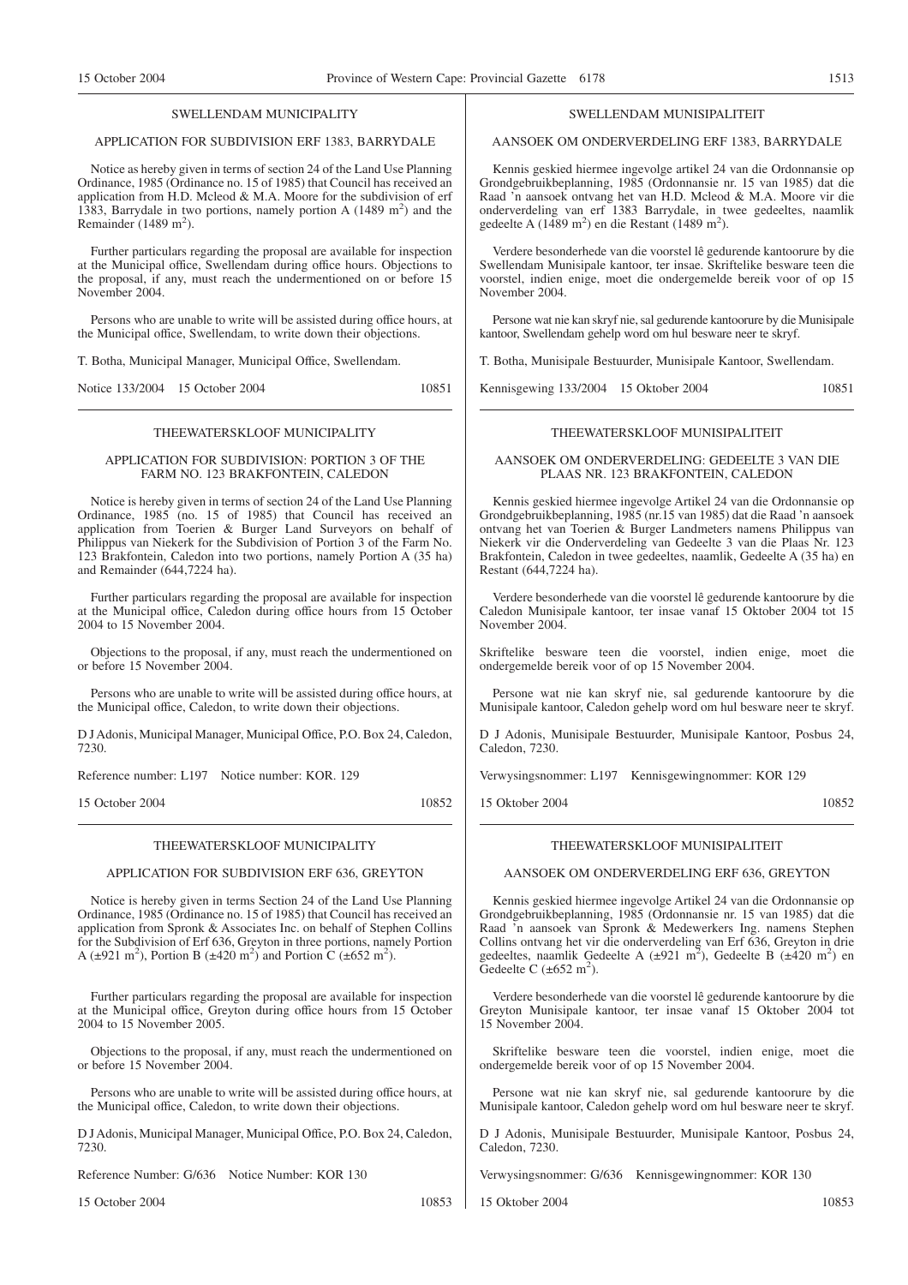#### SWELLENDAM MUNICIPALITY

#### APPLICATION FOR SUBDIVISION ERF 1383, BARRYDALE

Notice as hereby given in terms of section 24 of the Land Use Planning Ordinance, 1985 (Ordinance no. 15 of 1985) that Council has received an application from H.D. Mcleod & M.A. Moore for the subdivision of erf 1383, Barrydale in two portions, namely portion A  $(1489 \text{ m}^2)$  and the Remainder  $(1489 \text{ m}^2)$ .

Further particulars regarding the proposal are available for inspection at the Municipal office, Swellendam during office hours. Objections to the proposal, if any, must reach the undermentioned on or before 15 November 2004.

Persons who are unable to write will be assisted during office hours, at the Municipal office, Swellendam, to write down their objections.

T. Botha, Municipal Manager, Municipal Office, Swellendam.

Notice 133/2004 15 October 2004 10851

#### THEEWATERSKLOOF MUNICIPALITY

#### APPLICATION FOR SUBDIVISION: PORTION 3 OF THE FARM NO. 123 BRAKFONTEIN, CALEDON

Notice is hereby given in terms of section 24 of the Land Use Planning Ordinance, 1985 (no. 15 of 1985) that Council has received an application from Toerien & Burger Land Surveyors on behalf of Philippus van Niekerk for the Subdivision of Portion 3 of the Farm No. 123 Brakfontein, Caledon into two portions, namely Portion A (35 ha) and Remainder (644,7224 ha).

Further particulars regarding the proposal are available for inspection at the Municipal office, Caledon during office hours from 15 October 2004 to 15 November 2004.

Objections to the proposal, if any, must reach the undermentioned on or before 15 November 2004.

Persons who are unable to write will be assisted during office hours, at the Municipal office, Caledon, to write down their objections.

D J Adonis, Municipal Manager, Municipal Office, P.O. Box 24, Caledon, 7230.

Reference number: L197 Notice number: KOR. 129

15 October 2004 10852

# THEEWATERSKLOOF MUNICIPALITY

#### APPLICATION FOR SUBDIVISION ERF 636, GREYTON

Notice is hereby given in terms Section 24 of the Land Use Planning Ordinance, 1985 (Ordinance no. 15 of 1985) that Council has received an application from Spronk & Associates Inc. on behalf of Stephen Collins for the Subdivision of Erf 636, Greyton in three portions, namely Portion A ( $\pm$ 921 m<sup>2</sup>), Portion B ( $\pm$ 420 m<sup>2</sup>) and Portion C ( $\pm$ 652 m<sup>2</sup>).

Further particulars regarding the proposal are available for inspection at the Municipal office, Greyton during office hours from 15 October 2004 to 15 November 2005.

Objections to the proposal, if any, must reach the undermentioned on or before 15 November 2004.

Persons who are unable to write will be assisted during office hours, at the Municipal office, Caledon, to write down their objections.

D J Adonis, Municipal Manager, Municipal Office, P.O. Box 24, Caledon, 7230.

Reference Number: G/636 Notice Number: KOR 130

15 October 2004 10853

#### SWELLENDAM MUNISIPALITEIT

#### AANSOEK OM ONDERVERDELING ERF 1383, BARRYDALE

Kennis geskied hiermee ingevolge artikel 24 van die Ordonnansie op Grondgebruikbeplanning, 1985 (Ordonnansie nr. 15 van 1985) dat die Raad 'n aansoek ontvang het van H.D. Mcleod & M.A. Moore vir die onderverdeling van erf 1383 Barrydale, in twee gedeeltes, naamlik gedeelte A  $(1489 \text{ m}^2)$  en die Restant  $(1489 \text{ m}^2)$ .

Verdere besonderhede van die voorstel lê gedurende kantoorure by die Swellendam Munisipale kantoor, ter insae. Skriftelike besware teen die voorstel, indien enige, moet die ondergemelde bereik voor of op 15 November 2004.

Persone wat nie kan skryf nie, sal gedurende kantoorure by die Munisipale kantoor, Swellendam gehelp word om hul besware neer te skryf.

T. Botha, Munisipale Bestuurder, Munisipale Kantoor, Swellendam.

Kennisgewing 133/2004 15 Oktober 2004 10851

#### THEEWATERSKLOOF MUNISIPALITEIT

#### AANSOEK OM ONDERVERDELING: GEDEELTE 3 VAN DIE PLAAS NR. 123 BRAKFONTEIN, CALEDON

Kennis geskied hiermee ingevolge Artikel 24 van die Ordonnansie op Grondgebruikbeplanning, 1985 (nr.15 van 1985) dat die Raad 'n aansoek ontvang het van Toerien & Burger Landmeters namens Philippus van Niekerk vir die Onderverdeling van Gedeelte 3 van die Plaas Nr. 123 Brakfontein, Caledon in twee gedeeltes, naamlik, Gedeelte A (35 ha) en Restant (644,7224 ha).

Verdere besonderhede van die voorstel lê gedurende kantoorure by die Caledon Munisipale kantoor, ter insae vanaf 15 Oktober 2004 tot 15 November 2004.

Skriftelike besware teen die voorstel, indien enige, moet die ondergemelde bereik voor of op 15 November 2004.

Persone wat nie kan skryf nie, sal gedurende kantoorure by die Munisipale kantoor, Caledon gehelp word om hul besware neer te skryf.

D J Adonis, Munisipale Bestuurder, Munisipale Kantoor, Posbus 24, Caledon, 7230.

Verwysingsnommer: L197 Kennisgewingnommer: KOR 129

15 Oktober 2004 10852

#### THEEWATERSKLOOF MUNISIPALITEIT

#### AANSOEK OM ONDERVERDELING ERF 636, GREYTON

Kennis geskied hiermee ingevolge Artikel 24 van die Ordonnansie op Grondgebruikbeplanning, 1985 (Ordonnansie nr. 15 van 1985) dat die Raad 'n aansoek van Spronk & Medewerkers Ing. namens Stephen Collins ontvang het vir die onderverdeling van Erf 636, Greyton in drie gedeeltes, naamlik Gedeelte A ( $\pm$ 921 m<sup>2</sup>), Gedeelte B ( $\pm$ 420 m<sup>2</sup>) en Gedeelte C  $(\pm 652 \text{ m}^2)$ .

Verdere besonderhede van die voorstel lê gedurende kantoorure by die Greyton Munisipale kantoor, ter insae vanaf 15 Oktober 2004 tot 15 November 2004.

Skriftelike besware teen die voorstel, indien enige, moet die ondergemelde bereik voor of op 15 November 2004.

Persone wat nie kan skryf nie, sal gedurende kantoorure by die Munisipale kantoor, Caledon gehelp word om hul besware neer te skryf.

D J Adonis, Munisipale Bestuurder, Munisipale Kantoor, Posbus 24, Caledon, 7230.

Verwysingsnommer: G/636 Kennisgewingnommer: KOR 130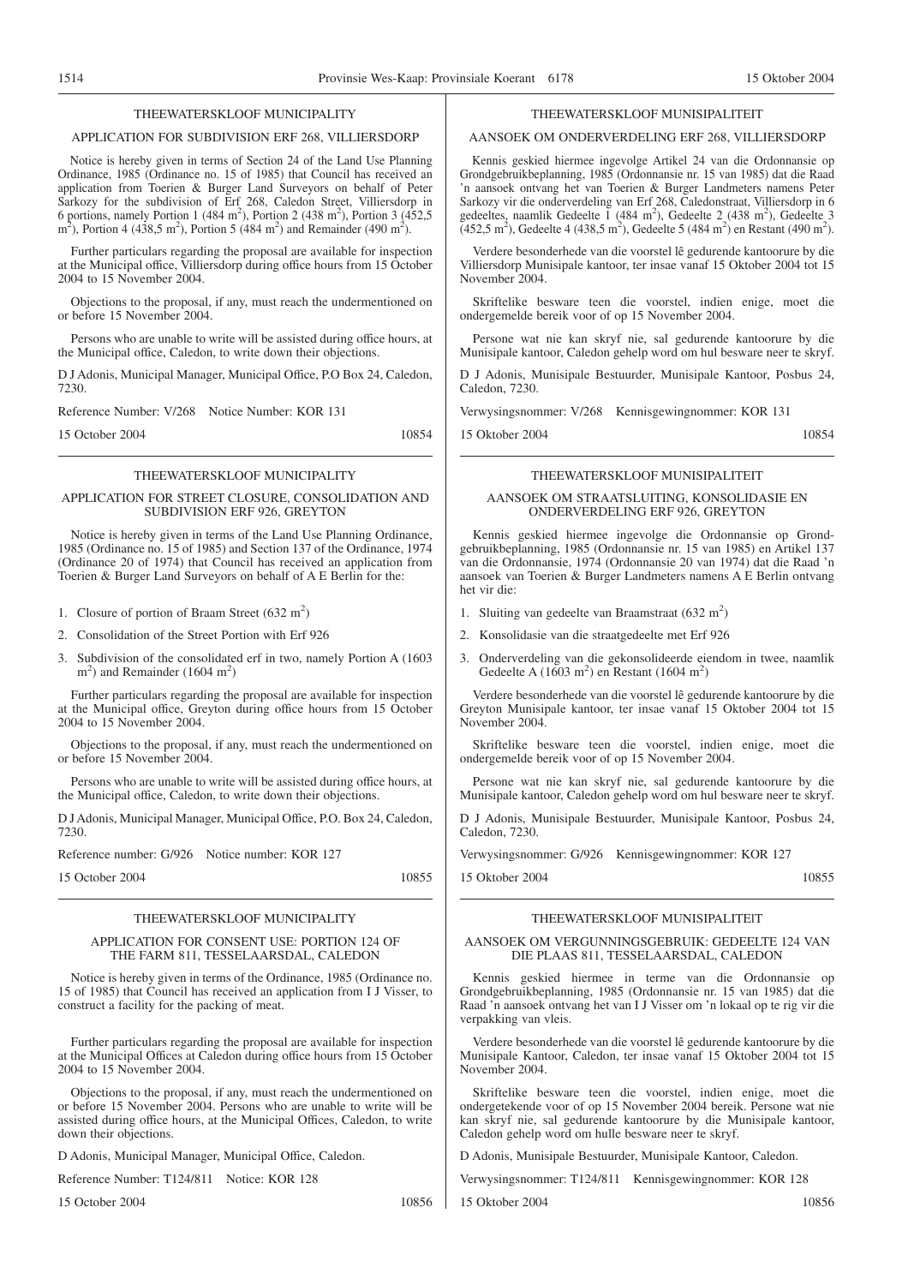#### THEEWATERSKLOOF MUNICIPALITY

#### APPLICATION FOR SUBDIVISION ERF 268, VILLIERSDORP

Notice is hereby given in terms of Section 24 of the Land Use Planning Ordinance, 1985 (Ordinance no. 15 of 1985) that Council has received an application from Toerien & Burger Land Surveyors on behalf of Peter Sarkozy for the subdivision of Erf 268, Caledon Street, Villiersdorp in 6 portions, namely Portion 1 (484 m<sup>2</sup>), Portion 2 (438 m<sup>2</sup>), Portion 3 (452,5) m<sup>2</sup>), Portion 4 (438,5 m<sup>2</sup>), Portion 5 (484 m<sup>2</sup>) and Remainder (490 m<sup>2</sup>).

Further particulars regarding the proposal are available for inspection at the Municipal office, Villiersdorp during office hours from 15 October 2004 to 15 November 2004.

Objections to the proposal, if any, must reach the undermentioned on or before 15 November 2004.

Persons who are unable to write will be assisted during office hours, at the Municipal office, Caledon, to write down their objections.

D J Adonis, Municipal Manager, Municipal Office, P.O Box 24, Caledon, 7230.

Reference Number: V/268 Notice Number: KOR 131

15 October 2004 10854

#### THEEWATERSKLOOF MUNICIPALITY

#### APPLICATION FOR STREET CLOSURE, CONSOLIDATION AND SUBDIVISION ERF 926, GREYTON

Notice is hereby given in terms of the Land Use Planning Ordinance, 1985 (Ordinance no. 15 of 1985) and Section 137 of the Ordinance, 1974 (Ordinance 20 of 1974) that Council has received an application from Toerien & Burger Land Surveyors on behalf of A E Berlin for the:

1. Closure of portion of Braam Street  $(632 \text{ m}^2)$ 

2. Consolidation of the Street Portion with Erf 926

3. Subdivision of the consolidated erf in two, namely Portion A (1603  $\text{m}^2$ ) and Remainder (1604 m<sup>2</sup>)

Further particulars regarding the proposal are available for inspection at the Municipal office, Greyton during office hours from 15 October 2004 to 15 November 2004.

Objections to the proposal, if any, must reach the undermentioned on or before 15 November 2004.

Persons who are unable to write will be assisted during office hours, at the Municipal office, Caledon, to write down their objections.

D J Adonis, Municipal Manager, Municipal Office, P.O. Box 24, Caledon, 7230.

Reference number: G/926 Notice number: KOR 127

15 October 2004 10855

#### THEEWATERSKLOOF MUNICIPALITY

#### APPLICATION FOR CONSENT USE: PORTION 124 OF THE FARM 811, TESSELAARSDAL, CALEDON

Notice is hereby given in terms of the Ordinance, 1985 (Ordinance no. 15 of 1985) that Council has received an application from I J Visser, to construct a facility for the packing of meat.

Further particulars regarding the proposal are available for inspection at the Municipal Offices at Caledon during office hours from 15 October 2004 to 15 November 2004.

Objections to the proposal, if any, must reach the undermentioned on or before 15 November 2004. Persons who are unable to write will be assisted during office hours, at the Municipal Offices, Caledon, to write down their objections.

D Adonis, Municipal Manager, Municipal Office, Caledon.

Reference Number: T124/811 Notice: KOR 128

15 October 2004 10856

#### THEEWATERSKLOOF MUNISIPALITEIT

#### AANSOEK OM ONDERVERDELING ERF 268, VILLIERSDORP

Kennis geskied hiermee ingevolge Artikel 24 van die Ordonnansie op Grondgebruikbeplanning, 1985 (Ordonnansie nr. 15 van 1985) dat die Raad 'n aansoek ontvang het van Toerien & Burger Landmeters namens Peter Sarkozy vir die onderverdeling van Erf 268, Caledonstraat, Villiersdorp in 6 gedeeltes, naamlik Gedeelte 1 (484 m<sup>2</sup>), Gedeelte 2 (438 m<sup>2</sup>), Gedeelte 3  $(452.5 \text{ m}^2)$ , Gedeelte 4 (438.5 m<sup>2</sup>), Gedeelte 5 (484 m<sup>2</sup>) en Restant (490 m<sup>2</sup>).

Verdere besonderhede van die voorstel lê gedurende kantoorure by die Villiersdorp Munisipale kantoor, ter insae vanaf 15 Oktober 2004 tot 15 November 2004.

Skriftelike besware teen die voorstel, indien enige, moet die ondergemelde bereik voor of op 15 November 2004.

Persone wat nie kan skryf nie, sal gedurende kantoorure by die Munisipale kantoor, Caledon gehelp word om hul besware neer te skryf.

D J Adonis, Munisipale Bestuurder, Munisipale Kantoor, Posbus 24, Caledon, 7230.

Verwysingsnommer: V/268 Kennisgewingnommer: KOR 131

15 Oktober 2004 10854

#### THEEWATERSKLOOF MUNISIPALITEIT

#### AANSOEK OM STRAATSLUITING, KONSOLIDASIE EN ONDERVERDELING ERF 926, GREYTON

Kennis geskied hiermee ingevolge die Ordonnansie op Grondgebruikbeplanning, 1985 (Ordonnansie nr. 15 van 1985) en Artikel 137 van die Ordonnansie, 1974 (Ordonnansie 20 van 1974) dat die Raad 'n aansoek van Toerien & Burger Landmeters namens A E Berlin ontvang het vir die:

- 1. Sluiting van gedeelte van Braamstraat  $(632 \text{ m}^2)$
- 2. Konsolidasie van die straatgedeelte met Erf 926
- 3. Onderverdeling van die gekonsolideerde eiendom in twee, naamlik Gedeelte A  $(1603 \text{ m}^2)$  en Restant  $(1604 \text{ m}^2)$

Verdere besonderhede van die voorstel lê gedurende kantoorure by die Greyton Munisipale kantoor, ter insae vanaf 15 Oktober 2004 tot 15 November 2004.

Skriftelike besware teen die voorstel, indien enige, moet die ondergemelde bereik voor of op 15 November 2004.

Persone wat nie kan skryf nie, sal gedurende kantoorure by die Munisipale kantoor, Caledon gehelp word om hul besware neer te skryf.

D J Adonis, Munisipale Bestuurder, Munisipale Kantoor, Posbus 24, Caledon, 7230.

Verwysingsnommer: G/926 Kennisgewingnommer: KOR 127

15 Oktober 2004 10855

#### THEEWATERSKLOOF MUNISIPALITElT

#### AANSOEK OM VERGUNNINGSGEBRUIK: GEDEELTE 124 VAN DIE PLAAS 811, TESSELAARSDAL, CALEDON

Kennis geskied hiermee in terme van die Ordonnansie op Grondgebruikbeplanning, 1985 (Ordonnansie nr. 15 van 1985) dat die Raad 'n aansoek ontvang het van I J Visser om 'n lokaal op te rig vir die verpakking van vleis.

Verdere besonderhede van die voorstel lê gedurende kantoorure by die Munisipale Kantoor, Caledon, ter insae vanaf 15 Oktober 2004 tot 15 November 2004.

Skriftelike besware teen die voorstel, indien enige, moet die ondergetekende voor of op 15 November 2004 bereik. Persone wat nie kan skryf nie, sal gedurende kantoorure by die Munisipale kantoor, Caledon gehelp word om hulle besware neer te skryf.

D Adonis, Munisipale Bestuurder, Munisipale Kantoor, Caledon.

Verwysingsnommer: T124/811 Kennisgewingnommer: KOR 128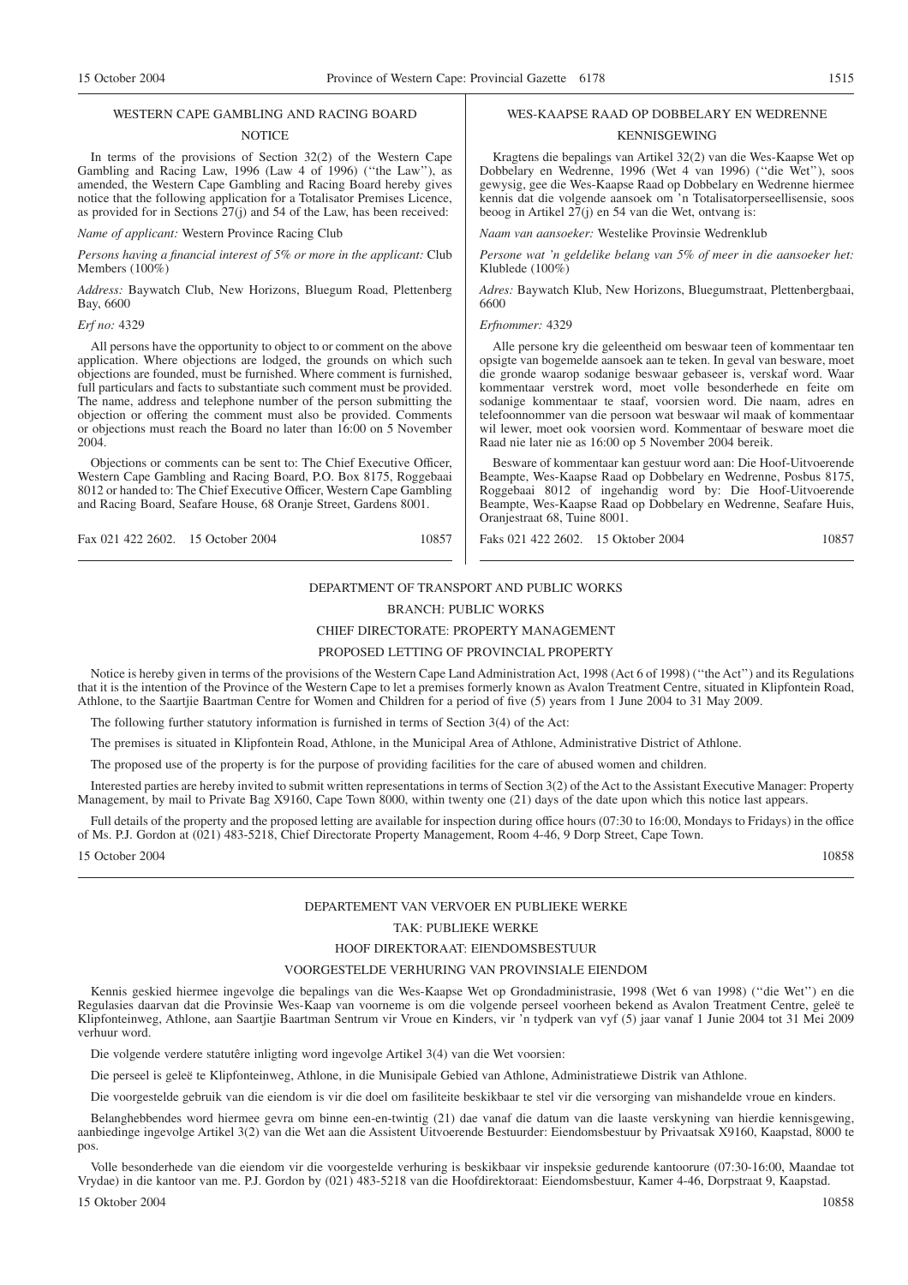#### WESTERN CAPE GAMBLING AND RACING BOARD

#### **NOTICE**

In terms of the provisions of Section 32(2) of the Western Cape Gambling and Racing Law, 1996 (Law 4 of 1996) (''the Law''), as amended, the Western Cape Gambling and Racing Board hereby gives notice that the following application for a Totalisator Premises Licence, as provided for in Sections 27(j) and 54 of the Law, has been received:

*Name of applicant:* Western Province Racing Club

*Persons having a financial interest of 5% or more in the applicant:* Club Members (100%)

*Address:* Baywatch Club, New Horizons, Bluegum Road, Plettenberg Bay, 6600

#### *Erf no:* 4329

All persons have the opportunity to object to or comment on the above application. Where objections are lodged, the grounds on which such objections are founded, must be furnished. Where comment is furnished, full particulars and facts to substantiate such comment must be provided. The name, address and telephone number of the person submitting the objection or offering the comment must also be provided. Comments or objections must reach the Board no later than 16:00 on 5 November 2004.

Objections or comments can be sent to: The Chief Executive Officer, Western Cape Gambling and Racing Board, P.O. Box 8175, Roggebaai 8012 or handed to: The Chief Executive Officer, Western Cape Gambling and Racing Board, Seafare House, 68 Oranje Street, Gardens 8001.

Fax 021 422 2602. 15 October 2004 10857

# WES-KAAPSE RAAD OP DOBBELARY EN WEDRENNE

#### KENNISGEWING

Kragtens die bepalings van Artikel 32(2) van die Wes-Kaapse Wet op Dobbelary en Wedrenne, 1996 (Wet 4 van 1996) (''die Wet''), soos gewysig, gee die Wes-Kaapse Raad op Dobbelary en Wedrenne hiermee kennis dat die volgende aansoek om 'n Totalisatorperseellisensie, soos beoog in Artikel  $27(i)$  en 54 van die Wet, ontvang is:

*Naam van aansoeker:* Westelike Provinsie Wedrenklub

*Persone wat 'n geldelike belang van 5% of meer in die aansoeker het:* Klublede (100%)

*Adres:* Baywatch Klub, New Horizons, Bluegumstraat, Plettenbergbaai, 6600

#### *Erfnommer:* 4329

Alle persone kry die geleentheid om beswaar teen of kommentaar ten opsigte van bogemelde aansoek aan te teken. In geval van besware, moet die gronde waarop sodanige beswaar gebaseer is, verskaf word. Waar kommentaar verstrek word, moet volle besonderhede en feite om sodanige kommentaar te staaf, voorsien word. Die naam, adres en telefoonnommer van die persoon wat beswaar wil maak of kommentaar wil lewer, moet ook voorsien word. Kommentaar of besware moet die Raad nie later nie as 16:00 op 5 November 2004 bereik.

Besware of kommentaar kan gestuur word aan: Die Hoof-Uitvoerende Beampte, Wes-Kaapse Raad op Dobbelary en Wedrenne, Posbus 8175, Roggebaai 8012 of ingehandig word by: Die Hoof-Uitvoerende Beampte, Wes-Kaapse Raad op Dobbelary en Wedrenne, Seafare Huis, Oranjestraat 68, Tuine 8001.

Faks 021 422 2602. 15 Oktober 2004 10857

## DEPARTMENT OF TRANSPORT AND PUBLIC WORKS BRANCH: PUBLIC WORKS

#### CHIEF DIRECTORATE: PROPERTY MANAGEMENT

#### PROPOSED LETTING OF PROVINCIAL PROPERTY

Notice is hereby given in terms of the provisions of the Western Cape Land Administration Act, 1998 (Act 6 of 1998) (''the Act'') and its Regulations that it is the intention of the Province of the Western Cape to let a premises formerly known as Avalon Treatment Centre, situated in Klipfontein Road, Athlone, to the Saartjie Baartman Centre for Women and Children for a period of five (5) years from 1 June 2004 to 31 May 2009.

The following further statutory information is furnished in terms of Section 3(4) of the Act:

The premises is situated in Klipfontein Road, Athlone, in the Municipal Area of Athlone, Administrative District of Athlone.

The proposed use of the property is for the purpose of providing facilities for the care of abused women and children.

Interested parties are hereby invited to submit written representations in terms of Section 3(2) of the Act to the Assistant Executive Manager: Property Management, by mail to Private Bag X9160, Cape Town 8000, within twenty one (21) days of the date upon which this notice last appears.

Full details of the property and the proposed letting are available for inspection during office hours (07:30 to 16:00, Mondays to Fridays) in the office of Ms. P.J. Gordon at (021) 483-5218, Chief Directorate Property Management, Room 4-46, 9 Dorp Street, Cape Town.

15 October 2004 10858

#### DEPARTEMENT VAN VERVOER EN PUBLIEKE WERKE

### TAK: PUBLIEKE WERKE

#### HOOF DIREKTORAAT: EIENDOMSBESTUUR

#### VOORGESTELDE VERHURING VAN PROVINSIALE EIENDOM

Kennis geskied hiermee ingevolge die bepalings van die Wes-Kaapse Wet op Grondadministrasie, 1998 (Wet 6 van 1998) (''die Wet'') en die Regulasies daarvan dat die Provinsie Wes-Kaap van voorneme is om die volgende perseel voorheen bekend as Avalon Treatment Centre, geleë te Klipfonteinweg, Athlone, aan Saartjie Baartman Sentrum vir Vroue en Kinders, vir 'n tydperk van vyf (5) jaar vanaf 1 Junie 2004 tot 31 Mei 2009 verhuur word.

Die volgende verdere statutêre inligting word ingevolge Artikel 3(4) van die Wet voorsien:

Die perseel is geleë te Klipfonteinweg, Athlone, in die Munisipale Gebied van Athlone, Administratiewe Distrik van Athlone.

Die voorgestelde gebruik van die eiendom is vir die doel om fasiliteite beskikbaar te stel vir die versorging van mishandelde vroue en kinders.

Belanghebbendes word hiermee gevra om binne een-en-twintig (21) dae vanaf die datum van die laaste verskyning van hierdie kennisgewing, aanbiedinge ingevolge Artikel 3(2) van die Wet aan die Assistent Uitvoerende Bestuurder: Eiendomsbestuur by Privaatsak X9160, Kaapstad, 8000 te pos.

Volle besonderhede van die eiendom vir die voorgestelde verhuring is beskikbaar vir inspeksie gedurende kantoorure (07:30-16:00, Maandae tot Vrydae) in die kantoor van me. P.J. Gordon by (021) 483-5218 van die Hoofdirektoraat: Eiendomsbestuur, Kamer 4-46, Dorpstraat 9, Kaapstad.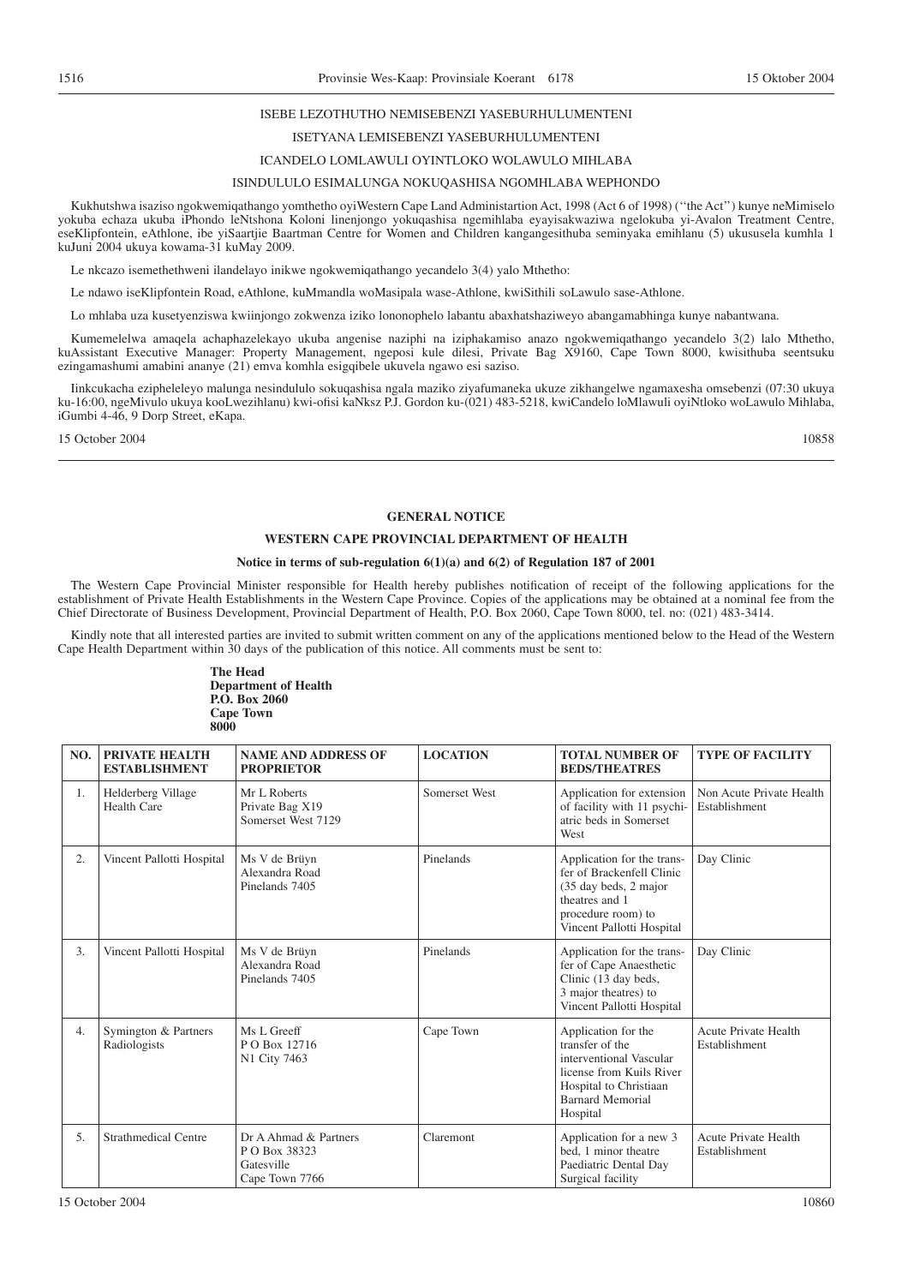#### ISEBE LEZOTHUTHO NEMISEBENZI YASEBURHULUMENTENI

### ISETYANA LEMISEBENZI YASEBURHULUMENTENI

# ICANDELO LOMLAWULI OYINTLOKO WOLAWULO MIHLABA

#### ISINDULULO ESIMALUNGA NOKUQASHISA NGOMHLABA WEPHONDO

Kukhutshwa isaziso ngokwemiqathango yomthetho oyiWestern Cape Land Administartion Act, 1998 (Act 6 of 1998) (''the Act'') kunye neMimiselo yokuba echaza ukuba iPhondo leNtshona Koloni linenjongo yokuqashisa ngemihlaba eyayisakwaziwa ngelokuba yi-Avalon Treatment Centre, eseKlipfontein, eAthlone, ibe yiSaartjie Baartman Centre for Women and Children kangangesithuba seminyaka emihlanu (5) ukususela kumhla 1 kuJuni 2004 ukuya kowama-31 kuMay 2009.

Le nkcazo isemethethweni ilandelayo inikwe ngokwemiqathango yecandelo 3(4) yalo Mthetho:

Le ndawo iseKlipfontein Road, eAthlone, kuMmandla woMasipala wase-Athlone, kwiSithili soLawulo sase-Athlone.

Lo mhlaba uza kusetyenziswa kwiinjongo zokwenza iziko lononophelo labantu abaxhatshaziweyo abangamabhinga kunye nabantwana.

Kumemelelwa amaqela achaphazelekayo ukuba angenise naziphi na iziphakamiso anazo ngokwemiqathango yecandelo 3(2) lalo Mthetho, kuAssistant Executive Manager: Property Management, ngeposi kule dilesi, Private Bag X9160, Cape Town 8000, kwisithuba seentsuku ezingamashumi amabini ananye (21) emva komhla esigqibele ukuvela ngawo esi saziso.

Iinkcukacha ezipheleleyo malunga nesindululo sokuqashisa ngala maziko ziyafumaneka ukuze zikhangelwe ngamaxesha omsebenzi (07:30 ukuya ku-16:00, ngeMivulo ukuya kooLwezihlanu) kwi-ofisi kaNksz P.J. Gordon ku-(021) 483-5218, kwiCandelo loMlawuli oyiNtloko woLawulo Mihlaba, iGumbi 4-46, 9 Dorp Street, eKapa.

15 October 2004 10858

#### **GENERAL NOTICE**

#### **WESTERN CAPE PROVINCIAL DEPARTMENT OF HEALTH**

#### **Notice in terms of sub-regulation 6(1)(a) and 6(2) of Regulation 187 of 2001**

The Western Cape Provincial Minister responsible for Health hereby publishes notification of receipt of the following applications for the establishment of Private Health Establishments in the Western Cape Province. Copies of the applications may be obtained at a nominal fee from the Chief Directorate of Business Development, Provincial Department of Health, P.O. Box 2060, Cape Town 8000, tel. no: (021) 483-3414.

Kindly note that all interested parties are invited to submit written comment on any of the applications mentioned below to the Head of the Western Cape Health Department within 30 days of the publication of this notice. All comments must be sent to:

> **The Head Department of Health P.O. Box 2060 Cape Town 8000**

| NO. | <b>PRIVATE HEALTH</b><br><b>ESTABLISHMENT</b> | <b>NAME AND ADDRESS OF</b><br><b>PROPRIETOR</b>                        | <b>LOCATION</b> | <b>TOTAL NUMBER OF</b><br><b>BEDS/THEATRES</b>                                                                                                                 | <b>TYPE OF FACILITY</b>                      |
|-----|-----------------------------------------------|------------------------------------------------------------------------|-----------------|----------------------------------------------------------------------------------------------------------------------------------------------------------------|----------------------------------------------|
| 1.  | Helderberg Village<br><b>Health Care</b>      | Mr L Roberts<br>Private Bag X19<br>Somerset West 7129                  | Somerset West   | Application for extension<br>of facility with 11 psychi-<br>atric beds in Somerset<br>West                                                                     | Non Acute Private Health<br>Establishment    |
| 2.  | Vincent Pallotti Hospital                     | Ms V de Brüyn<br>Alexandra Road<br>Pinelands 7405                      | Pinelands       | Application for the trans-<br>fer of Brackenfell Clinic<br>(35 day beds, 2 major<br>theatres and 1<br>procedure room) to<br>Vincent Pallotti Hospital          | Day Clinic                                   |
| 3.  | Vincent Pallotti Hospital                     | Ms V de Brüyn<br>Alexandra Road<br>Pinelands 7405                      | Pinelands       | Application for the trans-<br>fer of Cape Anaesthetic<br>Clinic (13 day beds,<br>3 major theatres) to<br>Vincent Pallotti Hospital                             | Day Clinic                                   |
| 4.  | Symington & Partners<br>Radiologists          | Ms L Greeff<br>P O Box 12716<br>N1 City 7463                           | Cape Town       | Application for the<br>transfer of the<br>interventional Vascular<br>license from Kuils River<br>Hospital to Christiaan<br><b>Barnard Memorial</b><br>Hospital | <b>Acute Private Health</b><br>Establishment |
| 5.  | <b>Strathmedical Centre</b>                   | Dr A Ahmad & Partners<br>P O Box 38323<br>Gatesville<br>Cape Town 7766 | Claremont       | Application for a new 3<br>bed. 1 minor theatre<br>Paediatric Dental Day<br>Surgical facility                                                                  | <b>Acute Private Health</b><br>Establishment |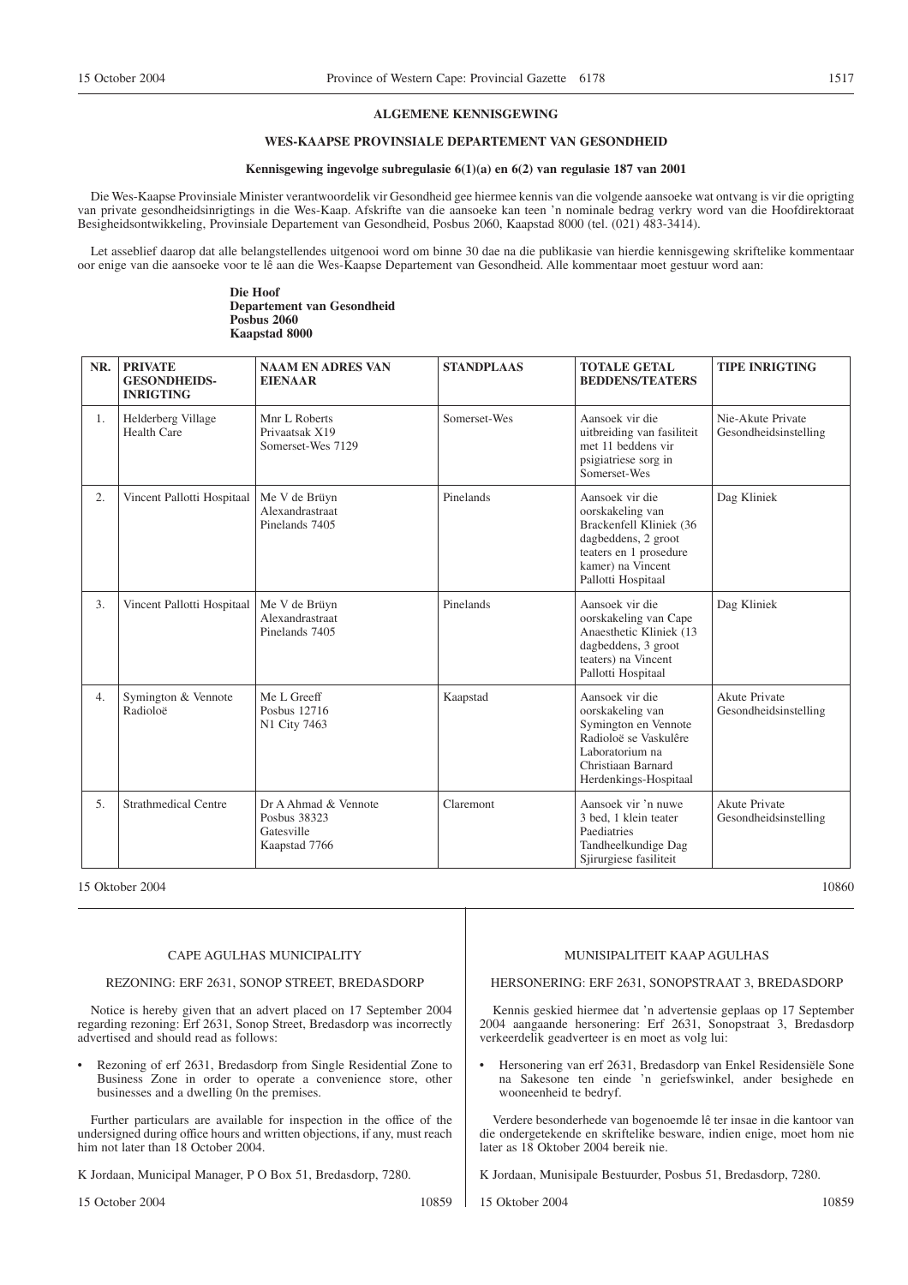#### **ALGEMENE KENNISGEWING**

### **WES-KAAPSE PROVINSIALE DEPARTEMENT VAN GESONDHEID**

#### **Kennisgewing ingevolge subregulasie 6(1)(a) en 6(2) van regulasie 187 van 2001**

Die Wes-Kaapse Provinsiale Minister verantwoordelik vir Gesondheid gee hiermee kennis van die volgende aansoeke wat ontvang is vir die oprigting van private gesondheidsinrigtings in die Wes-Kaap. Afskrifte van die aansoeke kan teen 'n nominale bedrag verkry word van die Hoofdirektoraat Besigheidsontwikkeling, Provinsiale Departement van Gesondheid, Posbus 2060, Kaapstad 8000 (tel. (021) 483-3414).

Let asseblief daarop dat alle belangstellendes uitgenooi word om binne 30 dae na die publikasie van hierdie kennisgewing skriftelike kommentaar oor enige van die aansoeke voor te lê aan die Wes-Kaapse Departement van Gesondheid. Alle kommentaar moet gestuur word aan:

#### **Die Hoof Departement van Gesondheid Posbus 2060 Kaapstad 8000**

| NR. | <b>PRIVATE</b><br><b>GESONDHEIDS-</b><br><b>INRIGTING</b> | <b>NAAM EN ADRES VAN</b><br><b>EIENAAR</b>                          | <b>STANDPLAAS</b> | <b>TOTALE GETAL</b><br><b>BEDDENS/TEATERS</b>                                                                                                              | <b>TIPE INRIGTING</b>                         |
|-----|-----------------------------------------------------------|---------------------------------------------------------------------|-------------------|------------------------------------------------------------------------------------------------------------------------------------------------------------|-----------------------------------------------|
| 1.  | Helderberg Village<br>Health Care                         | Mnr L Roberts<br>Privaatsak X19<br>Somerset-Wes 7129                | Somerset-Wes      | Aansoek vir die<br>uitbreiding van fasiliteit<br>met 11 beddens vir<br>psigiatriese sorg in<br>Somerset-Wes                                                | Nie-Akute Private<br>Gesondheidsinstelling    |
| 2.  | Vincent Pallotti Hospitaal                                | Me V de Brüyn<br>Alexandrastraat<br>Pinelands 7405                  | Pinelands         | Aansoek vir die<br>oorskakeling van<br>Brackenfell Kliniek (36<br>dagbeddens, 2 groot<br>teaters en 1 prosedure<br>kamer) na Vincent<br>Pallotti Hospitaal | Dag Kliniek                                   |
| 3.  | Vincent Pallotti Hospitaal                                | Me V de Brüyn<br>Alexandrastraat<br>Pinelands 7405                  | Pinelands         | Aansoek vir die<br>oorskakeling van Cape<br>Anaesthetic Kliniek (13)<br>dagbeddens, 3 groot<br>teaters) na Vincent<br>Pallotti Hospitaal                   | Dag Kliniek                                   |
| 4.  | Symington & Vennote<br>Radioloë                           | Me L Greeff<br>Posbus 12716<br>N1 City 7463                         | Kaapstad          | Aansoek vir die<br>oorskakeling van<br>Symington en Vennote<br>Radioloë se Vaskulêre<br>Laboratorium na<br>Christiaan Barnard<br>Herdenkings-Hospitaal     | Akute Private<br>Gesondheidsinstelling        |
| 5.  | <b>Strathmedical Centre</b>                               | Dr A Ahmad & Vennote<br>Posbus 38323<br>Gatesville<br>Kaapstad 7766 | Claremont         | Aansoek vir 'n nuwe<br>3 bed, 1 klein teater<br>Paediatries<br>Tandheelkundige Dag<br>Sjirurgiese fasiliteit                                               | <b>Akute Private</b><br>Gesondheidsinstelling |

15 Oktober 2004 10860

#### CAPE AGULHAS MUNICIPALITY

#### REZONING: ERF 2631, SONOP STREET, BREDASDORP

Notice is hereby given that an advert placed on 17 September 2004 regarding rezoning: Erf 2631, Sonop Street, Bredasdorp was incorrectly advertised and should read as follows:

• Rezoning of erf 2631, Bredasdorp from Single Residential Zone to Business Zone in order to operate a convenience store, other businesses and a dwelling 0n the premises.

Further particulars are available for inspection in the office of the undersigned during office hours and written objections, if any, must reach him not later than 18 October 2004.

K Jordaan, Municipal Manager, P O Box 51, Bredasdorp, 7280.

15 October 2004 10859

#### MUNISIPALITEIT KAAP AGULHAS

#### HERSONERING: ERF 2631, SONOPSTRAAT 3, BREDASDORP

Kennis geskied hiermee dat 'n advertensie geplaas op 17 September 2004 aangaande hersonering: Erf 2631, Sonopstraat 3, Bredasdorp verkeerdelik geadverteer is en moet as volg lui:

• Hersonering van erf 2631, Bredasdorp van Enkel Residensiële Sone na Sakesone ten einde 'n geriefswinkel, ander besighede en wooneenheid te bedryf.

Verdere besonderhede van bogenoemde lê ter insae in die kantoor van die ondergetekende en skriftelike besware, indien enige, moet hom nie later as 18 Oktober 2004 bereik nie.

K Jordaan, Munisipale Bestuurder, Posbus 51, Bredasdorp, 7280.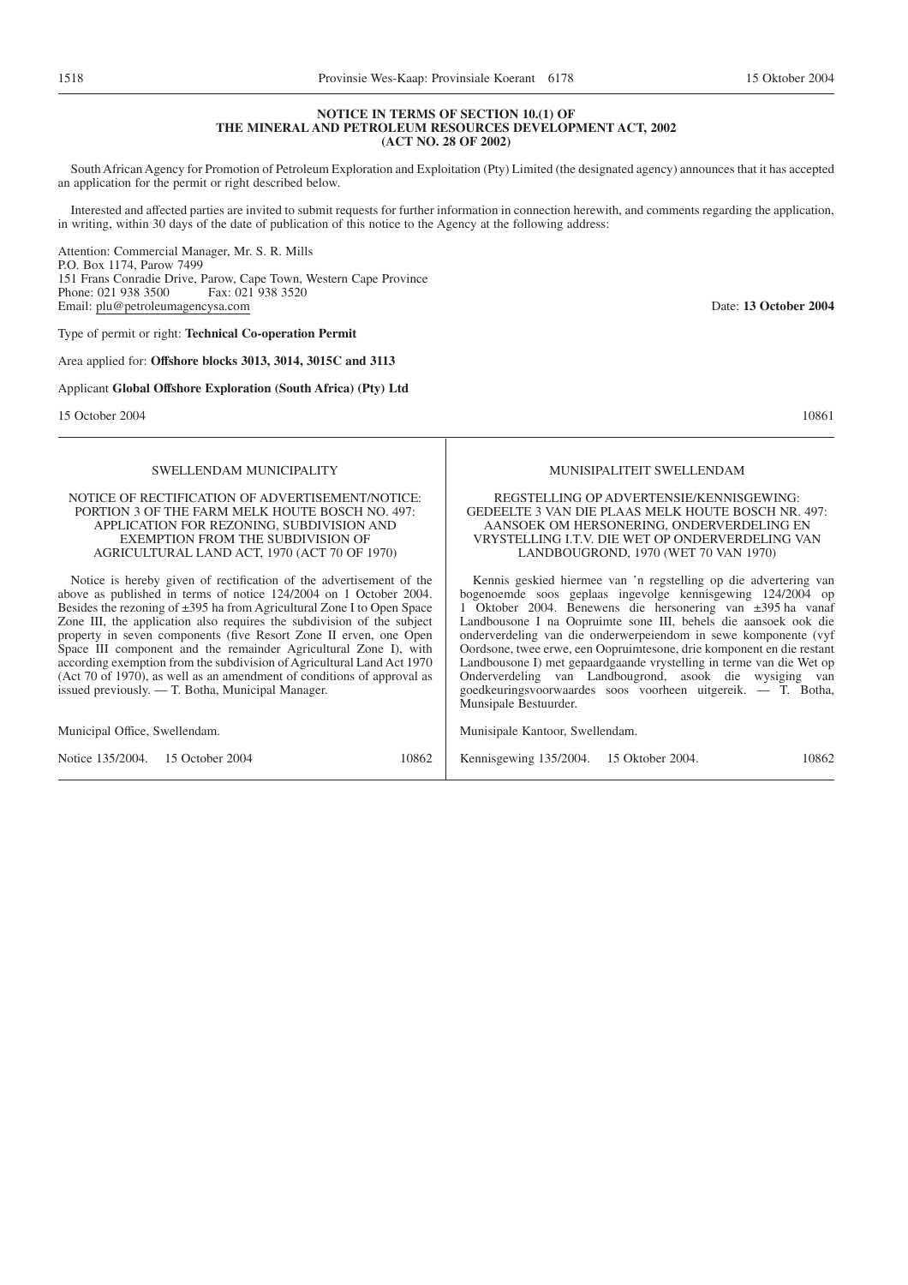# **NOTICE IN TERMS OF SECTION 10.(1) OF THE MINERAL AND PETROLEUM RESOURCES DEVELOPMENT ACT, 2002**

South African Agency for Promotion of Petroleum Exploration and Exploitation (Pty) Limited (the designated agency) announces that it has accepted an application for the permit or right described below.

Interested and affected parties are invited to submit requests for further information in connection herewith, and comments regarding the application, in writing, within 30 days of the date of publication of this notice to the Agency at the following address:

Attention: Commercial Manager, Mr. S. R. Mills P.O. Box 1174, Parow 7499 151 Frans Conradie Drive, Parow, Cape Town, Western Cape Province Phone: 021 938 3500 Fax: 021 938 3520 Email: plu@petroleumagencysa.com Date: **13 October 2004**

Type of permit or right: **Technical Co-operation Permit**

Area applied for: **Offshore blocks 3013, 3014, 3015C and 3113**

Applicant **Global Offshore Exploration (South Africa) (Pty) Ltd**

15 October 2004 **10861** 10861

MUNISIPALITEIT SWELLENDAM

#### REGSTELLING OP ADVERTENSIE/KENNISGEWING: GEDEELTE 3 VAN DIE PLAAS MELK HOUTE BOSCH NR. 497: AANSOEK OM HERSONERING, ONDERVERDELING EN VRYSTELLING I.T.V. DIE WET OP ONDERVERDELING VAN LANDBOUGROND, 1970 (WET 70 VAN 1970)

Kennis geskied hiermee van 'n regstelling op die advertering van bogenoemde soos geplaas ingevolge kennisgewing 124/2004 op 1 Oktober 2004. Benewens die hersonering van ±395 ha vanaf Landbousone I na Oopruimte sone III, behels die aansoek ook die onderverdeling van die onderwerpeiendom in sewe komponente (vyf Oordsone, twee erwe, een Oopruimtesone, drie komponent en die restant Landbousone I) met gepaardgaande vrystelling in terme van die Wet op Onderverdeling van Landbougrond, asook die wysiging van goedkeuringsvoorwaardes soos voorheen uitgereik. — T. Botha, Munsipale Bestuurder.

Munisipale Kantoor, Swellendam.

Kennisgewing 135/2004. 15 Oktober 2004. 10862

**(ACT NO. 28 OF 2002)**

SWELLENDAM MUNICIPALITY

NOTICE OF RECTIFICATION OF ADVERTISEMENT/NOTICE: PORTION 3 OF THE FARM MELK HOUTE BOSCH NO. 497: APPLICATION FOR REZONING, SUBDIVISION AND EXEMPTION FROM THE SUBDIVISION OF AGRICULTURAL LAND ACT, 1970 (ACT 70 OF 1970)

Notice is hereby given of rectification of the advertisement of the above as published in terms of notice 124/2004 on 1 October 2004. Besides the rezoning of ±395 ha from Agricultural Zone I to Open Space Zone III, the application also requires the subdivision of the subject property in seven components (five Resort Zone II erven, one Open Space III component and the remainder Agricultural Zone I), with according exemption from the subdivision of Agricultural Land Act 1970 (Act 70 of 1970), as well as an amendment of conditions of approval as issued previously. — T. Botha, Municipal Manager.

Municipal Office, Swellendam.

Notice 135/2004. 15 October 2004 10862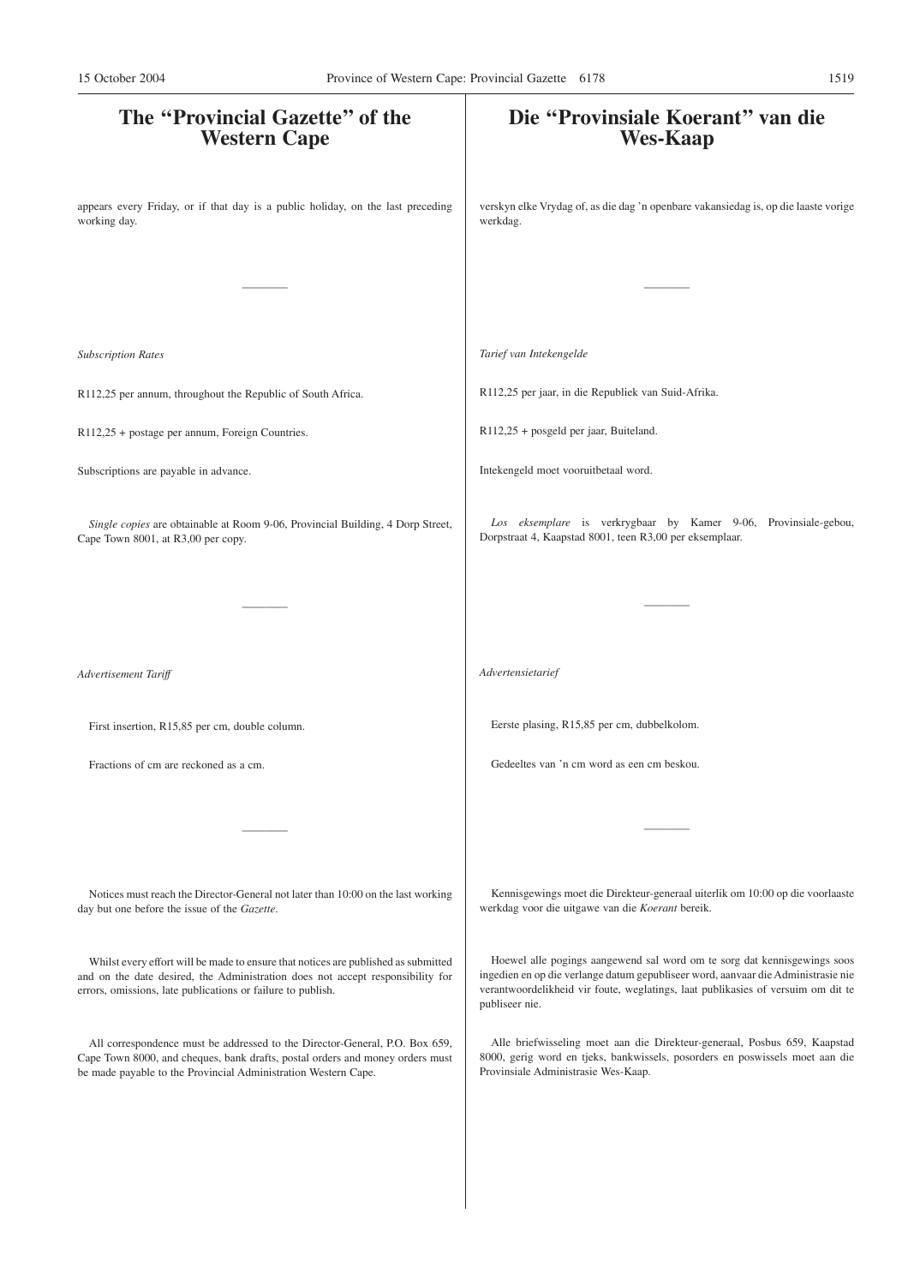| The "Provincial Gazette" of the<br><b>Western Cape</b>                                                                                                                                                                              | Die "Provinsiale Koerant" van die<br><b>Wes-Kaap</b>                                                                                                                                                                                                                |
|-------------------------------------------------------------------------------------------------------------------------------------------------------------------------------------------------------------------------------------|---------------------------------------------------------------------------------------------------------------------------------------------------------------------------------------------------------------------------------------------------------------------|
| appears every Friday, or if that day is a public holiday, on the last preceding<br>working day.                                                                                                                                     | verskyn elke Vrydag of, as die dag 'n openbare vakansiedag is, op die laaste vorige<br>werkdag.                                                                                                                                                                     |
|                                                                                                                                                                                                                                     |                                                                                                                                                                                                                                                                     |
| <b>Subscription Rates</b>                                                                                                                                                                                                           | Tarief van Intekengelde                                                                                                                                                                                                                                             |
| R112,25 per annum, throughout the Republic of South Africa.                                                                                                                                                                         | R112,25 per jaar, in die Republiek van Suid-Afrika.                                                                                                                                                                                                                 |
| R112,25 + postage per annum, Foreign Countries.                                                                                                                                                                                     | R112,25 + posgeld per jaar, Buiteland.                                                                                                                                                                                                                              |
| Subscriptions are payable in advance.                                                                                                                                                                                               | Intekengeld moet vooruitbetaal word.                                                                                                                                                                                                                                |
| Single copies are obtainable at Room 9-06, Provincial Building, 4 Dorp Street,<br>Cape Town 8001, at R3,00 per copy.                                                                                                                | Los eksemplare is verkrygbaar by Kamer 9-06, Provinsiale-gebou,<br>Dorpstraat 4, Kaapstad 8001, teen R3,00 per eksemplaar.                                                                                                                                          |
|                                                                                                                                                                                                                                     |                                                                                                                                                                                                                                                                     |
| Advertisement Tariff                                                                                                                                                                                                                | Advertensietarief                                                                                                                                                                                                                                                   |
| First insertion, R15,85 per cm, double column.                                                                                                                                                                                      | Eerste plasing, R15,85 per cm, dubbelkolom.                                                                                                                                                                                                                         |
| Fractions of cm are reckoned as a cm.                                                                                                                                                                                               | Gedeeltes van 'n cm word as een cm beskou.                                                                                                                                                                                                                          |
|                                                                                                                                                                                                                                     |                                                                                                                                                                                                                                                                     |
| Notices must reach the Director-General not later than 10:00 on the last working<br>day but one before the issue of the Gazette.                                                                                                    | Kennisgewings moet die Direkteur-generaal uiterlik om 10:00 op die voorlaaste<br>werkdag voor die uitgawe van die Koerant bereik.                                                                                                                                   |
| Whilst every effort will be made to ensure that notices are published as submitted<br>and on the date desired, the Administration does not accept responsibility for<br>errors, omissions, late publications or failure to publish. | Hoewel alle pogings aangewend sal word om te sorg dat kennisgewings soos<br>ingedien en op die verlange datum gepubliseer word, aanvaar die Administrasie nie<br>verantwoordelikheid vir foute, weglatings, laat publikasies of versuim om dit te<br>publiseer nie. |
| All correspondence must be addressed to the Director-General, P.O. Box 659,<br>Cape Town 8000, and cheques, bank drafts, postal orders and money orders must<br>be made payable to the Provincial Administration Western Cape.      | Alle briefwisseling moet aan die Direkteur-generaal, Posbus 659, Kaapstad<br>8000, gerig word en tjeks, bankwissels, posorders en poswissels moet aan die<br>Provinsiale Administrasie Wes-Kaap.                                                                    |
|                                                                                                                                                                                                                                     |                                                                                                                                                                                                                                                                     |
|                                                                                                                                                                                                                                     |                                                                                                                                                                                                                                                                     |